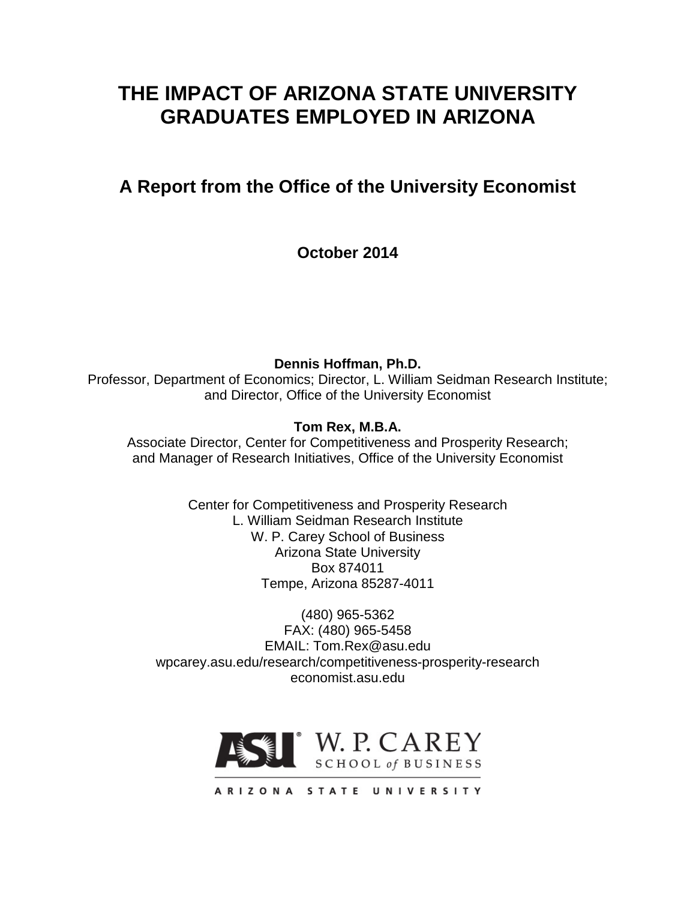# **THE IMPACT OF ARIZONA STATE UNIVERSITY GRADUATES EMPLOYED IN ARIZONA**

# **A Report from the Office of the University Economist**

**October 2014**

**Dennis Hoffman, Ph.D.** Professor, Department of Economics; Director, L. William Seidman Research Institute; and Director, Office of the University Economist

**Tom Rex, M.B.A.**

Associate Director, Center for Competitiveness and Prosperity Research; and Manager of Research Initiatives, Office of the University Economist

> Center for Competitiveness and Prosperity Research L. William Seidman Research Institute W. P. Carey School of Business Arizona State University Box 874011 Tempe, Arizona 85287-4011

(480) 965-5362 FAX: (480) 965-5458 EMAIL: Tom.Rex@asu.edu wpcarey.asu.edu/research/competitiveness-prosperity-research economist.asu.edu

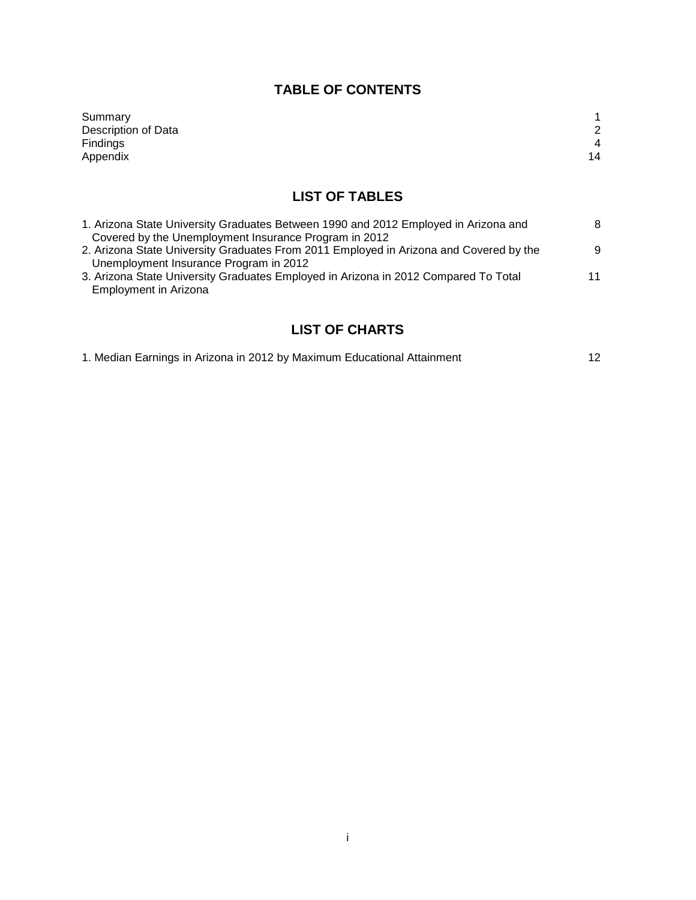# **TABLE OF CONTENTS**

| Summary             |    |
|---------------------|----|
| Description of Data | 2  |
| <b>Findings</b>     | 4  |
| Appendix            | 14 |

# **LIST OF TABLES**

| 1. Arizona State University Graduates Between 1990 and 2012 Employed in Arizona and    | 8  |
|----------------------------------------------------------------------------------------|----|
| Covered by the Unemployment Insurance Program in 2012                                  |    |
| 2. Arizona State University Graduates From 2011 Employed in Arizona and Covered by the | 9  |
| Unemployment Insurance Program in 2012                                                 |    |
| 3. Arizona State University Graduates Employed in Arizona in 2012 Compared To Total    | 11 |
| Employment in Arizona                                                                  |    |

# **LIST OF CHARTS**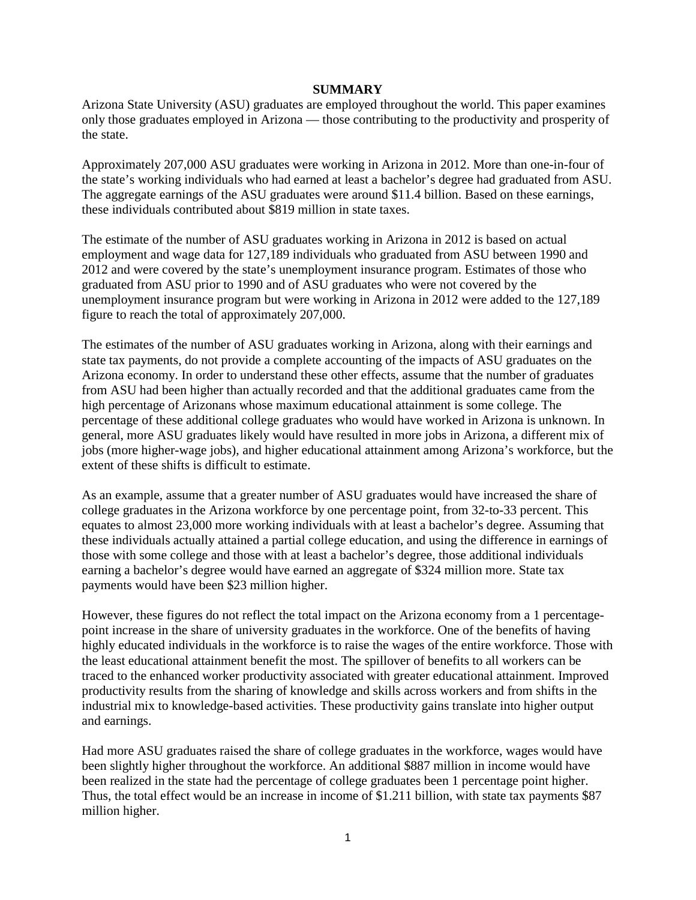#### **SUMMARY**

Arizona State University (ASU) graduates are employed throughout the world. This paper examines only those graduates employed in Arizona — those contributing to the productivity and prosperity of the state.

Approximately 207,000 ASU graduates were working in Arizona in 2012. More than one-in-four of the state's working individuals who had earned at least a bachelor's degree had graduated from ASU. The aggregate earnings of the ASU graduates were around \$11.4 billion. Based on these earnings, these individuals contributed about \$819 million in state taxes.

The estimate of the number of ASU graduates working in Arizona in 2012 is based on actual employment and wage data for 127,189 individuals who graduated from ASU between 1990 and 2012 and were covered by the state's unemployment insurance program. Estimates of those who graduated from ASU prior to 1990 and of ASU graduates who were not covered by the unemployment insurance program but were working in Arizona in 2012 were added to the 127,189 figure to reach the total of approximately 207,000.

The estimates of the number of ASU graduates working in Arizona, along with their earnings and state tax payments, do not provide a complete accounting of the impacts of ASU graduates on the Arizona economy. In order to understand these other effects, assume that the number of graduates from ASU had been higher than actually recorded and that the additional graduates came from the high percentage of Arizonans whose maximum educational attainment is some college. The percentage of these additional college graduates who would have worked in Arizona is unknown. In general, more ASU graduates likely would have resulted in more jobs in Arizona, a different mix of jobs (more higher-wage jobs), and higher educational attainment among Arizona's workforce, but the extent of these shifts is difficult to estimate.

As an example, assume that a greater number of ASU graduates would have increased the share of college graduates in the Arizona workforce by one percentage point, from 32-to-33 percent. This equates to almost 23,000 more working individuals with at least a bachelor's degree. Assuming that these individuals actually attained a partial college education, and using the difference in earnings of those with some college and those with at least a bachelor's degree, those additional individuals earning a bachelor's degree would have earned an aggregate of \$324 million more. State tax payments would have been \$23 million higher.

However, these figures do not reflect the total impact on the Arizona economy from a 1 percentagepoint increase in the share of university graduates in the workforce. One of the benefits of having highly educated individuals in the workforce is to raise the wages of the entire workforce. Those with the least educational attainment benefit the most. The spillover of benefits to all workers can be traced to the enhanced worker productivity associated with greater educational attainment. Improved productivity results from the sharing of knowledge and skills across workers and from shifts in the industrial mix to knowledge-based activities. These productivity gains translate into higher output and earnings.

Had more ASU graduates raised the share of college graduates in the workforce, wages would have been slightly higher throughout the workforce. An additional \$887 million in income would have been realized in the state had the percentage of college graduates been 1 percentage point higher. Thus, the total effect would be an increase in income of \$1.211 billion, with state tax payments \$87 million higher.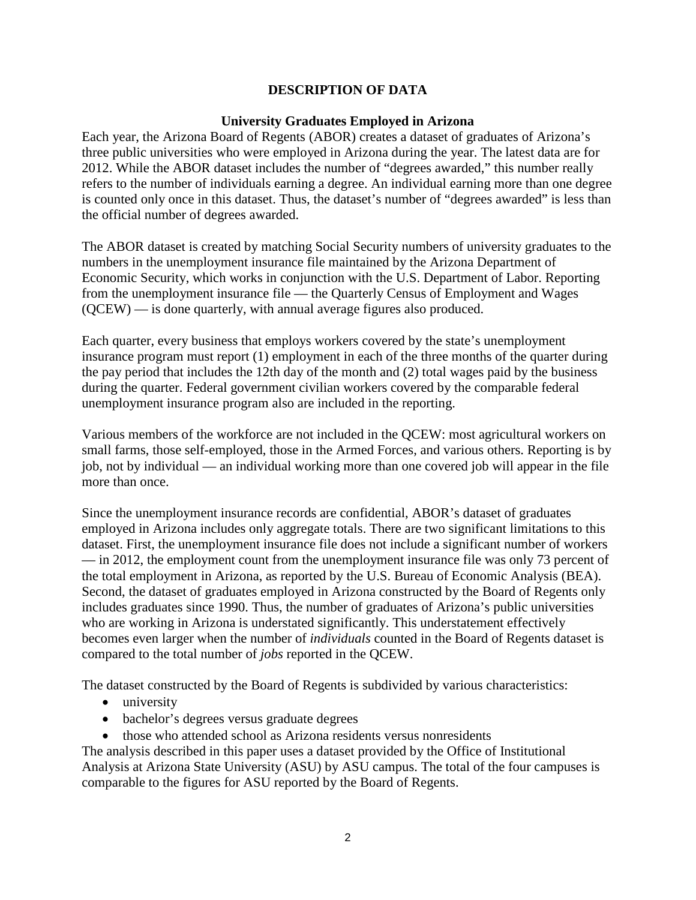#### **DESCRIPTION OF DATA**

#### **University Graduates Employed in Arizona**

Each year, the Arizona Board of Regents (ABOR) creates a dataset of graduates of Arizona's three public universities who were employed in Arizona during the year. The latest data are for 2012. While the ABOR dataset includes the number of "degrees awarded," this number really refers to the number of individuals earning a degree. An individual earning more than one degree is counted only once in this dataset. Thus, the dataset's number of "degrees awarded" is less than the official number of degrees awarded.

The ABOR dataset is created by matching Social Security numbers of university graduates to the numbers in the unemployment insurance file maintained by the Arizona Department of Economic Security, which works in conjunction with the U.S. Department of Labor. Reporting from the unemployment insurance file — the Quarterly Census of Employment and Wages (QCEW) — is done quarterly, with annual average figures also produced.

Each quarter, every business that employs workers covered by the state's unemployment insurance program must report (1) employment in each of the three months of the quarter during the pay period that includes the 12th day of the month and (2) total wages paid by the business during the quarter. Federal government civilian workers covered by the comparable federal unemployment insurance program also are included in the reporting.

Various members of the workforce are not included in the QCEW: most agricultural workers on small farms, those self-employed, those in the Armed Forces, and various others. Reporting is by job, not by individual — an individual working more than one covered job will appear in the file more than once.

Since the unemployment insurance records are confidential, ABOR's dataset of graduates employed in Arizona includes only aggregate totals. There are two significant limitations to this dataset. First, the unemployment insurance file does not include a significant number of workers — in 2012, the employment count from the unemployment insurance file was only 73 percent of the total employment in Arizona, as reported by the U.S. Bureau of Economic Analysis (BEA). Second, the dataset of graduates employed in Arizona constructed by the Board of Regents only includes graduates since 1990. Thus, the number of graduates of Arizona's public universities who are working in Arizona is understated significantly. This understatement effectively becomes even larger when the number of *individuals* counted in the Board of Regents dataset is compared to the total number of *jobs* reported in the QCEW.

The dataset constructed by the Board of Regents is subdivided by various characteristics:

- university
- bachelor's degrees versus graduate degrees
- those who attended school as Arizona residents versus nonresidents

The analysis described in this paper uses a dataset provided by the Office of Institutional Analysis at Arizona State University (ASU) by ASU campus. The total of the four campuses is comparable to the figures for ASU reported by the Board of Regents.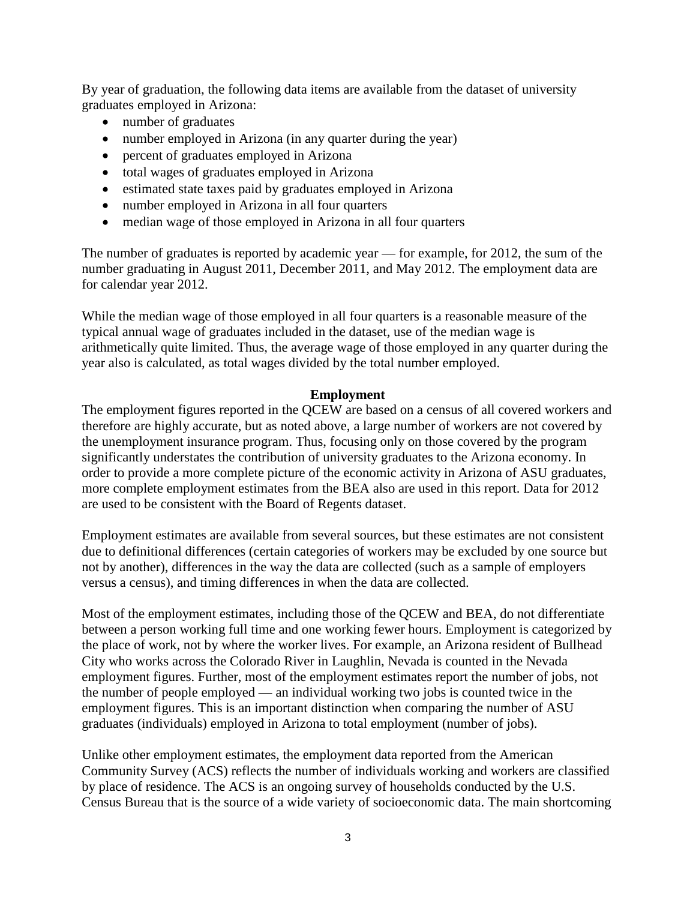By year of graduation, the following data items are available from the dataset of university graduates employed in Arizona:

- number of graduates
- number employed in Arizona (in any quarter during the year)
- percent of graduates employed in Arizona
- total wages of graduates employed in Arizona
- estimated state taxes paid by graduates employed in Arizona
- number employed in Arizona in all four quarters
- median wage of those employed in Arizona in all four quarters

The number of graduates is reported by academic year — for example, for 2012, the sum of the number graduating in August 2011, December 2011, and May 2012. The employment data are for calendar year 2012.

While the median wage of those employed in all four quarters is a reasonable measure of the typical annual wage of graduates included in the dataset, use of the median wage is arithmetically quite limited. Thus, the average wage of those employed in any quarter during the year also is calculated, as total wages divided by the total number employed.

#### **Employment**

The employment figures reported in the QCEW are based on a census of all covered workers and therefore are highly accurate, but as noted above, a large number of workers are not covered by the unemployment insurance program. Thus, focusing only on those covered by the program significantly understates the contribution of university graduates to the Arizona economy. In order to provide a more complete picture of the economic activity in Arizona of ASU graduates, more complete employment estimates from the BEA also are used in this report. Data for 2012 are used to be consistent with the Board of Regents dataset.

Employment estimates are available from several sources, but these estimates are not consistent due to definitional differences (certain categories of workers may be excluded by one source but not by another), differences in the way the data are collected (such as a sample of employers versus a census), and timing differences in when the data are collected.

Most of the employment estimates, including those of the QCEW and BEA, do not differentiate between a person working full time and one working fewer hours. Employment is categorized by the place of work, not by where the worker lives. For example, an Arizona resident of Bullhead City who works across the Colorado River in Laughlin, Nevada is counted in the Nevada employment figures. Further, most of the employment estimates report the number of jobs, not the number of people employed — an individual working two jobs is counted twice in the employment figures. This is an important distinction when comparing the number of ASU graduates (individuals) employed in Arizona to total employment (number of jobs).

Unlike other employment estimates, the employment data reported from the American Community Survey (ACS) reflects the number of individuals working and workers are classified by place of residence. The ACS is an ongoing survey of households conducted by the U.S. Census Bureau that is the source of a wide variety of socioeconomic data. The main shortcoming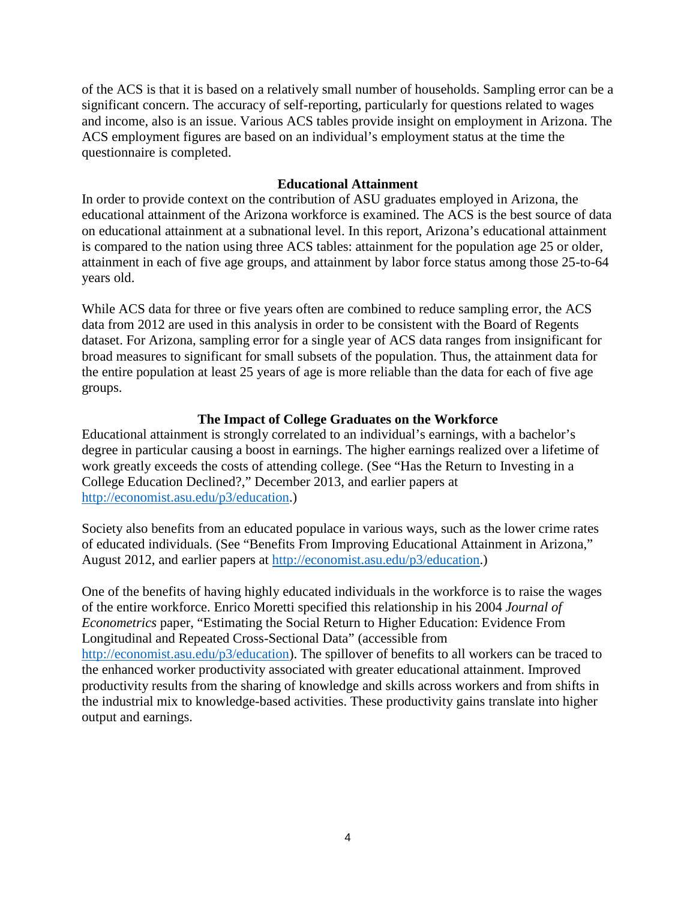of the ACS is that it is based on a relatively small number of households. Sampling error can be a significant concern. The accuracy of self-reporting, particularly for questions related to wages and income, also is an issue. Various ACS tables provide insight on employment in Arizona. The ACS employment figures are based on an individual's employment status at the time the questionnaire is completed.

#### **Educational Attainment**

In order to provide context on the contribution of ASU graduates employed in Arizona, the educational attainment of the Arizona workforce is examined. The ACS is the best source of data on educational attainment at a subnational level. In this report, Arizona's educational attainment is compared to the nation using three ACS tables: attainment for the population age 25 or older, attainment in each of five age groups, and attainment by labor force status among those 25-to-64 years old.

While ACS data for three or five years often are combined to reduce sampling error, the ACS data from 2012 are used in this analysis in order to be consistent with the Board of Regents dataset. For Arizona, sampling error for a single year of ACS data ranges from insignificant for broad measures to significant for small subsets of the population. Thus, the attainment data for the entire population at least 25 years of age is more reliable than the data for each of five age groups.

#### **The Impact of College Graduates on the Workforce**

Educational attainment is strongly correlated to an individual's earnings, with a bachelor's degree in particular causing a boost in earnings. The higher earnings realized over a lifetime of work greatly exceeds the costs of attending college. (See "Has the Return to Investing in a College Education Declined?," December 2013, and earlier papers at [http://economist.asu.edu/p3/education.](http://economist.asu.edu/p3/education))

Society also benefits from an educated populace in various ways, such as the lower crime rates of educated individuals. (See "Benefits From Improving Educational Attainment in Arizona," August 2012, and earlier papers at [http://economist.asu.edu/p3/education.](http://economist.asu.edu/p3/education))

One of the benefits of having highly educated individuals in the workforce is to raise the wages of the entire workforce. Enrico Moretti specified this relationship in his 2004 *Journal of Econometrics* paper, "Estimating the Social Return to Higher Education: Evidence From Longitudinal and Repeated Cross-Sectional Data" (accessible from [http://economist.asu.edu/p3/education\)](http://economist.asu.edu/p3/education). The spillover of benefits to all workers can be traced to the enhanced worker productivity associated with greater educational attainment. Improved productivity results from the sharing of knowledge and skills across workers and from shifts in the industrial mix to knowledge-based activities. These productivity gains translate into higher output and earnings.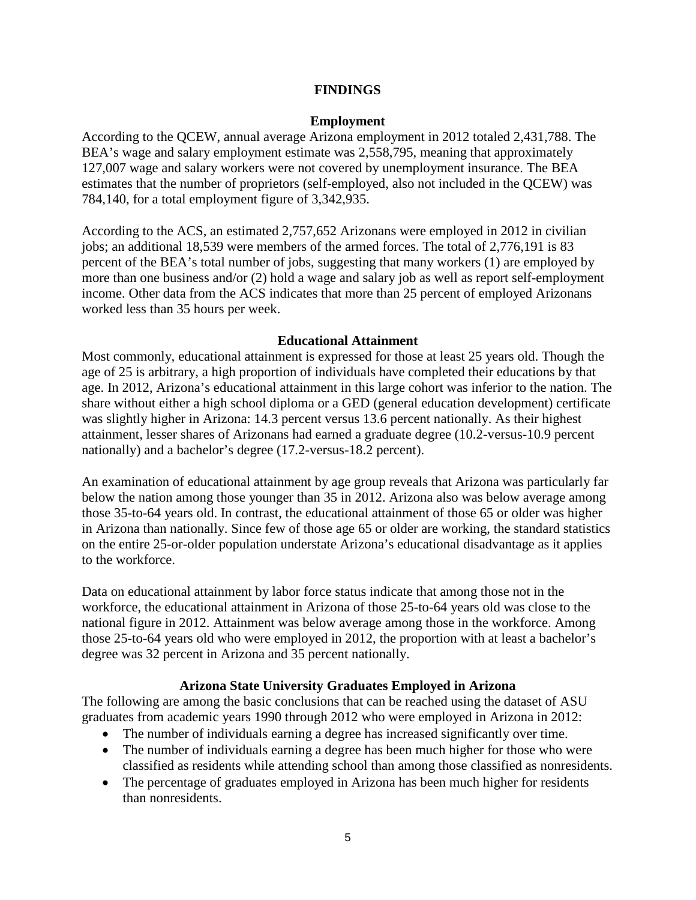#### **FINDINGS**

#### **Employment**

According to the QCEW, annual average Arizona employment in 2012 totaled 2,431,788. The BEA's wage and salary employment estimate was 2,558,795, meaning that approximately 127,007 wage and salary workers were not covered by unemployment insurance. The BEA estimates that the number of proprietors (self-employed, also not included in the QCEW) was 784,140, for a total employment figure of 3,342,935.

According to the ACS, an estimated 2,757,652 Arizonans were employed in 2012 in civilian jobs; an additional 18,539 were members of the armed forces. The total of 2,776,191 is 83 percent of the BEA's total number of jobs, suggesting that many workers (1) are employed by more than one business and/or (2) hold a wage and salary job as well as report self-employment income. Other data from the ACS indicates that more than 25 percent of employed Arizonans worked less than 35 hours per week.

#### **Educational Attainment**

Most commonly, educational attainment is expressed for those at least 25 years old. Though the age of 25 is arbitrary, a high proportion of individuals have completed their educations by that age. In 2012, Arizona's educational attainment in this large cohort was inferior to the nation. The share without either a high school diploma or a GED (general education development) certificate was slightly higher in Arizona: 14.3 percent versus 13.6 percent nationally. As their highest attainment, lesser shares of Arizonans had earned a graduate degree (10.2-versus-10.9 percent nationally) and a bachelor's degree (17.2-versus-18.2 percent).

An examination of educational attainment by age group reveals that Arizona was particularly far below the nation among those younger than 35 in 2012. Arizona also was below average among those 35-to-64 years old. In contrast, the educational attainment of those 65 or older was higher in Arizona than nationally. Since few of those age 65 or older are working, the standard statistics on the entire 25-or-older population understate Arizona's educational disadvantage as it applies to the workforce.

Data on educational attainment by labor force status indicate that among those not in the workforce, the educational attainment in Arizona of those 25-to-64 years old was close to the national figure in 2012. Attainment was below average among those in the workforce. Among those 25-to-64 years old who were employed in 2012, the proportion with at least a bachelor's degree was 32 percent in Arizona and 35 percent nationally.

#### **Arizona State University Graduates Employed in Arizona**

The following are among the basic conclusions that can be reached using the dataset of ASU graduates from academic years 1990 through 2012 who were employed in Arizona in 2012:

- The number of individuals earning a degree has increased significantly over time.
- The number of individuals earning a degree has been much higher for those who were classified as residents while attending school than among those classified as nonresidents.
- The percentage of graduates employed in Arizona has been much higher for residents than nonresidents.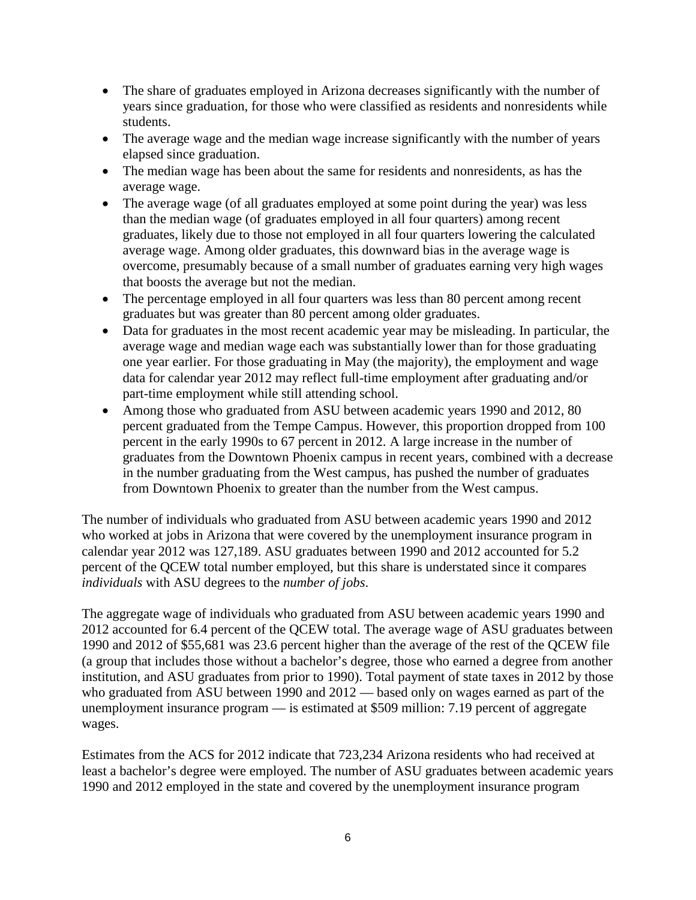- The share of graduates employed in Arizona decreases significantly with the number of years since graduation, for those who were classified as residents and nonresidents while students.
- The average wage and the median wage increase significantly with the number of years elapsed since graduation.
- The median wage has been about the same for residents and nonresidents, as has the average wage.
- The average wage (of all graduates employed at some point during the year) was less than the median wage (of graduates employed in all four quarters) among recent graduates, likely due to those not employed in all four quarters lowering the calculated average wage. Among older graduates, this downward bias in the average wage is overcome, presumably because of a small number of graduates earning very high wages that boosts the average but not the median.
- The percentage employed in all four quarters was less than 80 percent among recent graduates but was greater than 80 percent among older graduates.
- Data for graduates in the most recent academic year may be misleading. In particular, the average wage and median wage each was substantially lower than for those graduating one year earlier. For those graduating in May (the majority), the employment and wage data for calendar year 2012 may reflect full-time employment after graduating and/or part-time employment while still attending school.
- Among those who graduated from ASU between academic years 1990 and 2012, 80 percent graduated from the Tempe Campus. However, this proportion dropped from 100 percent in the early 1990s to 67 percent in 2012. A large increase in the number of graduates from the Downtown Phoenix campus in recent years, combined with a decrease in the number graduating from the West campus, has pushed the number of graduates from Downtown Phoenix to greater than the number from the West campus.

The number of individuals who graduated from ASU between academic years 1990 and 2012 who worked at jobs in Arizona that were covered by the unemployment insurance program in calendar year 2012 was 127,189. ASU graduates between 1990 and 2012 accounted for 5.2 percent of the QCEW total number employed, but this share is understated since it compares *individuals* with ASU degrees to the *number of jobs*.

The aggregate wage of individuals who graduated from ASU between academic years 1990 and 2012 accounted for 6.4 percent of the QCEW total. The average wage of ASU graduates between 1990 and 2012 of \$55,681 was 23.6 percent higher than the average of the rest of the QCEW file (a group that includes those without a bachelor's degree, those who earned a degree from another institution, and ASU graduates from prior to 1990). Total payment of state taxes in 2012 by those who graduated from ASU between 1990 and 2012 — based only on wages earned as part of the unemployment insurance program — is estimated at \$509 million: 7.19 percent of aggregate wages.

Estimates from the ACS for 2012 indicate that 723,234 Arizona residents who had received at least a bachelor's degree were employed. The number of ASU graduates between academic years 1990 and 2012 employed in the state and covered by the unemployment insurance program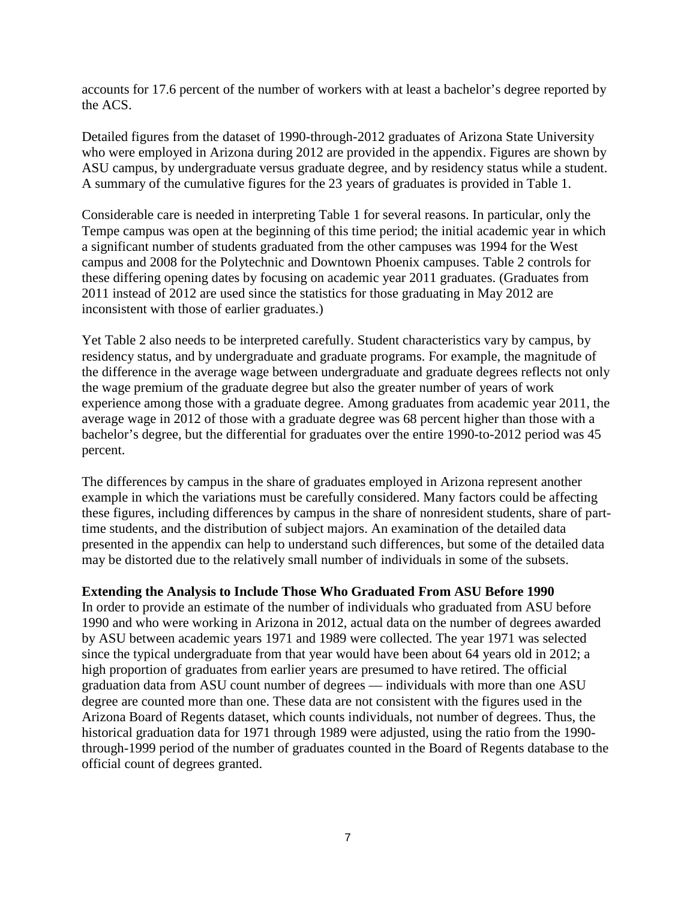accounts for 17.6 percent of the number of workers with at least a bachelor's degree reported by the ACS.

Detailed figures from the dataset of 1990-through-2012 graduates of Arizona State University who were employed in Arizona during 2012 are provided in the appendix. Figures are shown by ASU campus, by undergraduate versus graduate degree, and by residency status while a student. A summary of the cumulative figures for the 23 years of graduates is provided in Table 1.

Considerable care is needed in interpreting Table 1 for several reasons. In particular, only the Tempe campus was open at the beginning of this time period; the initial academic year in which a significant number of students graduated from the other campuses was 1994 for the West campus and 2008 for the Polytechnic and Downtown Phoenix campuses. Table 2 controls for these differing opening dates by focusing on academic year 2011 graduates. (Graduates from 2011 instead of 2012 are used since the statistics for those graduating in May 2012 are inconsistent with those of earlier graduates.)

Yet Table 2 also needs to be interpreted carefully. Student characteristics vary by campus, by residency status, and by undergraduate and graduate programs. For example, the magnitude of the difference in the average wage between undergraduate and graduate degrees reflects not only the wage premium of the graduate degree but also the greater number of years of work experience among those with a graduate degree. Among graduates from academic year 2011, the average wage in 2012 of those with a graduate degree was 68 percent higher than those with a bachelor's degree, but the differential for graduates over the entire 1990-to-2012 period was 45 percent.

The differences by campus in the share of graduates employed in Arizona represent another example in which the variations must be carefully considered. Many factors could be affecting these figures, including differences by campus in the share of nonresident students, share of parttime students, and the distribution of subject majors. An examination of the detailed data presented in the appendix can help to understand such differences, but some of the detailed data may be distorted due to the relatively small number of individuals in some of the subsets.

#### **Extending the Analysis to Include Those Who Graduated From ASU Before 1990**

In order to provide an estimate of the number of individuals who graduated from ASU before 1990 and who were working in Arizona in 2012, actual data on the number of degrees awarded by ASU between academic years 1971 and 1989 were collected. The year 1971 was selected since the typical undergraduate from that year would have been about 64 years old in 2012; a high proportion of graduates from earlier years are presumed to have retired. The official graduation data from ASU count number of degrees — individuals with more than one ASU degree are counted more than one. These data are not consistent with the figures used in the Arizona Board of Regents dataset, which counts individuals, not number of degrees. Thus, the historical graduation data for 1971 through 1989 were adjusted, using the ratio from the 1990 through-1999 period of the number of graduates counted in the Board of Regents database to the official count of degrees granted.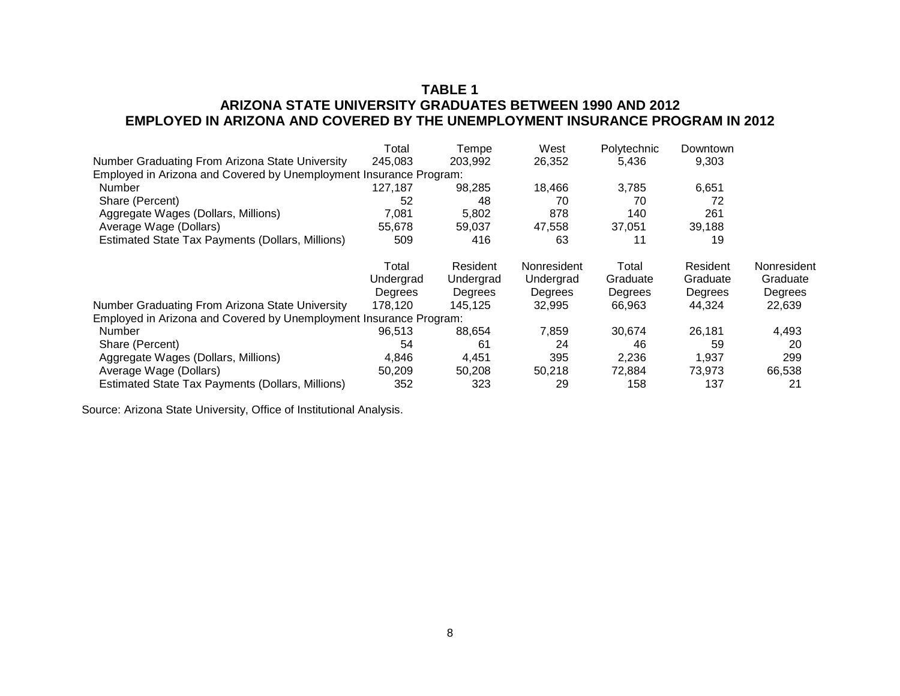# **TABLE 1 ARIZONA STATE UNIVERSITY GRADUATES BETWEEN 1990 AND 2012 EMPLOYED IN ARIZONA AND COVERED BY THE UNEMPLOYMENT INSURANCE PROGRAM IN 2012**

|                                                                    | Total     | Tempe     | West        | Polytechnic | Downtown |             |
|--------------------------------------------------------------------|-----------|-----------|-------------|-------------|----------|-------------|
| Number Graduating From Arizona State University                    | 245,083   | 203,992   | 26,352      | 5,436       | 9,303    |             |
| Employed in Arizona and Covered by Unemployment Insurance Program: |           |           |             |             |          |             |
| Number                                                             | 127,187   | 98,285    | 18,466      | 3,785       | 6,651    |             |
| Share (Percent)                                                    | 52        | 48        | 70          | 70          | 72       |             |
| Aggregate Wages (Dollars, Millions)                                | 7,081     | 5,802     | 878         | 140         | 261      |             |
| Average Wage (Dollars)                                             | 55,678    | 59,037    | 47,558      | 37,051      | 39,188   |             |
| Estimated State Tax Payments (Dollars, Millions)                   | 509       | 416       | 63          | 11          | 19       |             |
|                                                                    | Total     | Resident  | Nonresident | Total       | Resident | Nonresident |
|                                                                    | Undergrad | Undergrad | Undergrad   | Graduate    | Graduate | Graduate    |
|                                                                    | Degrees   | Degrees   | Degrees     | Degrees     | Degrees  | Degrees     |
| Number Graduating From Arizona State University                    | 178,120   | 145,125   | 32,995      | 66,963      | 44,324   | 22,639      |
| Employed in Arizona and Covered by Unemployment Insurance Program: |           |           |             |             |          |             |
| Number                                                             | 96,513    | 88,654    | 7.859       | 30,674      | 26,181   | 4,493       |
| Share (Percent)                                                    | 54        | 61        | 24          | 46          | 59       | 20          |
| Aggregate Wages (Dollars, Millions)                                | 4,846     | 4,451     | 395         | 2,236       | 1,937    | 299         |
| Average Wage (Dollars)                                             | 50.209    | 50,208    | 50,218      | 72.884      | 73.973   | 66,538      |
| Estimated State Tax Payments (Dollars, Millions)                   | 352       | 323       | 29          | 158         | 137      | 21          |

Source: Arizona State University, Office of Institutional Analysis.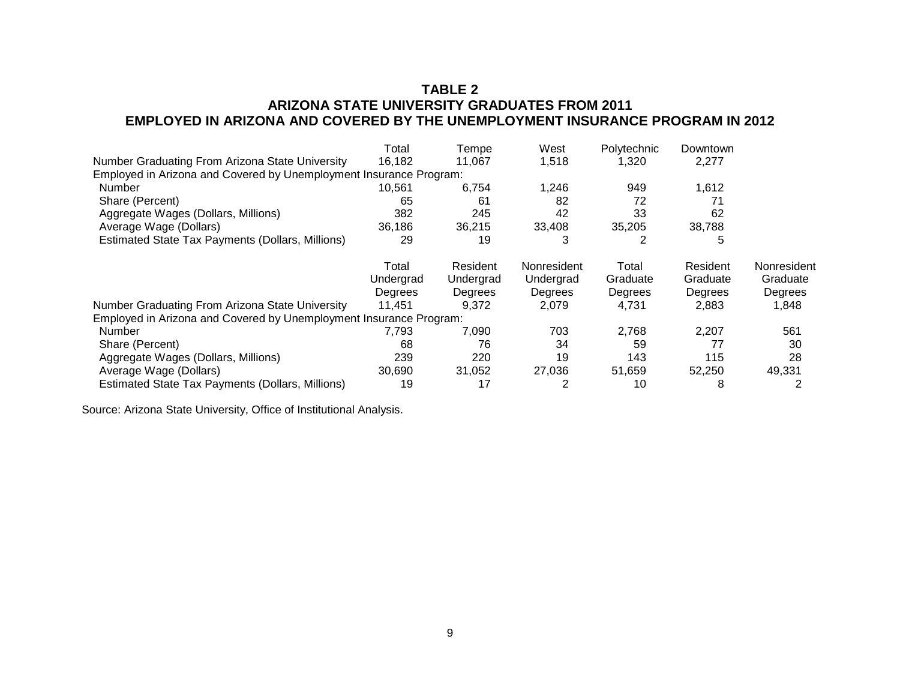# **TABLE 2 ARIZONA STATE UNIVERSITY GRADUATES FROM 2011 EMPLOYED IN ARIZONA AND COVERED BY THE UNEMPLOYMENT INSURANCE PROGRAM IN 2012**

|                                                                    | Total          | Tempe     | West        | Polytechnic | Downtown |             |
|--------------------------------------------------------------------|----------------|-----------|-------------|-------------|----------|-------------|
| Number Graduating From Arizona State University                    | 16,182         | 11.067    | 1,518       | 1,320       | 2,277    |             |
| Employed in Arizona and Covered by Unemployment Insurance Program: |                |           |             |             |          |             |
| Number                                                             | 10,561         | 6.754     | 1,246       | 949         | 1,612    |             |
| Share (Percent)                                                    | 65             | 61        | 82          | 72          | 71       |             |
| Aggregate Wages (Dollars, Millions)                                | 382            | 245       | 42          | 33          | 62       |             |
| Average Wage (Dollars)                                             | 36,186         | 36,215    | 33,408      | 35,205      | 38,788   |             |
| Estimated State Tax Payments (Dollars, Millions)                   | 29             | 19        | 3           |             | 5        |             |
|                                                                    | Total          | Resident  | Nonresident | Total       | Resident | Nonresident |
|                                                                    | Undergrad      | Undergrad | Undergrad   | Graduate    | Graduate | Graduate    |
|                                                                    | <b>Degrees</b> | Degrees   | Degrees     | Degrees     | Degrees  | Degrees     |
| Number Graduating From Arizona State University                    | 11.451         | 9,372     | 2.079       | 4.731       | 2,883    | 1,848       |
| Employed in Arizona and Covered by Unemployment Insurance Program: |                |           |             |             |          |             |
| Number                                                             | 7.793          | 7,090     | 703         | 2,768       | 2.207    | 561         |
| Share (Percent)                                                    | 68             | 76        | 34          | 59          | 77       | 30          |
| Aggregate Wages (Dollars, Millions)                                | 239            | 220       | 19          | 143         | 115      | 28          |
| Average Wage (Dollars)                                             | 30,690         | 31,052    | 27,036      | 51,659      | 52,250   | 49,331      |
| Estimated State Tax Payments (Dollars, Millions)                   | 19             | 17        |             | 10          | 8        |             |

Source: Arizona State University, Office of Institutional Analysis.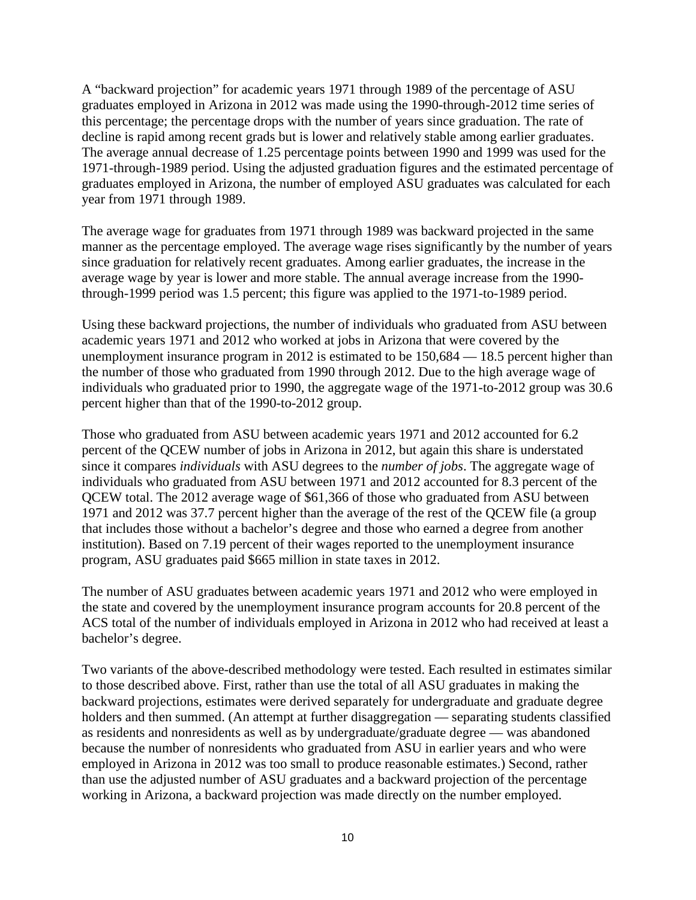A "backward projection" for academic years 1971 through 1989 of the percentage of ASU graduates employed in Arizona in 2012 was made using the 1990-through-2012 time series of this percentage; the percentage drops with the number of years since graduation. The rate of decline is rapid among recent grads but is lower and relatively stable among earlier graduates. The average annual decrease of 1.25 percentage points between 1990 and 1999 was used for the 1971-through-1989 period. Using the adjusted graduation figures and the estimated percentage of graduates employed in Arizona, the number of employed ASU graduates was calculated for each year from 1971 through 1989.

The average wage for graduates from 1971 through 1989 was backward projected in the same manner as the percentage employed. The average wage rises significantly by the number of years since graduation for relatively recent graduates. Among earlier graduates, the increase in the average wage by year is lower and more stable. The annual average increase from the 1990 through-1999 period was 1.5 percent; this figure was applied to the 1971-to-1989 period.

Using these backward projections, the number of individuals who graduated from ASU between academic years 1971 and 2012 who worked at jobs in Arizona that were covered by the unemployment insurance program in 2012 is estimated to be 150,684 — 18.5 percent higher than the number of those who graduated from 1990 through 2012. Due to the high average wage of individuals who graduated prior to 1990, the aggregate wage of the 1971-to-2012 group was 30.6 percent higher than that of the 1990-to-2012 group.

Those who graduated from ASU between academic years 1971 and 2012 accounted for 6.2 percent of the QCEW number of jobs in Arizona in 2012, but again this share is understated since it compares *individuals* with ASU degrees to the *number of jobs*. The aggregate wage of individuals who graduated from ASU between 1971 and 2012 accounted for 8.3 percent of the QCEW total. The 2012 average wage of \$61,366 of those who graduated from ASU between 1971 and 2012 was 37.7 percent higher than the average of the rest of the QCEW file (a group that includes those without a bachelor's degree and those who earned a degree from another institution). Based on 7.19 percent of their wages reported to the unemployment insurance program, ASU graduates paid \$665 million in state taxes in 2012.

The number of ASU graduates between academic years 1971 and 2012 who were employed in the state and covered by the unemployment insurance program accounts for 20.8 percent of the ACS total of the number of individuals employed in Arizona in 2012 who had received at least a bachelor's degree.

Two variants of the above-described methodology were tested. Each resulted in estimates similar to those described above. First, rather than use the total of all ASU graduates in making the backward projections, estimates were derived separately for undergraduate and graduate degree holders and then summed. (An attempt at further disaggregation — separating students classified as residents and nonresidents as well as by undergraduate/graduate degree — was abandoned because the number of nonresidents who graduated from ASU in earlier years and who were employed in Arizona in 2012 was too small to produce reasonable estimates.) Second, rather than use the adjusted number of ASU graduates and a backward projection of the percentage working in Arizona, a backward projection was made directly on the number employed.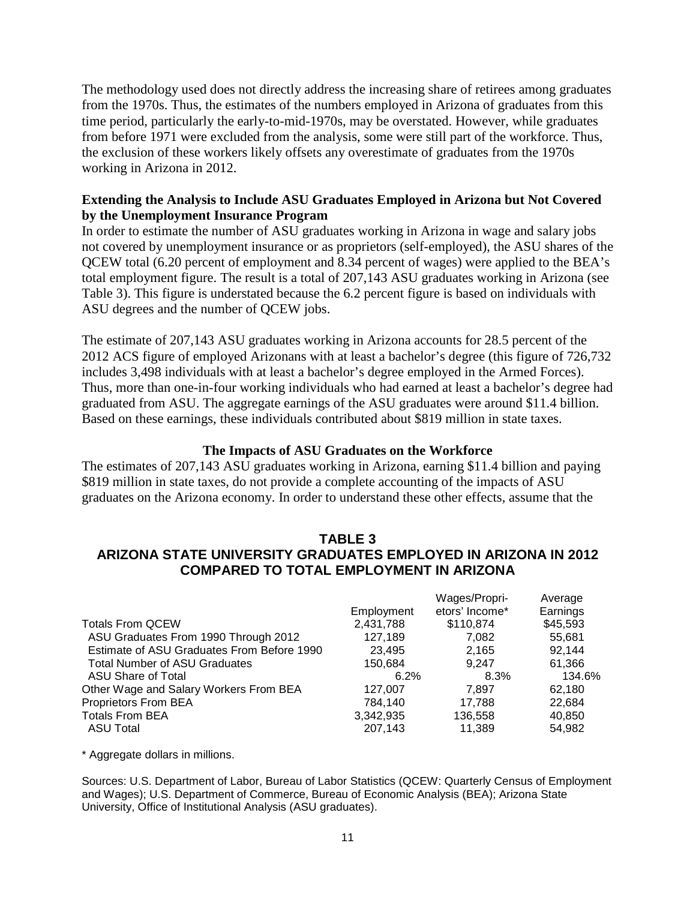The methodology used does not directly address the increasing share of retirees among graduates from the 1970s. Thus, the estimates of the numbers employed in Arizona of graduates from this time period, particularly the early-to-mid-1970s, may be overstated. However, while graduates from before 1971 were excluded from the analysis, some were still part of the workforce. Thus, the exclusion of these workers likely offsets any overestimate of graduates from the 1970s working in Arizona in 2012.

#### **Extending the Analysis to Include ASU Graduates Employed in Arizona but Not Covered by the Unemployment Insurance Program**

In order to estimate the number of ASU graduates working in Arizona in wage and salary jobs not covered by unemployment insurance or as proprietors (self-employed), the ASU shares of the QCEW total (6.20 percent of employment and 8.34 percent of wages) were applied to the BEA's total employment figure. The result is a total of 207,143 ASU graduates working in Arizona (see Table 3). This figure is understated because the 6.2 percent figure is based on individuals with ASU degrees and the number of QCEW jobs.

The estimate of 207,143 ASU graduates working in Arizona accounts for 28.5 percent of the 2012 ACS figure of employed Arizonans with at least a bachelor's degree (this figure of 726,732 includes 3,498 individuals with at least a bachelor's degree employed in the Armed Forces). Thus, more than one-in-four working individuals who had earned at least a bachelor's degree had graduated from ASU. The aggregate earnings of the ASU graduates were around \$11.4 billion. Based on these earnings, these individuals contributed about \$819 million in state taxes.

#### **The Impacts of ASU Graduates on the Workforce**

The estimates of 207,143 ASU graduates working in Arizona, earning \$11.4 billion and paying \$819 million in state taxes, do not provide a complete accounting of the impacts of ASU graduates on the Arizona economy. In order to understand these other effects, assume that the

# **TABLE 3 ARIZONA STATE UNIVERSITY GRADUATES EMPLOYED IN ARIZONA IN 2012 COMPARED TO TOTAL EMPLOYMENT IN ARIZONA**

|            | Wages/Propri-  | Average  |
|------------|----------------|----------|
| Employment | etors' Income* | Earnings |
| 2,431,788  | \$110,874      | \$45,593 |
| 127,189    | 7.082          | 55.681   |
| 23,495     | 2.165          | 92.144   |
| 150.684    | 9.247          | 61,366   |
| 6.2%       | 8.3%           | 134.6%   |
| 127,007    | 7.897          | 62,180   |
| 784.140    | 17.788         | 22,684   |
| 3,342,935  | 136,558        | 40,850   |
| 207.143    | 11.389         | 54.982   |
|            |                |          |

\* Aggregate dollars in millions.

Sources: U.S. Department of Labor, Bureau of Labor Statistics (QCEW: Quarterly Census of Employment and Wages); U.S. Department of Commerce, Bureau of Economic Analysis (BEA); Arizona State University, Office of Institutional Analysis (ASU graduates).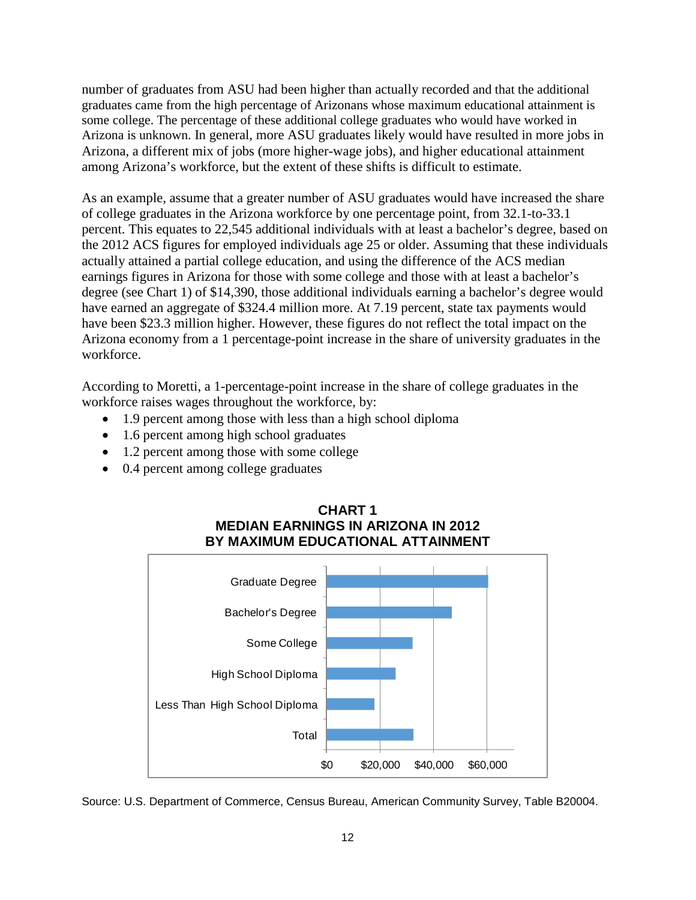number of graduates from ASU had been higher than actually recorded and that the additional graduates came from the high percentage of Arizonans whose maximum educational attainment is some college. The percentage of these additional college graduates who would have worked in Arizona is unknown. In general, more ASU graduates likely would have resulted in more jobs in Arizona, a different mix of jobs (more higher-wage jobs), and higher educational attainment among Arizona's workforce, but the extent of these shifts is difficult to estimate.

As an example, assume that a greater number of ASU graduates would have increased the share of college graduates in the Arizona workforce by one percentage point, from 32.1-to-33.1 percent. This equates to 22,545 additional individuals with at least a bachelor's degree, based on the 2012 ACS figures for employed individuals age 25 or older. Assuming that these individuals actually attained a partial college education, and using the difference of the ACS median earnings figures in Arizona for those with some college and those with at least a bachelor's degree (see Chart 1) of \$14,390, those additional individuals earning a bachelor's degree would have earned an aggregate of \$324.4 million more. At 7.19 percent, state tax payments would have been \$23.3 million higher. However, these figures do not reflect the total impact on the Arizona economy from a 1 percentage-point increase in the share of university graduates in the workforce.

According to Moretti, a 1-percentage-point increase in the share of college graduates in the workforce raises wages throughout the workforce, by:

- 1.9 percent among those with less than a high school diploma
- 1.6 percent among high school graduates
- 1.2 percent among those with some college
- 0.4 percent among college graduates



# **CHART 1 MEDIAN EARNINGS IN ARIZONA IN 2012 BY MAXIMUM EDUCATIONAL ATTAINMENT**

Source: U.S. Department of Commerce, Census Bureau, American Community Survey, Table B20004.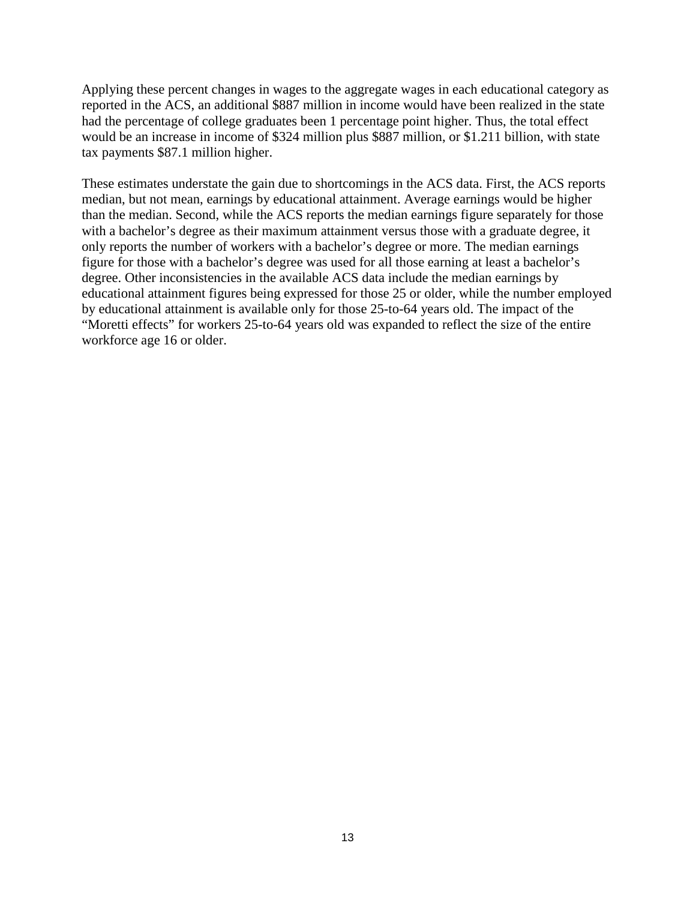Applying these percent changes in wages to the aggregate wages in each educational category as reported in the ACS, an additional \$887 million in income would have been realized in the state had the percentage of college graduates been 1 percentage point higher. Thus, the total effect would be an increase in income of \$324 million plus \$887 million, or \$1.211 billion, with state tax payments \$87.1 million higher.

These estimates understate the gain due to shortcomings in the ACS data. First, the ACS reports median, but not mean, earnings by educational attainment. Average earnings would be higher than the median. Second, while the ACS reports the median earnings figure separately for those with a bachelor's degree as their maximum attainment versus those with a graduate degree, it only reports the number of workers with a bachelor's degree or more. The median earnings figure for those with a bachelor's degree was used for all those earning at least a bachelor's degree. Other inconsistencies in the available ACS data include the median earnings by educational attainment figures being expressed for those 25 or older, while the number employed by educational attainment is available only for those 25-to-64 years old. The impact of the "Moretti effects" for workers 25-to-64 years old was expanded to reflect the size of the entire workforce age 16 or older.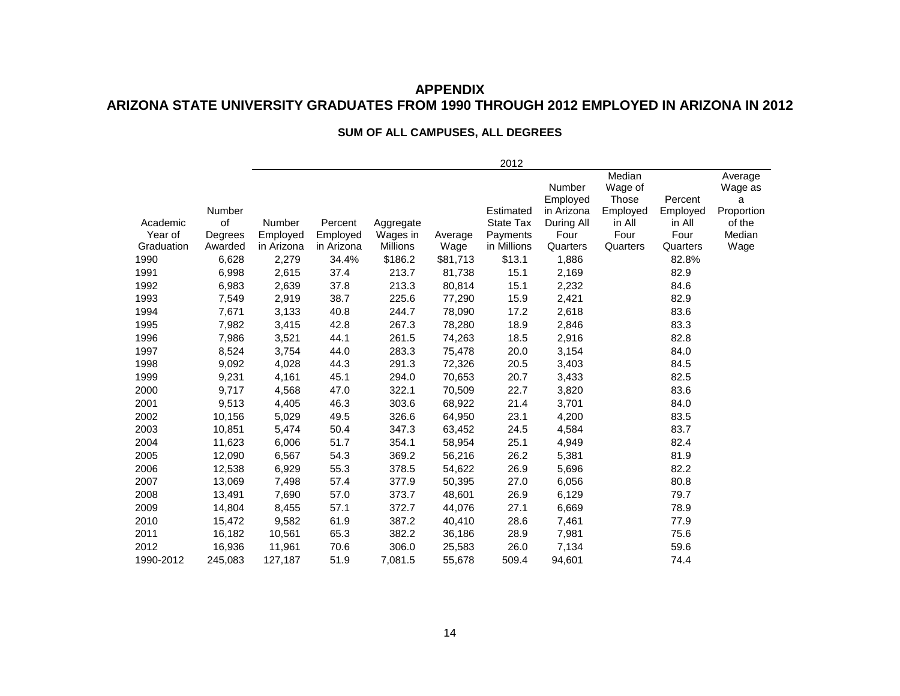# **APPENDIX ARIZONA STATE UNIVERSITY GRADUATES FROM 1990 THROUGH 2012 EMPLOYED IN ARIZONA IN 2012**

#### **SUM OF ALL CAMPUSES, ALL DEGREES**

|            |         |               |            |           |          | 2012             |            |          |          |            |
|------------|---------|---------------|------------|-----------|----------|------------------|------------|----------|----------|------------|
|            |         |               |            |           |          |                  |            | Median   |          | Average    |
|            |         |               |            |           |          |                  | Number     | Wage of  |          | Wage as    |
|            |         |               |            |           |          |                  | Employed   | Those    | Percent  | a          |
|            | Number  |               |            |           |          | Estimated        | in Arizona | Employed | Employed | Proportion |
| Academic   | of      | <b>Number</b> | Percent    | Aggregate |          | <b>State Tax</b> | During All | in All   | in All   | of the     |
| Year of    | Degrees | Employed      | Employed   | Wages in  | Average  | Payments         | Four       | Four     | Four     | Median     |
| Graduation | Awarded | in Arizona    | in Arizona | Millions  | Wage     | in Millions      | Quarters   | Quarters | Quarters | Wage       |
| 1990       | 6,628   | 2,279         | 34.4%      | \$186.2   | \$81,713 | \$13.1           | 1,886      |          | 82.8%    |            |
| 1991       | 6,998   | 2,615         | 37.4       | 213.7     | 81,738   | 15.1             | 2,169      |          | 82.9     |            |
| 1992       | 6,983   | 2,639         | 37.8       | 213.3     | 80,814   | 15.1             | 2,232      |          | 84.6     |            |
| 1993       | 7,549   | 2,919         | 38.7       | 225.6     | 77,290   | 15.9             | 2,421      |          | 82.9     |            |
| 1994       | 7,671   | 3,133         | 40.8       | 244.7     | 78,090   | 17.2             | 2,618      |          | 83.6     |            |
| 1995       | 7,982   | 3,415         | 42.8       | 267.3     | 78,280   | 18.9             | 2,846      |          | 83.3     |            |
| 1996       | 7,986   | 3,521         | 44.1       | 261.5     | 74,263   | 18.5             | 2,916      |          | 82.8     |            |
| 1997       | 8,524   | 3,754         | 44.0       | 283.3     | 75,478   | 20.0             | 3,154      |          | 84.0     |            |
| 1998       | 9,092   | 4,028         | 44.3       | 291.3     | 72,326   | 20.5             | 3,403      |          | 84.5     |            |
| 1999       | 9,231   | 4,161         | 45.1       | 294.0     | 70,653   | 20.7             | 3,433      |          | 82.5     |            |
| 2000       | 9,717   | 4,568         | 47.0       | 322.1     | 70,509   | 22.7             | 3,820      |          | 83.6     |            |
| 2001       | 9,513   | 4,405         | 46.3       | 303.6     | 68,922   | 21.4             | 3,701      |          | 84.0     |            |
| 2002       | 10,156  | 5,029         | 49.5       | 326.6     | 64,950   | 23.1             | 4,200      |          | 83.5     |            |
| 2003       | 10,851  | 5,474         | 50.4       | 347.3     | 63,452   | 24.5             | 4,584      |          | 83.7     |            |
| 2004       | 11,623  | 6,006         | 51.7       | 354.1     | 58,954   | 25.1             | 4,949      |          | 82.4     |            |
| 2005       | 12,090  | 6,567         | 54.3       | 369.2     | 56,216   | 26.2             | 5,381      |          | 81.9     |            |
| 2006       | 12,538  | 6,929         | 55.3       | 378.5     | 54,622   | 26.9             | 5,696      |          | 82.2     |            |
| 2007       | 13,069  | 7,498         | 57.4       | 377.9     | 50,395   | 27.0             | 6,056      |          | 80.8     |            |
| 2008       | 13,491  | 7,690         | 57.0       | 373.7     | 48,601   | 26.9             | 6,129      |          | 79.7     |            |
| 2009       | 14,804  | 8,455         | 57.1       | 372.7     | 44,076   | 27.1             | 6,669      |          | 78.9     |            |
| 2010       | 15,472  | 9,582         | 61.9       | 387.2     | 40,410   | 28.6             | 7,461      |          | 77.9     |            |
| 2011       | 16,182  | 10,561        | 65.3       | 382.2     | 36,186   | 28.9             | 7,981      |          | 75.6     |            |
| 2012       | 16,936  | 11,961        | 70.6       | 306.0     | 25,583   | 26.0             | 7,134      |          | 59.6     |            |
| 1990-2012  | 245,083 | 127,187       | 51.9       | 7,081.5   | 55,678   | 509.4            | 94,601     |          | 74.4     |            |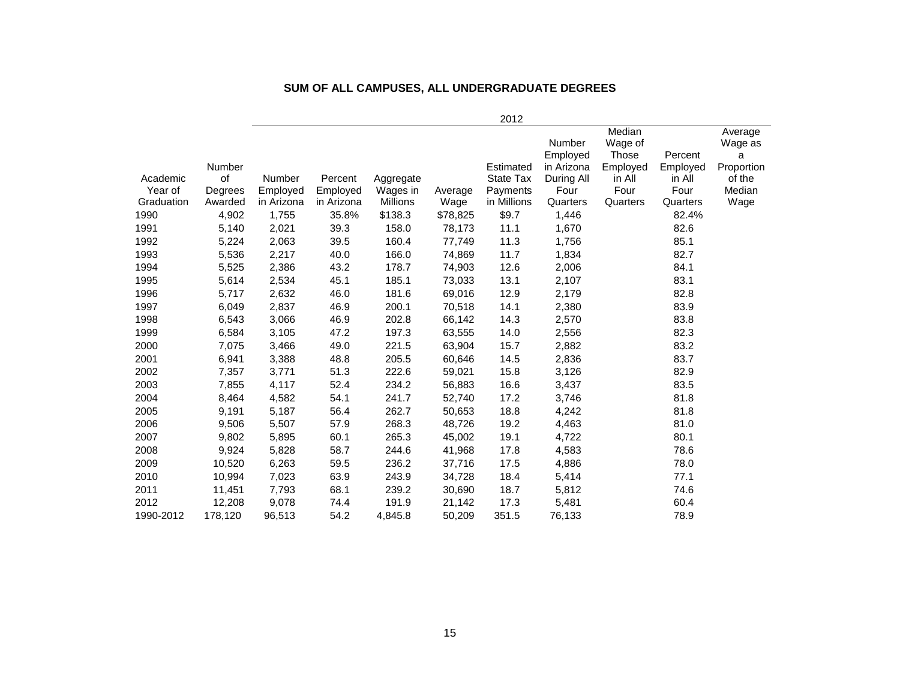|            |         |               |            |           |          | 2012             |            |          |          |            |
|------------|---------|---------------|------------|-----------|----------|------------------|------------|----------|----------|------------|
|            |         |               |            |           |          |                  |            | Median   |          | Average    |
|            |         |               |            |           |          |                  | Number     | Wage of  |          | Wage as    |
|            |         |               |            |           |          |                  | Employed   | Those    | Percent  | a          |
|            | Number  |               |            |           |          | Estimated        | in Arizona | Employed | Employed | Proportion |
| Academic   | of      | <b>Number</b> | Percent    | Aggregate |          | <b>State Tax</b> | During All | in All   | in All   | of the     |
| Year of    | Degrees | Employed      | Employed   | Wages in  | Average  | Payments         | Four       | Four     | Four     | Median     |
| Graduation | Awarded | in Arizona    | in Arizona | Millions  | Wage     | in Millions      | Quarters   | Quarters | Quarters | Wage       |
| 1990       | 4,902   | 1,755         | 35.8%      | \$138.3   | \$78,825 | \$9.7            | 1,446      |          | 82.4%    |            |
| 1991       | 5,140   | 2,021         | 39.3       | 158.0     | 78,173   | 11.1             | 1,670      |          | 82.6     |            |
| 1992       | 5,224   | 2,063         | 39.5       | 160.4     | 77,749   | 11.3             | 1,756      |          | 85.1     |            |
| 1993       | 5,536   | 2,217         | 40.0       | 166.0     | 74,869   | 11.7             | 1,834      |          | 82.7     |            |
| 1994       | 5,525   | 2,386         | 43.2       | 178.7     | 74,903   | 12.6             | 2,006      |          | 84.1     |            |
| 1995       | 5,614   | 2,534         | 45.1       | 185.1     | 73,033   | 13.1             | 2,107      |          | 83.1     |            |
| 1996       | 5,717   | 2,632         | 46.0       | 181.6     | 69,016   | 12.9             | 2,179      |          | 82.8     |            |
| 1997       | 6,049   | 2,837         | 46.9       | 200.1     | 70,518   | 14.1             | 2,380      |          | 83.9     |            |
| 1998       | 6,543   | 3,066         | 46.9       | 202.8     | 66,142   | 14.3             | 2,570      |          | 83.8     |            |
| 1999       | 6,584   | 3,105         | 47.2       | 197.3     | 63,555   | 14.0             | 2,556      |          | 82.3     |            |
| 2000       | 7,075   | 3,466         | 49.0       | 221.5     | 63,904   | 15.7             | 2,882      |          | 83.2     |            |
| 2001       | 6,941   | 3,388         | 48.8       | 205.5     | 60,646   | 14.5             | 2,836      |          | 83.7     |            |
| 2002       | 7,357   | 3,771         | 51.3       | 222.6     | 59,021   | 15.8             | 3,126      |          | 82.9     |            |
| 2003       | 7,855   | 4,117         | 52.4       | 234.2     | 56,883   | 16.6             | 3,437      |          | 83.5     |            |
| 2004       | 8,464   | 4,582         | 54.1       | 241.7     | 52,740   | 17.2             | 3,746      |          | 81.8     |            |
| 2005       | 9,191   | 5,187         | 56.4       | 262.7     | 50,653   | 18.8             | 4,242      |          | 81.8     |            |
| 2006       | 9,506   | 5,507         | 57.9       | 268.3     | 48,726   | 19.2             | 4,463      |          | 81.0     |            |
| 2007       | 9,802   | 5,895         | 60.1       | 265.3     | 45,002   | 19.1             | 4,722      |          | 80.1     |            |
| 2008       | 9,924   | 5,828         | 58.7       | 244.6     | 41,968   | 17.8             | 4,583      |          | 78.6     |            |
| 2009       | 10,520  | 6,263         | 59.5       | 236.2     | 37,716   | 17.5             | 4,886      |          | 78.0     |            |
| 2010       | 10,994  | 7,023         | 63.9       | 243.9     | 34,728   | 18.4             | 5,414      |          | 77.1     |            |
| 2011       | 11,451  | 7,793         | 68.1       | 239.2     | 30,690   | 18.7             | 5,812      |          | 74.6     |            |
| 2012       | 12,208  | 9,078         | 74.4       | 191.9     | 21,142   | 17.3             | 5,481      |          | 60.4     |            |
| 1990-2012  | 178,120 | 96,513        | 54.2       | 4,845.8   | 50,209   | 351.5            | 76,133     |          | 78.9     |            |
|            |         |               |            |           |          |                  |            |          |          |            |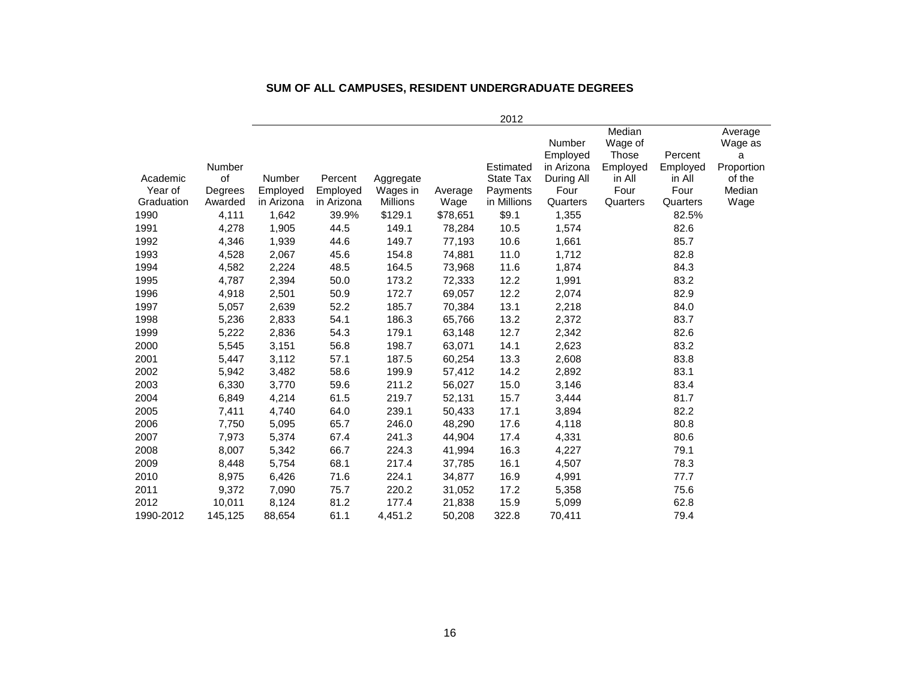|            |         |            |            |                 |          | 2012             |                    |                            |          |                         |
|------------|---------|------------|------------|-----------------|----------|------------------|--------------------|----------------------------|----------|-------------------------|
|            |         |            |            |                 |          |                  | Number<br>Employed | Median<br>Wage of<br>Those | Percent  | Average<br>Wage as<br>a |
|            | Number  |            |            |                 |          | Estimated        | in Arizona         | Employed                   | Employed | Proportion              |
| Academic   | of      | Number     | Percent    | Aggregate       |          | <b>State Tax</b> | During All         | in All                     | in All   | of the                  |
| Year of    | Degrees | Employed   | Employed   | Wages in        | Average  | Payments         | Four               | Four                       | Four     | Median                  |
| Graduation | Awarded | in Arizona | in Arizona | <b>Millions</b> | Wage     | in Millions      | Quarters           | Quarters                   | Quarters | Wage                    |
| 1990       | 4,111   | 1,642      | 39.9%      | \$129.1         | \$78,651 | \$9.1            | 1,355              |                            | 82.5%    |                         |
| 1991       | 4,278   | 1,905      | 44.5       | 149.1           | 78,284   | 10.5             | 1,574              |                            | 82.6     |                         |
| 1992       | 4,346   | 1,939      | 44.6       | 149.7           | 77,193   | 10.6             | 1,661              |                            | 85.7     |                         |
| 1993       | 4,528   | 2,067      | 45.6       | 154.8           | 74,881   | 11.0             | 1,712              |                            | 82.8     |                         |
| 1994       | 4,582   | 2,224      | 48.5       | 164.5           | 73,968   | 11.6             | 1,874              |                            | 84.3     |                         |
| 1995       | 4,787   | 2,394      | 50.0       | 173.2           | 72,333   | 12.2             | 1,991              |                            | 83.2     |                         |
| 1996       | 4,918   | 2,501      | 50.9       | 172.7           | 69,057   | 12.2             | 2,074              |                            | 82.9     |                         |
| 1997       | 5,057   | 2,639      | 52.2       | 185.7           | 70,384   | 13.1             | 2,218              |                            | 84.0     |                         |
| 1998       | 5,236   | 2,833      | 54.1       | 186.3           | 65,766   | 13.2             | 2,372              |                            | 83.7     |                         |
| 1999       | 5,222   | 2,836      | 54.3       | 179.1           | 63,148   | 12.7             | 2,342              |                            | 82.6     |                         |
| 2000       | 5,545   | 3,151      | 56.8       | 198.7           | 63,071   | 14.1             | 2,623              |                            | 83.2     |                         |
| 2001       | 5,447   | 3,112      | 57.1       | 187.5           | 60,254   | 13.3             | 2,608              |                            | 83.8     |                         |
| 2002       | 5,942   | 3,482      | 58.6       | 199.9           | 57,412   | 14.2             | 2,892              |                            | 83.1     |                         |
| 2003       | 6,330   | 3,770      | 59.6       | 211.2           | 56,027   | 15.0             | 3,146              |                            | 83.4     |                         |
| 2004       | 6,849   | 4,214      | 61.5       | 219.7           | 52,131   | 15.7             | 3,444              |                            | 81.7     |                         |
| 2005       | 7,411   | 4,740      | 64.0       | 239.1           | 50,433   | 17.1             | 3,894              |                            | 82.2     |                         |
| 2006       | 7,750   | 5,095      | 65.7       | 246.0           | 48,290   | 17.6             | 4,118              |                            | 80.8     |                         |
| 2007       | 7,973   | 5,374      | 67.4       | 241.3           | 44,904   | 17.4             | 4,331              |                            | 80.6     |                         |
| 2008       | 8,007   | 5,342      | 66.7       | 224.3           | 41,994   | 16.3             | 4,227              |                            | 79.1     |                         |
| 2009       | 8,448   | 5,754      | 68.1       | 217.4           | 37,785   | 16.1             | 4,507              |                            | 78.3     |                         |
| 2010       | 8,975   | 6,426      | 71.6       | 224.1           | 34,877   | 16.9             | 4,991              |                            | 77.7     |                         |
| 2011       | 9,372   | 7,090      | 75.7       | 220.2           | 31,052   | 17.2             | 5,358              |                            | 75.6     |                         |
| 2012       | 10,011  | 8,124      | 81.2       | 177.4           | 21,838   | 15.9             | 5,099              |                            | 62.8     |                         |
| 1990-2012  | 145,125 | 88,654     | 61.1       | 4,451.2         | 50,208   | 322.8            | 70,411             |                            | 79.4     |                         |

#### **SUM OF ALL CAMPUSES, RESIDENT UNDERGRADUATE DEGREES**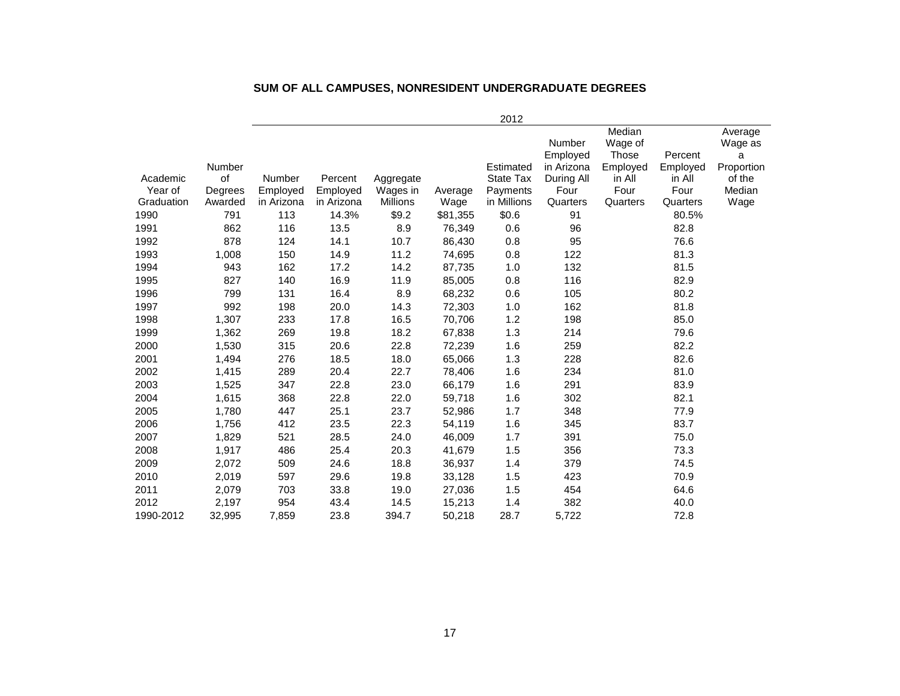|            |         |               |            |           |          | 2012        |            |          |          |            |
|------------|---------|---------------|------------|-----------|----------|-------------|------------|----------|----------|------------|
|            |         |               |            |           |          |             |            | Median   |          | Average    |
|            |         |               |            |           |          |             | Number     | Wage of  |          | Wage as    |
|            |         |               |            |           |          |             | Employed   | Those    | Percent  | a          |
|            | Number  |               |            |           |          | Estimated   | in Arizona | Employed | Employed | Proportion |
| Academic   | of      | <b>Number</b> | Percent    | Aggregate |          | State Tax   | During All | in All   | in All   | of the     |
| Year of    | Degrees | Employed      | Employed   | Wages in  | Average  | Payments    | Four       | Four     | Four     | Median     |
| Graduation | Awarded | in Arizona    | in Arizona | Millions  | Wage     | in Millions | Quarters   | Quarters | Quarters | Wage       |
| 1990       | 791     | 113           | 14.3%      | \$9.2     | \$81,355 | \$0.6       | 91         |          | 80.5%    |            |
| 1991       | 862     | 116           | 13.5       | 8.9       | 76,349   | 0.6         | 96         |          | 82.8     |            |
| 1992       | 878     | 124           | 14.1       | 10.7      | 86,430   | 0.8         | 95         |          | 76.6     |            |
| 1993       | 1,008   | 150           | 14.9       | 11.2      | 74,695   | 0.8         | 122        |          | 81.3     |            |
| 1994       | 943     | 162           | 17.2       | 14.2      | 87,735   | 1.0         | 132        |          | 81.5     |            |
| 1995       | 827     | 140           | 16.9       | 11.9      | 85,005   | 0.8         | 116        |          | 82.9     |            |
| 1996       | 799     | 131           | 16.4       | 8.9       | 68,232   | 0.6         | 105        |          | 80.2     |            |
| 1997       | 992     | 198           | 20.0       | 14.3      | 72,303   | 1.0         | 162        |          | 81.8     |            |
| 1998       | 1,307   | 233           | 17.8       | 16.5      | 70,706   | 1.2         | 198        |          | 85.0     |            |
| 1999       | 1,362   | 269           | 19.8       | 18.2      | 67,838   | 1.3         | 214        |          | 79.6     |            |
| 2000       | 1,530   | 315           | 20.6       | 22.8      | 72,239   | 1.6         | 259        |          | 82.2     |            |
| 2001       | 1,494   | 276           | 18.5       | 18.0      | 65,066   | 1.3         | 228        |          | 82.6     |            |
| 2002       | 1,415   | 289           | 20.4       | 22.7      | 78,406   | 1.6         | 234        |          | 81.0     |            |
| 2003       | 1,525   | 347           | 22.8       | 23.0      | 66,179   | 1.6         | 291        |          | 83.9     |            |
| 2004       | 1,615   | 368           | 22.8       | 22.0      | 59,718   | 1.6         | 302        |          | 82.1     |            |
| 2005       | 1,780   | 447           | 25.1       | 23.7      | 52,986   | 1.7         | 348        |          | 77.9     |            |
| 2006       | 1,756   | 412           | 23.5       | 22.3      | 54,119   | 1.6         | 345        |          | 83.7     |            |
| 2007       | 1,829   | 521           | 28.5       | 24.0      | 46,009   | 1.7         | 391        |          | 75.0     |            |
| 2008       | 1,917   | 486           | 25.4       | 20.3      | 41,679   | 1.5         | 356        |          | 73.3     |            |
| 2009       | 2,072   | 509           | 24.6       | 18.8      | 36,937   | 1.4         | 379        |          | 74.5     |            |
| 2010       | 2,019   | 597           | 29.6       | 19.8      | 33,128   | 1.5         | 423        |          | 70.9     |            |
| 2011       | 2,079   | 703           | 33.8       | 19.0      | 27,036   | 1.5         | 454        |          | 64.6     |            |
| 2012       | 2,197   | 954           | 43.4       | 14.5      | 15,213   | 1.4         | 382        |          | 40.0     |            |
| 1990-2012  | 32,995  | 7,859         | 23.8       | 394.7     | 50,218   | 28.7        | 5,722      |          | 72.8     |            |
|            |         |               |            |           |          |             |            |          |          |            |

#### **SUM OF ALL CAMPUSES, NONRESIDENT UNDERGRADUATE DEGREES**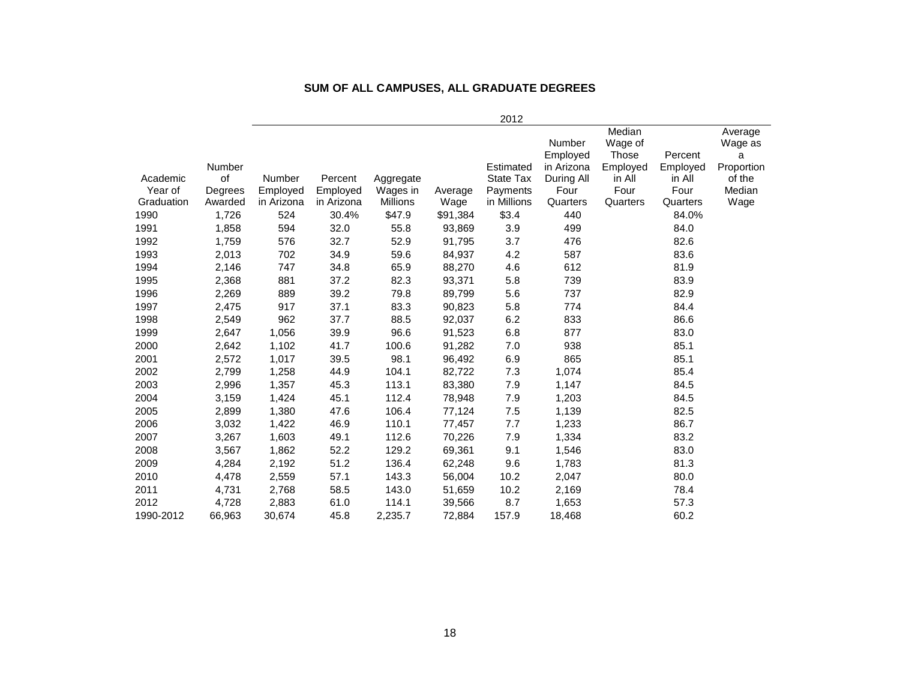|            |         |            |            |                 |          | 2012             |                    |                            |          |                         |
|------------|---------|------------|------------|-----------------|----------|------------------|--------------------|----------------------------|----------|-------------------------|
|            |         |            |            |                 |          |                  | Number<br>Employed | Median<br>Wage of<br>Those | Percent  | Average<br>Wage as<br>a |
|            | Number  |            |            |                 |          | Estimated        | in Arizona         | Employed                   | Employed | Proportion              |
| Academic   | of      | Number     | Percent    | Aggregate       |          | <b>State Tax</b> | During All         | in All                     | in All   | of the                  |
| Year of    | Degrees | Employed   | Employed   | Wages in        | Average  | Payments         | Four               | Four                       | Four     | Median                  |
| Graduation | Awarded | in Arizona | in Arizona | <b>Millions</b> | Wage     | in Millions      | Quarters           | Quarters                   | Quarters | Wage                    |
| 1990       | 1,726   | 524        | 30.4%      | \$47.9          | \$91,384 | \$3.4            | 440                |                            | 84.0%    |                         |
| 1991       | 1,858   | 594        | 32.0       | 55.8            | 93,869   | 3.9              | 499                |                            | 84.0     |                         |
| 1992       | 1,759   | 576        | 32.7       | 52.9            | 91,795   | 3.7              | 476                |                            | 82.6     |                         |
| 1993       | 2,013   | 702        | 34.9       | 59.6            | 84,937   | 4.2              | 587                |                            | 83.6     |                         |
| 1994       | 2,146   | 747        | 34.8       | 65.9            | 88,270   | 4.6              | 612                |                            | 81.9     |                         |
| 1995       | 2,368   | 881        | 37.2       | 82.3            | 93,371   | 5.8              | 739                |                            | 83.9     |                         |
| 1996       | 2,269   | 889        | 39.2       | 79.8            | 89,799   | 5.6              | 737                |                            | 82.9     |                         |
| 1997       | 2,475   | 917        | 37.1       | 83.3            | 90,823   | 5.8              | 774                |                            | 84.4     |                         |
| 1998       | 2,549   | 962        | 37.7       | 88.5            | 92,037   | 6.2              | 833                |                            | 86.6     |                         |
| 1999       | 2,647   | 1,056      | 39.9       | 96.6            | 91,523   | 6.8              | 877                |                            | 83.0     |                         |
| 2000       | 2,642   | 1,102      | 41.7       | 100.6           | 91,282   | 7.0              | 938                |                            | 85.1     |                         |
| 2001       | 2,572   | 1,017      | 39.5       | 98.1            | 96,492   | 6.9              | 865                |                            | 85.1     |                         |
| 2002       | 2,799   | 1,258      | 44.9       | 104.1           | 82,722   | 7.3              | 1,074              |                            | 85.4     |                         |
| 2003       | 2,996   | 1,357      | 45.3       | 113.1           | 83,380   | 7.9              | 1,147              |                            | 84.5     |                         |
| 2004       | 3,159   | 1,424      | 45.1       | 112.4           | 78,948   | 7.9              | 1,203              |                            | 84.5     |                         |
| 2005       | 2,899   | 1,380      | 47.6       | 106.4           | 77,124   | 7.5              | 1,139              |                            | 82.5     |                         |
| 2006       | 3,032   | 1,422      | 46.9       | 110.1           | 77,457   | 7.7              | 1,233              |                            | 86.7     |                         |
| 2007       | 3,267   | 1,603      | 49.1       | 112.6           | 70,226   | 7.9              | 1,334              |                            | 83.2     |                         |
| 2008       | 3,567   | 1,862      | 52.2       | 129.2           | 69,361   | 9.1              | 1,546              |                            | 83.0     |                         |
| 2009       | 4,284   | 2,192      | 51.2       | 136.4           | 62,248   | 9.6              | 1,783              |                            | 81.3     |                         |
| 2010       | 4,478   | 2,559      | 57.1       | 143.3           | 56,004   | 10.2             | 2,047              |                            | 80.0     |                         |
| 2011       | 4,731   | 2,768      | 58.5       | 143.0           | 51,659   | 10.2             | 2,169              |                            | 78.4     |                         |
| 2012       | 4,728   | 2,883      | 61.0       | 114.1           | 39,566   | 8.7              | 1,653              |                            | 57.3     |                         |
| 1990-2012  | 66.963  | 30.674     | 45.8       | 2.235.7         | 72.884   | 157.9            | 18.468             |                            | 60.2     |                         |

#### **SUM OF ALL CAMPUSES, ALL GRADUATE DEGREES**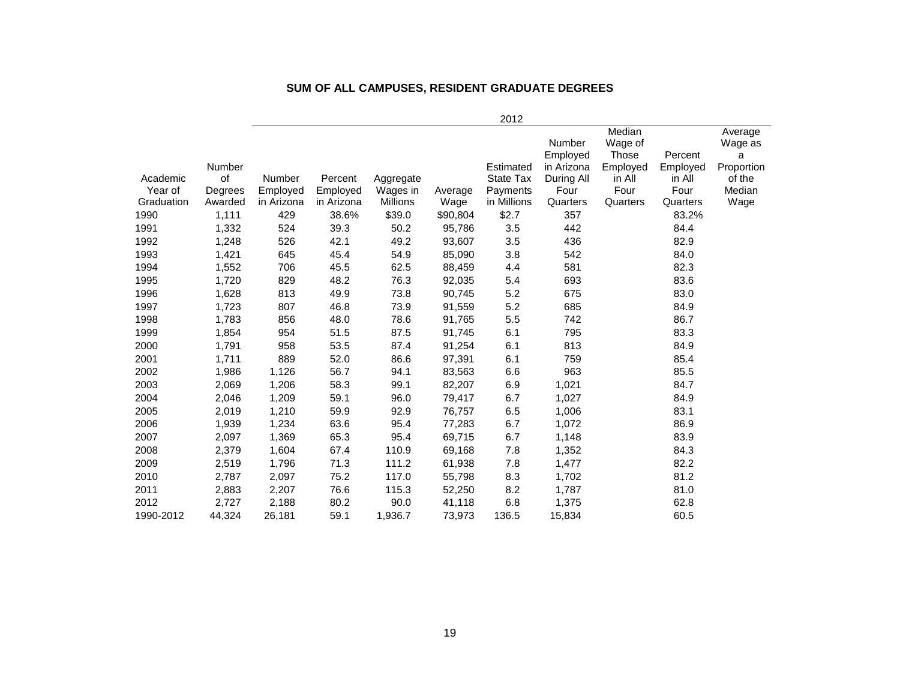|            |         |               |            |           |          | 2012             |                        |                   |                     |                    |
|------------|---------|---------------|------------|-----------|----------|------------------|------------------------|-------------------|---------------------|--------------------|
|            |         |               |            |           |          |                  | Number                 | Median<br>Wage of |                     | Average<br>Wage as |
|            | Number  |               |            |           |          | Estimated        | Employed<br>in Arizona | Those<br>Employed | Percent<br>Employed | a<br>Proportion    |
| Academic   | of      | <b>Number</b> | Percent    | Aggregate |          | <b>State Tax</b> | During All             | in All            | in All              | of the             |
| Year of    | Degrees | Employed      | Employed   | Wages in  | Average  | Payments         | Four                   | Four              | Four                | Median             |
| Graduation | Awarded | in Arizona    | in Arizona | Millions  | Wage     | in Millions      | Quarters               | Quarters          | Quarters            | Wage               |
| 1990       | 1,111   | 429           | 38.6%      | \$39.0    | \$90,804 | \$2.7            | 357                    |                   | 83.2%               |                    |
| 1991       | 1,332   | 524           | 39.3       | 50.2      | 95,786   | 3.5              | 442                    |                   | 84.4                |                    |
| 1992       | 1,248   | 526           | 42.1       | 49.2      | 93,607   | 3.5              | 436                    |                   | 82.9                |                    |
| 1993       | 1,421   | 645           | 45.4       | 54.9      | 85,090   | 3.8              | 542                    |                   | 84.0                |                    |
| 1994       | 1,552   | 706           | 45.5       | 62.5      | 88,459   | 4.4              | 581                    |                   | 82.3                |                    |
| 1995       | 1,720   | 829           | 48.2       | 76.3      | 92,035   | 5.4              | 693                    |                   | 83.6                |                    |
| 1996       | 1,628   | 813           | 49.9       | 73.8      | 90,745   | 5.2              | 675                    |                   | 83.0                |                    |
| 1997       | 1,723   | 807           | 46.8       | 73.9      | 91,559   | 5.2              | 685                    |                   | 84.9                |                    |
| 1998       | 1,783   | 856           | 48.0       | 78.6      | 91,765   | 5.5              | 742                    |                   | 86.7                |                    |
| 1999       | 1,854   | 954           | 51.5       | 87.5      | 91,745   | 6.1              | 795                    |                   | 83.3                |                    |
| 2000       | 1,791   | 958           | 53.5       | 87.4      | 91,254   | 6.1              | 813                    |                   | 84.9                |                    |
| 2001       | 1,711   | 889           | 52.0       | 86.6      | 97,391   | 6.1              | 759                    |                   | 85.4                |                    |
| 2002       | 1,986   | 1,126         | 56.7       | 94.1      | 83,563   | 6.6              | 963                    |                   | 85.5                |                    |
| 2003       | 2,069   | 1,206         | 58.3       | 99.1      | 82,207   | 6.9              | 1,021                  |                   | 84.7                |                    |
| 2004       | 2,046   | 1,209         | 59.1       | 96.0      | 79,417   | 6.7              | 1,027                  |                   | 84.9                |                    |
| 2005       | 2,019   | 1,210         | 59.9       | 92.9      | 76,757   | 6.5              | 1,006                  |                   | 83.1                |                    |
| 2006       | 1,939   | 1,234         | 63.6       | 95.4      | 77,283   | 6.7              | 1,072                  |                   | 86.9                |                    |
| 2007       | 2,097   | 1,369         | 65.3       | 95.4      | 69,715   | 6.7              | 1,148                  |                   | 83.9                |                    |
| 2008       | 2,379   | 1,604         | 67.4       | 110.9     | 69,168   | 7.8              | 1,352                  |                   | 84.3                |                    |
| 2009       | 2,519   | 1,796         | 71.3       | 111.2     | 61,938   | 7.8              | 1,477                  |                   | 82.2                |                    |
| 2010       | 2,787   | 2,097         | 75.2       | 117.0     | 55,798   | 8.3              | 1,702                  |                   | 81.2                |                    |
| 2011       | 2,883   | 2,207         | 76.6       | 115.3     | 52,250   | 8.2              | 1,787                  |                   | 81.0                |                    |
| 2012       | 2,727   | 2,188         | 80.2       | 90.0      | 41,118   | 6.8              | 1,375                  |                   | 62.8                |                    |
| 1990-2012  | 44,324  | 26,181        | 59.1       | 1,936.7   | 73,973   | 136.5            | 15,834                 |                   | 60.5                |                    |

#### **SUM OF ALL CAMPUSES, RESIDENT GRADUATE DEGREES**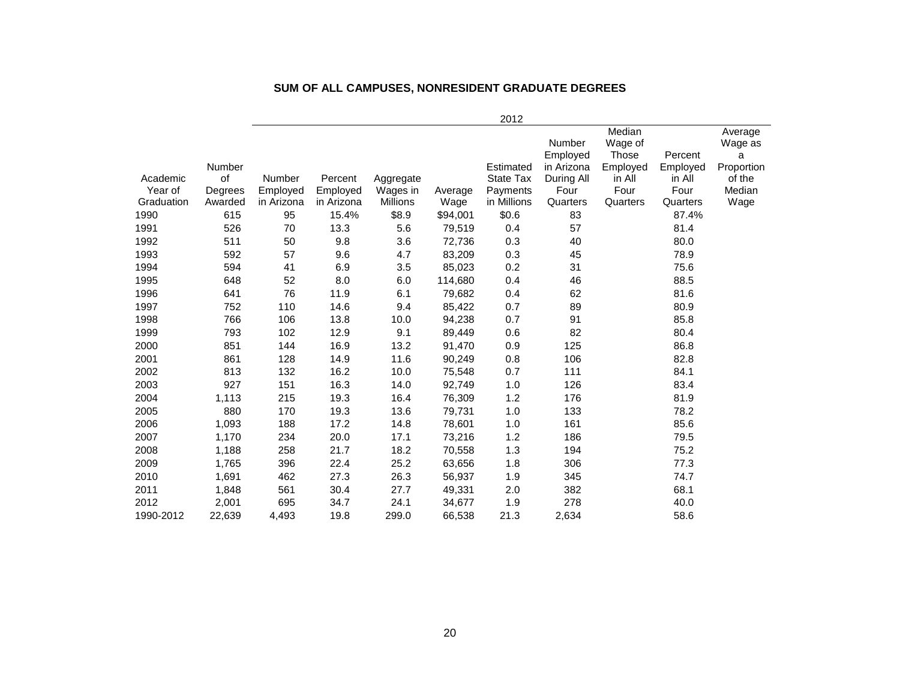|            |         |               |            |                 |          | 2012             |            |          |          |            |
|------------|---------|---------------|------------|-----------------|----------|------------------|------------|----------|----------|------------|
|            |         |               |            |                 |          |                  |            | Median   |          | Average    |
|            |         |               |            |                 |          |                  | Number     | Wage of  |          | Wage as    |
|            |         |               |            |                 |          |                  | Employed   | Those    | Percent  | a          |
|            | Number  |               |            |                 |          | Estimated        | in Arizona | Employed | Employed | Proportion |
| Academic   | of      | <b>Number</b> | Percent    | Aggregate       |          | <b>State Tax</b> | During All | in All   | in All   | of the     |
| Year of    | Degrees | Employed      | Employed   | Wages in        | Average  | Payments         | Four       | Four     | Four     | Median     |
| Graduation | Awarded | in Arizona    | in Arizona | <b>Millions</b> | Wage     | in Millions      | Quarters   | Quarters | Quarters | Wage       |
| 1990       | 615     | 95            | 15.4%      | \$8.9           | \$94,001 | \$0.6            | 83         |          | 87.4%    |            |
| 1991       | 526     | 70            | 13.3       | 5.6             | 79,519   | 0.4              | 57         |          | 81.4     |            |
| 1992       | 511     | 50            | 9.8        | 3.6             | 72,736   | 0.3              | 40         |          | 80.0     |            |
| 1993       | 592     | 57            | 9.6        | 4.7             | 83,209   | 0.3              | 45         |          | 78.9     |            |
| 1994       | 594     | 41            | 6.9        | 3.5             | 85,023   | 0.2              | 31         |          | 75.6     |            |
| 1995       | 648     | 52            | 8.0        | 6.0             | 114,680  | 0.4              | 46         |          | 88.5     |            |
| 1996       | 641     | 76            | 11.9       | 6.1             | 79,682   | 0.4              | 62         |          | 81.6     |            |
| 1997       | 752     | 110           | 14.6       | 9.4             | 85,422   | 0.7              | 89         |          | 80.9     |            |
| 1998       | 766     | 106           | 13.8       | 10.0            | 94,238   | 0.7              | 91         |          | 85.8     |            |
| 1999       | 793     | 102           | 12.9       | 9.1             | 89,449   | 0.6              | 82         |          | 80.4     |            |
| 2000       | 851     | 144           | 16.9       | 13.2            | 91,470   | 0.9              | 125        |          | 86.8     |            |
| 2001       | 861     | 128           | 14.9       | 11.6            | 90,249   | 0.8              | 106        |          | 82.8     |            |
| 2002       | 813     | 132           | 16.2       | 10.0            | 75,548   | 0.7              | 111        |          | 84.1     |            |
| 2003       | 927     | 151           | 16.3       | 14.0            | 92,749   | 1.0              | 126        |          | 83.4     |            |
| 2004       | 1,113   | 215           | 19.3       | 16.4            | 76,309   | 1.2              | 176        |          | 81.9     |            |
| 2005       | 880     | 170           | 19.3       | 13.6            | 79,731   | 1.0              | 133        |          | 78.2     |            |
| 2006       | 1,093   | 188           | 17.2       | 14.8            | 78,601   | 1.0              | 161        |          | 85.6     |            |
| 2007       | 1,170   | 234           | 20.0       | 17.1            | 73,216   | 1.2              | 186        |          | 79.5     |            |
| 2008       | 1,188   | 258           | 21.7       | 18.2            | 70,558   | 1.3              | 194        |          | 75.2     |            |
| 2009       | 1,765   | 396           | 22.4       | 25.2            | 63,656   | 1.8              | 306        |          | 77.3     |            |
| 2010       | 1,691   | 462           | 27.3       | 26.3            | 56,937   | 1.9              | 345        |          | 74.7     |            |
| 2011       | 1,848   | 561           | 30.4       | 27.7            | 49,331   | 2.0              | 382        |          | 68.1     |            |
| 2012       | 2,001   | 695           | 34.7       | 24.1            | 34,677   | 1.9              | 278        |          | 40.0     |            |
| 1990-2012  | 22,639  | 4,493         | 19.8       | 299.0           | 66,538   | 21.3             | 2,634      |          | 58.6     |            |
|            |         |               |            |                 |          |                  |            |          |          |            |

#### **SUM OF ALL CAMPUSES, NONRESIDENT GRADUATE DEGREES**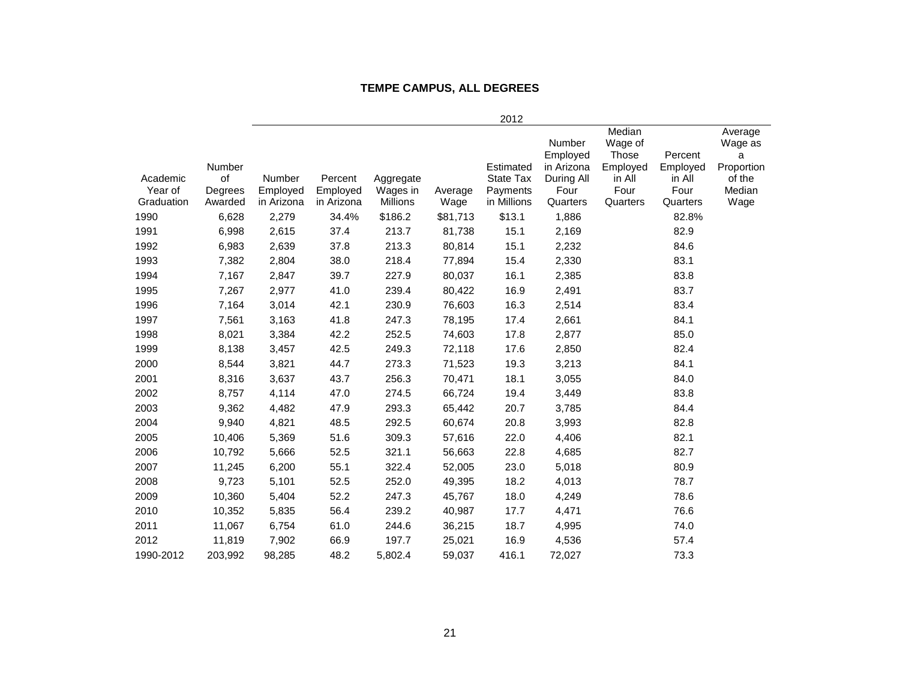#### **TEMPE CAMPUS, ALL DEGREES**

|            |              |            |            |                 |          | 2012                          |                                                |                                                         |                               |                                                 |
|------------|--------------|------------|------------|-----------------|----------|-------------------------------|------------------------------------------------|---------------------------------------------------------|-------------------------------|-------------------------------------------------|
| Academic   | Number<br>of | Number     | Percent    | Aggregate       |          | Estimated<br><b>State Tax</b> | Number<br>Employed<br>in Arizona<br>During All | Median<br>Wage of<br><b>Those</b><br>Employed<br>in All | Percent<br>Employed<br>in All | Average<br>Wage as<br>a<br>Proportion<br>of the |
| Year of    | Degrees      | Employed   | Employed   | Wages in        | Average  | Payments                      | Four                                           | Four                                                    | Four                          | Median                                          |
| Graduation | Awarded      | in Arizona | in Arizona | <b>Millions</b> | Wage     | in Millions                   | Quarters                                       | Quarters                                                | Quarters                      | Wage                                            |
| 1990       | 6,628        | 2,279      | 34.4%      | \$186.2         | \$81,713 | \$13.1                        | 1,886                                          |                                                         | 82.8%                         |                                                 |
| 1991       | 6,998        | 2,615      | 37.4       | 213.7           | 81,738   | 15.1                          | 2,169                                          |                                                         | 82.9                          |                                                 |
| 1992       | 6,983        | 2,639      | 37.8       | 213.3           | 80,814   | 15.1                          | 2,232                                          |                                                         | 84.6                          |                                                 |
| 1993       | 7,382        | 2,804      | 38.0       | 218.4           | 77,894   | 15.4                          | 2,330                                          |                                                         | 83.1                          |                                                 |
| 1994       | 7,167        | 2,847      | 39.7       | 227.9           | 80,037   | 16.1                          | 2,385                                          |                                                         | 83.8                          |                                                 |
| 1995       | 7,267        | 2,977      | 41.0       | 239.4           | 80,422   | 16.9                          | 2,491                                          |                                                         | 83.7                          |                                                 |
| 1996       | 7,164        | 3,014      | 42.1       | 230.9           | 76,603   | 16.3                          | 2,514                                          |                                                         | 83.4                          |                                                 |
| 1997       | 7,561        | 3,163      | 41.8       | 247.3           | 78,195   | 17.4                          | 2,661                                          |                                                         | 84.1                          |                                                 |
| 1998       | 8,021        | 3,384      | 42.2       | 252.5           | 74,603   | 17.8                          | 2,877                                          |                                                         | 85.0                          |                                                 |
| 1999       | 8,138        | 3,457      | 42.5       | 249.3           | 72,118   | 17.6                          | 2,850                                          |                                                         | 82.4                          |                                                 |
| 2000       | 8,544        | 3,821      | 44.7       | 273.3           | 71,523   | 19.3                          | 3,213                                          |                                                         | 84.1                          |                                                 |
| 2001       | 8,316        | 3,637      | 43.7       | 256.3           | 70,471   | 18.1                          | 3,055                                          |                                                         | 84.0                          |                                                 |
| 2002       | 8,757        | 4,114      | 47.0       | 274.5           | 66,724   | 19.4                          | 3,449                                          |                                                         | 83.8                          |                                                 |
| 2003       | 9,362        | 4,482      | 47.9       | 293.3           | 65,442   | 20.7                          | 3,785                                          |                                                         | 84.4                          |                                                 |
| 2004       | 9,940        | 4,821      | 48.5       | 292.5           | 60,674   | 20.8                          | 3,993                                          |                                                         | 82.8                          |                                                 |
| 2005       | 10,406       | 5,369      | 51.6       | 309.3           | 57,616   | 22.0                          | 4,406                                          |                                                         | 82.1                          |                                                 |
| 2006       | 10,792       | 5,666      | 52.5       | 321.1           | 56,663   | 22.8                          | 4,685                                          |                                                         | 82.7                          |                                                 |
| 2007       | 11,245       | 6,200      | 55.1       | 322.4           | 52,005   | 23.0                          | 5,018                                          |                                                         | 80.9                          |                                                 |
| 2008       | 9,723        | 5,101      | 52.5       | 252.0           | 49,395   | 18.2                          | 4,013                                          |                                                         | 78.7                          |                                                 |
| 2009       | 10,360       | 5,404      | 52.2       | 247.3           | 45,767   | 18.0                          | 4,249                                          |                                                         | 78.6                          |                                                 |
| 2010       | 10,352       | 5,835      | 56.4       | 239.2           | 40,987   | 17.7                          | 4,471                                          |                                                         | 76.6                          |                                                 |
| 2011       | 11,067       | 6,754      | 61.0       | 244.6           | 36,215   | 18.7                          | 4,995                                          |                                                         | 74.0                          |                                                 |
| 2012       | 11,819       | 7,902      | 66.9       | 197.7           | 25,021   | 16.9                          | 4,536                                          |                                                         | 57.4                          |                                                 |
| 1990-2012  | 203,992      | 98,285     | 48.2       | 5,802.4         | 59.037   | 416.1                         | 72,027                                         |                                                         | 73.3                          |                                                 |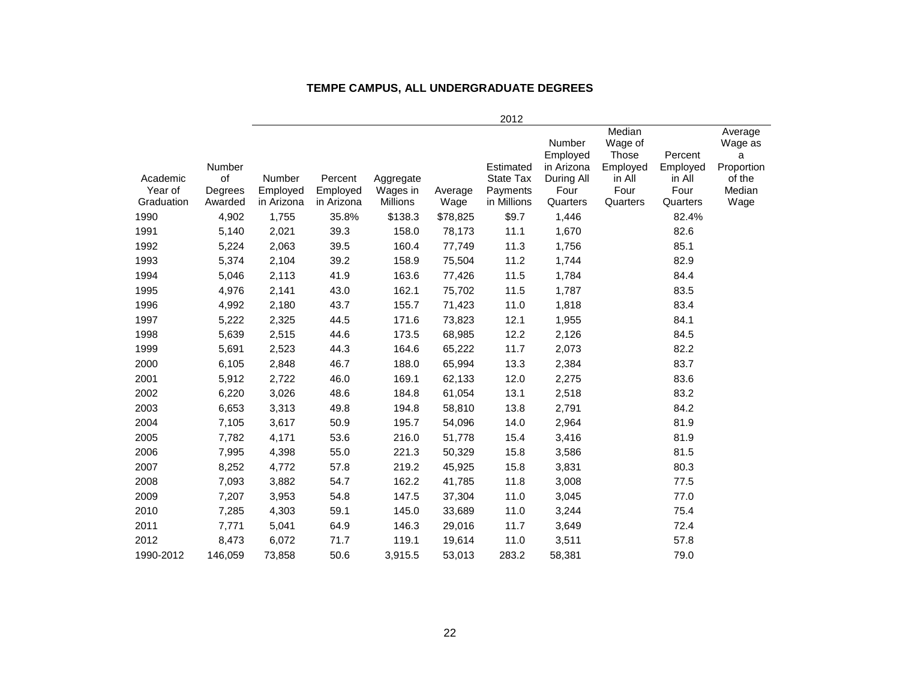| TEMPE CAMPUS, ALL UNDERGRADUATE DEGREES |  |  |  |  |
|-----------------------------------------|--|--|--|--|
|-----------------------------------------|--|--|--|--|

|                     |               |                           |                     |                       |          | 2012                         |                                         |                                        |                     |                                       |
|---------------------|---------------|---------------------------|---------------------|-----------------------|----------|------------------------------|-----------------------------------------|----------------------------------------|---------------------|---------------------------------------|
|                     | Number        |                           |                     |                       |          | Estimated                    | <b>Number</b><br>Employed<br>in Arizona | Median<br>Wage of<br>Those<br>Employed | Percent<br>Employed | Average<br>Wage as<br>a<br>Proportion |
| Academic<br>Year of | of<br>Degrees | <b>Number</b><br>Employed | Percent<br>Employed | Aggregate<br>Wages in | Average  | <b>State Tax</b><br>Payments | During All<br>Four                      | in All<br>Four                         | in All<br>Four      | of the<br>Median                      |
| Graduation          | Awarded       | in Arizona                | in Arizona          | Millions              | Wage     | in Millions                  | Quarters                                | Quarters                               | Quarters            | Wage                                  |
| 1990                | 4,902         | 1,755                     | 35.8%               | \$138.3               | \$78,825 | \$9.7                        | 1,446                                   |                                        | 82.4%               |                                       |
| 1991                | 5,140         | 2,021                     | 39.3                | 158.0                 | 78,173   | 11.1                         | 1,670                                   |                                        | 82.6                |                                       |
| 1992                | 5,224         | 2,063                     | 39.5                | 160.4                 | 77,749   | 11.3                         | 1,756                                   |                                        | 85.1                |                                       |
| 1993                | 5,374         | 2,104                     | 39.2                | 158.9                 | 75,504   | 11.2                         | 1,744                                   |                                        | 82.9                |                                       |
| 1994                | 5,046         | 2,113                     | 41.9                | 163.6                 | 77,426   | 11.5                         | 1,784                                   |                                        | 84.4                |                                       |
| 1995                | 4,976         | 2,141                     | 43.0                | 162.1                 | 75,702   | 11.5                         | 1,787                                   |                                        | 83.5                |                                       |
| 1996                | 4,992         | 2,180                     | 43.7                | 155.7                 | 71,423   | 11.0                         | 1,818                                   |                                        | 83.4                |                                       |
| 1997                | 5,222         | 2,325                     | 44.5                | 171.6                 | 73,823   | 12.1                         | 1,955                                   |                                        | 84.1                |                                       |
| 1998                | 5,639         | 2,515                     | 44.6                | 173.5                 | 68,985   | 12.2                         | 2,126                                   |                                        | 84.5                |                                       |
| 1999                | 5,691         | 2,523                     | 44.3                | 164.6                 | 65,222   | 11.7                         | 2,073                                   |                                        | 82.2                |                                       |
| 2000                | 6,105         | 2,848                     | 46.7                | 188.0                 | 65,994   | 13.3                         | 2,384                                   |                                        | 83.7                |                                       |
| 2001                | 5,912         | 2,722                     | 46.0                | 169.1                 | 62,133   | 12.0                         | 2,275                                   |                                        | 83.6                |                                       |
| 2002                | 6,220         | 3,026                     | 48.6                | 184.8                 | 61,054   | 13.1                         | 2,518                                   |                                        | 83.2                |                                       |
| 2003                | 6,653         | 3,313                     | 49.8                | 194.8                 | 58,810   | 13.8                         | 2,791                                   |                                        | 84.2                |                                       |
| 2004                | 7,105         | 3,617                     | 50.9                | 195.7                 | 54,096   | 14.0                         | 2,964                                   |                                        | 81.9                |                                       |
| 2005                | 7,782         | 4,171                     | 53.6                | 216.0                 | 51,778   | 15.4                         | 3,416                                   |                                        | 81.9                |                                       |
| 2006                | 7,995         | 4,398                     | 55.0                | 221.3                 | 50,329   | 15.8                         | 3,586                                   |                                        | 81.5                |                                       |
| 2007                | 8,252         | 4,772                     | 57.8                | 219.2                 | 45,925   | 15.8                         | 3,831                                   |                                        | 80.3                |                                       |
| 2008                | 7,093         | 3,882                     | 54.7                | 162.2                 | 41,785   | 11.8                         | 3,008                                   |                                        | 77.5                |                                       |
| 2009                | 7,207         | 3,953                     | 54.8                | 147.5                 | 37,304   | 11.0                         | 3,045                                   |                                        | 77.0                |                                       |
| 2010                | 7,285         | 4,303                     | 59.1                | 145.0                 | 33,689   | 11.0                         | 3,244                                   |                                        | 75.4                |                                       |
| 2011                | 7,771         | 5,041                     | 64.9                | 146.3                 | 29,016   | 11.7                         | 3,649                                   |                                        | 72.4                |                                       |
| 2012                | 8,473         | 6,072                     | 71.7                | 119.1                 | 19,614   | 11.0                         | 3,511                                   |                                        | 57.8                |                                       |
| 1990-2012           | 146,059       | 73,858                    | 50.6                | 3,915.5               | 53,013   | 283.2                        | 58,381                                  |                                        | 79.0                |                                       |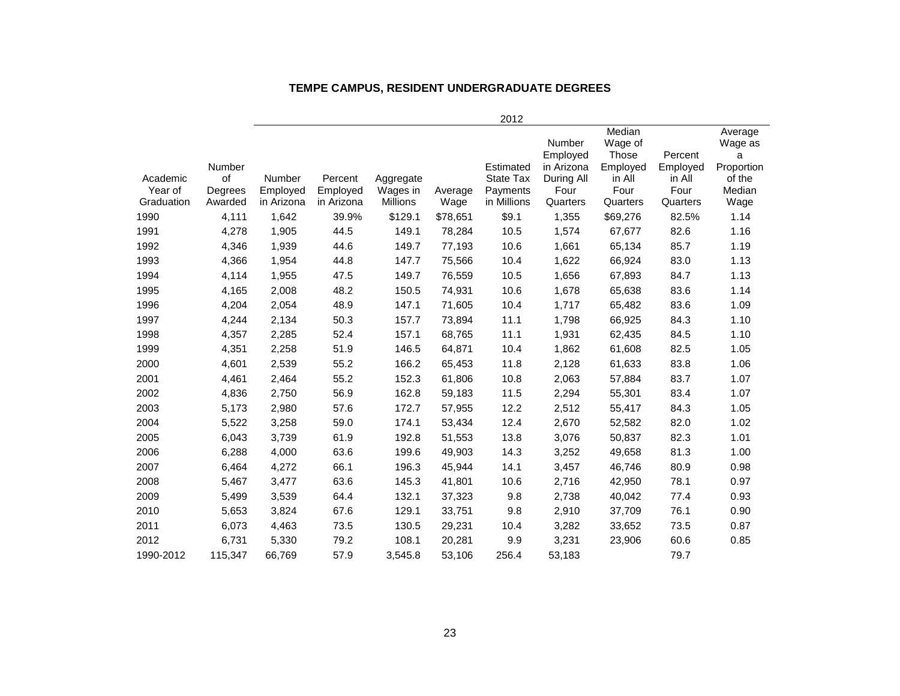# **TEMPE CAMPUS, RESIDENT UNDERGRADUATE DEGREES**

|                                   |                                    |                                  |                                   |                                          |                 | 2012                                                     |                                                                    |                                                                      |                                                   |                                                                   |
|-----------------------------------|------------------------------------|----------------------------------|-----------------------------------|------------------------------------------|-----------------|----------------------------------------------------------|--------------------------------------------------------------------|----------------------------------------------------------------------|---------------------------------------------------|-------------------------------------------------------------------|
| Academic<br>Year of<br>Graduation | Number<br>of<br>Degrees<br>Awarded | Number<br>Employed<br>in Arizona | Percent<br>Employed<br>in Arizona | Aggregate<br>Wages in<br><b>Millions</b> | Average<br>Wage | Estimated<br><b>State Tax</b><br>Payments<br>in Millions | Number<br>Employed<br>in Arizona<br>During All<br>Four<br>Quarters | Median<br>Wage of<br>Those<br>Employed<br>in All<br>Four<br>Quarters | Percent<br>Employed<br>in All<br>Four<br>Quarters | Average<br>Wage as<br>a<br>Proportion<br>of the<br>Median<br>Wage |
| 1990                              | 4,111                              | 1,642                            | 39.9%                             | \$129.1                                  | \$78,651        | \$9.1                                                    | 1,355                                                              | \$69,276                                                             | 82.5%                                             | 1.14                                                              |
| 1991                              | 4,278                              | 1,905                            | 44.5                              | 149.1                                    | 78,284          | 10.5                                                     | 1,574                                                              | 67,677                                                               | 82.6                                              | 1.16                                                              |
| 1992                              | 4,346                              | 1,939                            | 44.6                              | 149.7                                    | 77,193          | 10.6                                                     | 1,661                                                              | 65,134                                                               | 85.7                                              | 1.19                                                              |
| 1993                              | 4,366                              | 1,954                            | 44.8                              | 147.7                                    | 75,566          | 10.4                                                     | 1,622                                                              | 66,924                                                               | 83.0                                              | 1.13                                                              |
| 1994                              | 4,114                              | 1,955                            | 47.5                              | 149.7                                    | 76,559          | 10.5                                                     | 1,656                                                              | 67,893                                                               | 84.7                                              | 1.13                                                              |
| 1995                              | 4,165                              | 2,008                            | 48.2                              | 150.5                                    | 74,931          | 10.6                                                     | 1,678                                                              | 65,638                                                               | 83.6                                              | 1.14                                                              |
| 1996                              | 4,204                              | 2,054                            | 48.9                              | 147.1                                    | 71,605          | 10.4                                                     | 1,717                                                              | 65,482                                                               | 83.6                                              | 1.09                                                              |
| 1997                              | 4,244                              | 2,134                            | 50.3                              | 157.7                                    | 73,894          | 11.1                                                     | 1,798                                                              | 66,925                                                               | 84.3                                              | 1.10                                                              |
| 1998                              | 4,357                              | 2,285                            | 52.4                              | 157.1                                    | 68,765          | 11.1                                                     | 1,931                                                              | 62,435                                                               | 84.5                                              | 1.10                                                              |
| 1999                              | 4,351                              | 2,258                            | 51.9                              | 146.5                                    | 64,871          | 10.4                                                     | 1,862                                                              | 61,608                                                               | 82.5                                              | 1.05                                                              |
| 2000                              | 4,601                              | 2,539                            | 55.2                              | 166.2                                    | 65,453          | 11.8                                                     | 2,128                                                              | 61,633                                                               | 83.8                                              | 1.06                                                              |
| 2001                              | 4,461                              | 2,464                            | 55.2                              | 152.3                                    | 61,806          | 10.8                                                     | 2,063                                                              | 57,884                                                               | 83.7                                              | 1.07                                                              |
| 2002                              | 4,836                              | 2,750                            | 56.9                              | 162.8                                    | 59,183          | 11.5                                                     | 2,294                                                              | 55,301                                                               | 83.4                                              | 1.07                                                              |
| 2003                              | 5,173                              | 2,980                            | 57.6                              | 172.7                                    | 57,955          | 12.2                                                     | 2,512                                                              | 55,417                                                               | 84.3                                              | 1.05                                                              |
| 2004                              | 5,522                              | 3,258                            | 59.0                              | 174.1                                    | 53,434          | 12.4                                                     | 2,670                                                              | 52,582                                                               | 82.0                                              | 1.02                                                              |
| 2005                              | 6,043                              | 3,739                            | 61.9                              | 192.8                                    | 51,553          | 13.8                                                     | 3,076                                                              | 50,837                                                               | 82.3                                              | 1.01                                                              |
| 2006                              | 6,288                              | 4,000                            | 63.6                              | 199.6                                    | 49,903          | 14.3                                                     | 3,252                                                              | 49,658                                                               | 81.3                                              | 1.00                                                              |
| 2007                              | 6,464                              | 4,272                            | 66.1                              | 196.3                                    | 45,944          | 14.1                                                     | 3,457                                                              | 46,746                                                               | 80.9                                              | 0.98                                                              |
| 2008                              | 5,467                              | 3,477                            | 63.6                              | 145.3                                    | 41,801          | 10.6                                                     | 2,716                                                              | 42,950                                                               | 78.1                                              | 0.97                                                              |
| 2009                              | 5,499                              | 3,539                            | 64.4                              | 132.1                                    | 37,323          | 9.8                                                      | 2,738                                                              | 40,042                                                               | 77.4                                              | 0.93                                                              |
| 2010                              | 5,653                              | 3,824                            | 67.6                              | 129.1                                    | 33,751          | 9.8                                                      | 2,910                                                              | 37,709                                                               | 76.1                                              | 0.90                                                              |
| 2011                              | 6,073                              | 4,463                            | 73.5                              | 130.5                                    | 29,231          | 10.4                                                     | 3,282                                                              | 33,652                                                               | 73.5                                              | 0.87                                                              |
| 2012                              | 6,731                              | 5,330                            | 79.2                              | 108.1                                    | 20,281          | 9.9                                                      | 3,231                                                              | 23,906                                                               | 60.6                                              | 0.85                                                              |
| 1990-2012                         | 115,347                            | 66.769                           | 57.9                              | 3,545.8                                  | 53,106          | 256.4                                                    | 53.183                                                             |                                                                      | 79.7                                              |                                                                   |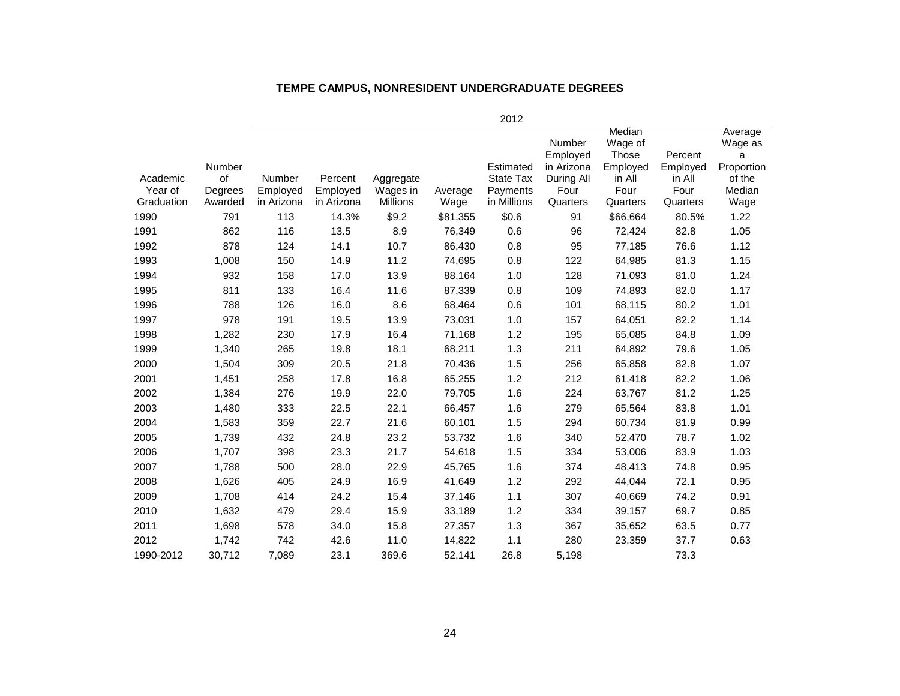#### **TEMPE CAMPUS, NONRESIDENT UNDERGRADUATE DEGREES**

|                                   |                                    |                                  |                                   |                                          |                 | 2012                                                     |                                                                           |                                                                             |                                                   |                                                                   |
|-----------------------------------|------------------------------------|----------------------------------|-----------------------------------|------------------------------------------|-----------------|----------------------------------------------------------|---------------------------------------------------------------------------|-----------------------------------------------------------------------------|---------------------------------------------------|-------------------------------------------------------------------|
| Academic<br>Year of<br>Graduation | Number<br>of<br>Degrees<br>Awarded | Number<br>Employed<br>in Arizona | Percent<br>Employed<br>in Arizona | Aggregate<br>Wages in<br><b>Millions</b> | Average<br>Wage | Estimated<br><b>State Tax</b><br>Payments<br>in Millions | <b>Number</b><br>Employed<br>in Arizona<br>During All<br>Four<br>Quarters | Median<br>Wage of<br><b>Those</b><br>Employed<br>in All<br>Four<br>Quarters | Percent<br>Employed<br>in All<br>Four<br>Quarters | Average<br>Wage as<br>a<br>Proportion<br>of the<br>Median<br>Wage |
| 1990                              | 791                                | 113                              | 14.3%                             | \$9.2                                    | \$81,355        | \$0.6                                                    | 91                                                                        | \$66,664                                                                    | 80.5%                                             | 1.22                                                              |
| 1991                              | 862                                | 116                              | 13.5                              | 8.9                                      | 76,349          | 0.6                                                      | 96                                                                        | 72,424                                                                      | 82.8                                              | 1.05                                                              |
| 1992                              | 878                                | 124                              | 14.1                              | 10.7                                     | 86,430          | 0.8                                                      | 95                                                                        | 77,185                                                                      | 76.6                                              | 1.12                                                              |
| 1993                              | 1,008                              | 150                              | 14.9                              | 11.2                                     | 74,695          | 0.8                                                      | 122                                                                       | 64,985                                                                      | 81.3                                              | 1.15                                                              |
| 1994                              | 932                                | 158                              | 17.0                              | 13.9                                     | 88,164          | 1.0                                                      | 128                                                                       | 71,093                                                                      | 81.0                                              | 1.24                                                              |
| 1995                              | 811                                | 133                              | 16.4                              | 11.6                                     | 87,339          | 0.8                                                      | 109                                                                       | 74,893                                                                      | 82.0                                              | 1.17                                                              |
| 1996                              | 788                                | 126                              | 16.0                              | 8.6                                      | 68,464          | 0.6                                                      | 101                                                                       | 68,115                                                                      | 80.2                                              | 1.01                                                              |
| 1997                              | 978                                | 191                              | 19.5                              | 13.9                                     | 73,031          | 1.0                                                      | 157                                                                       | 64,051                                                                      | 82.2                                              | 1.14                                                              |
| 1998                              | 1,282                              | 230                              | 17.9                              | 16.4                                     | 71,168          | 1.2                                                      | 195                                                                       | 65,085                                                                      | 84.8                                              | 1.09                                                              |
| 1999                              | 1,340                              | 265                              | 19.8                              | 18.1                                     | 68,211          | 1.3                                                      | 211                                                                       | 64,892                                                                      | 79.6                                              | 1.05                                                              |
| 2000                              | 1,504                              | 309                              | 20.5                              | 21.8                                     | 70,436          | 1.5                                                      | 256                                                                       | 65,858                                                                      | 82.8                                              | 1.07                                                              |
| 2001                              | 1,451                              | 258                              | 17.8                              | 16.8                                     | 65,255          | 1.2                                                      | 212                                                                       | 61,418                                                                      | 82.2                                              | 1.06                                                              |
| 2002                              | 1,384                              | 276                              | 19.9                              | 22.0                                     | 79,705          | 1.6                                                      | 224                                                                       | 63,767                                                                      | 81.2                                              | 1.25                                                              |
| 2003                              | 1,480                              | 333                              | 22.5                              | 22.1                                     | 66,457          | 1.6                                                      | 279                                                                       | 65,564                                                                      | 83.8                                              | 1.01                                                              |
| 2004                              | 1,583                              | 359                              | 22.7                              | 21.6                                     | 60,101          | 1.5                                                      | 294                                                                       | 60,734                                                                      | 81.9                                              | 0.99                                                              |
| 2005                              | 1,739                              | 432                              | 24.8                              | 23.2                                     | 53,732          | 1.6                                                      | 340                                                                       | 52,470                                                                      | 78.7                                              | 1.02                                                              |
| 2006                              | 1,707                              | 398                              | 23.3                              | 21.7                                     | 54,618          | 1.5                                                      | 334                                                                       | 53,006                                                                      | 83.9                                              | 1.03                                                              |
| 2007                              | 1,788                              | 500                              | 28.0                              | 22.9                                     | 45,765          | 1.6                                                      | 374                                                                       | 48,413                                                                      | 74.8                                              | 0.95                                                              |
| 2008                              | 1,626                              | 405                              | 24.9                              | 16.9                                     | 41,649          | 1.2                                                      | 292                                                                       | 44,044                                                                      | 72.1                                              | 0.95                                                              |
| 2009                              | 1,708                              | 414                              | 24.2                              | 15.4                                     | 37,146          | 1.1                                                      | 307                                                                       | 40,669                                                                      | 74.2                                              | 0.91                                                              |
| 2010                              | 1,632                              | 479                              | 29.4                              | 15.9                                     | 33,189          | 1.2                                                      | 334                                                                       | 39,157                                                                      | 69.7                                              | 0.85                                                              |
| 2011                              | 1,698                              | 578                              | 34.0                              | 15.8                                     | 27,357          | 1.3                                                      | 367                                                                       | 35,652                                                                      | 63.5                                              | 0.77                                                              |
| 2012                              | 1,742                              | 742                              | 42.6                              | 11.0                                     | 14,822          | 1.1                                                      | 280                                                                       | 23,359                                                                      | 37.7                                              | 0.63                                                              |
| 1990-2012                         | 30,712                             | 7.089                            | 23.1                              | 369.6                                    | 52,141          | 26.8                                                     | 5,198                                                                     |                                                                             | 73.3                                              |                                                                   |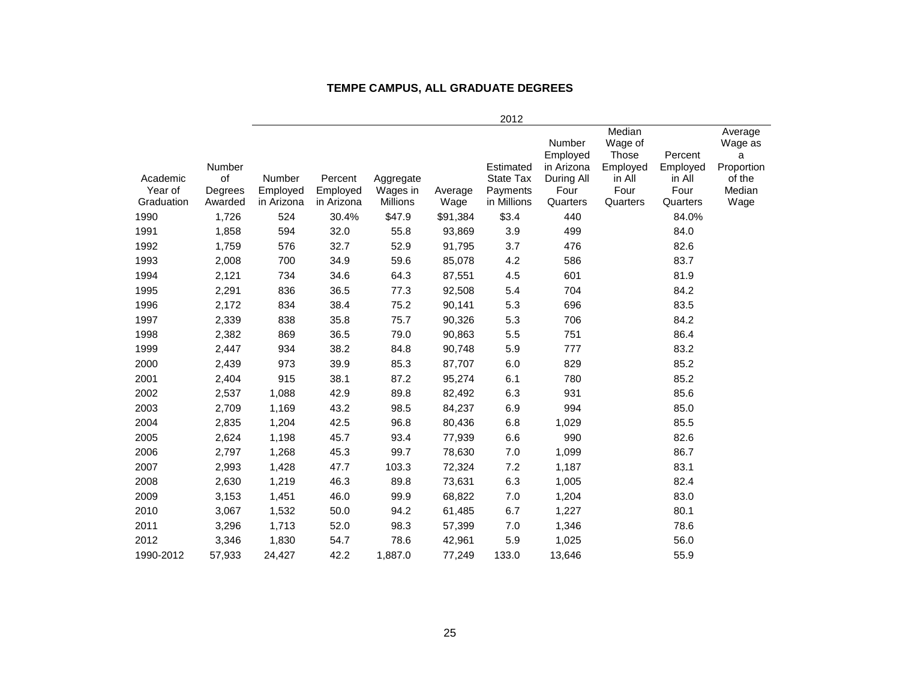#### **TEMPE CAMPUS, ALL GRADUATE DEGREES**

|                                   |                                    |                                  |                                   |                                          |                 | 2012                                                     |                                                                    |                                                                      |                                                   |                                                                   |
|-----------------------------------|------------------------------------|----------------------------------|-----------------------------------|------------------------------------------|-----------------|----------------------------------------------------------|--------------------------------------------------------------------|----------------------------------------------------------------------|---------------------------------------------------|-------------------------------------------------------------------|
| Academic<br>Year of<br>Graduation | Number<br>of<br>Degrees<br>Awarded | Number<br>Employed<br>in Arizona | Percent<br>Employed<br>in Arizona | Aggregate<br>Wages in<br><b>Millions</b> | Average<br>Wage | Estimated<br><b>State Tax</b><br>Payments<br>in Millions | Number<br>Employed<br>in Arizona<br>During All<br>Four<br>Quarters | Median<br>Wage of<br>Those<br>Employed<br>in All<br>Four<br>Quarters | Percent<br>Employed<br>in All<br>Four<br>Quarters | Average<br>Wage as<br>a<br>Proportion<br>of the<br>Median<br>Wage |
| 1990                              | 1,726                              | 524                              | 30.4%                             | \$47.9                                   | \$91,384        | \$3.4                                                    | 440                                                                |                                                                      | 84.0%                                             |                                                                   |
| 1991                              | 1,858                              | 594                              | 32.0                              | 55.8                                     | 93,869          | 3.9                                                      | 499                                                                |                                                                      | 84.0                                              |                                                                   |
| 1992                              | 1,759                              | 576                              | 32.7                              | 52.9                                     | 91,795          | 3.7                                                      | 476                                                                |                                                                      | 82.6                                              |                                                                   |
| 1993                              | 2,008                              | 700                              | 34.9                              | 59.6                                     | 85,078          | 4.2                                                      | 586                                                                |                                                                      | 83.7                                              |                                                                   |
| 1994                              | 2,121                              | 734                              | 34.6                              | 64.3                                     | 87,551          | 4.5                                                      | 601                                                                |                                                                      | 81.9                                              |                                                                   |
| 1995                              | 2,291                              | 836                              | 36.5                              | 77.3                                     | 92,508          | 5.4                                                      | 704                                                                |                                                                      | 84.2                                              |                                                                   |
| 1996                              | 2,172                              | 834                              | 38.4                              | 75.2                                     | 90,141          | 5.3                                                      | 696                                                                |                                                                      | 83.5                                              |                                                                   |
| 1997                              | 2,339                              | 838                              | 35.8                              | 75.7                                     | 90,326          | 5.3                                                      | 706                                                                |                                                                      | 84.2                                              |                                                                   |
| 1998                              | 2,382                              | 869                              | 36.5                              | 79.0                                     | 90,863          | 5.5                                                      | 751                                                                |                                                                      | 86.4                                              |                                                                   |
| 1999                              | 2,447                              | 934                              | 38.2                              | 84.8                                     | 90,748          | 5.9                                                      | 777                                                                |                                                                      | 83.2                                              |                                                                   |
| 2000                              | 2,439                              | 973                              | 39.9                              | 85.3                                     | 87,707          | 6.0                                                      | 829                                                                |                                                                      | 85.2                                              |                                                                   |
| 2001                              | 2,404                              | 915                              | 38.1                              | 87.2                                     | 95,274          | 6.1                                                      | 780                                                                |                                                                      | 85.2                                              |                                                                   |
| 2002                              | 2,537                              | 1,088                            | 42.9                              | 89.8                                     | 82,492          | 6.3                                                      | 931                                                                |                                                                      | 85.6                                              |                                                                   |
| 2003                              | 2,709                              | 1,169                            | 43.2                              | 98.5                                     | 84,237          | 6.9                                                      | 994                                                                |                                                                      | 85.0                                              |                                                                   |
| 2004                              | 2,835                              | 1,204                            | 42.5                              | 96.8                                     | 80,436          | 6.8                                                      | 1,029                                                              |                                                                      | 85.5                                              |                                                                   |
| 2005                              | 2,624                              | 1,198                            | 45.7                              | 93.4                                     | 77,939          | 6.6                                                      | 990                                                                |                                                                      | 82.6                                              |                                                                   |
| 2006                              | 2,797                              | 1,268                            | 45.3                              | 99.7                                     | 78,630          | 7.0                                                      | 1,099                                                              |                                                                      | 86.7                                              |                                                                   |
| 2007                              | 2,993                              | 1,428                            | 47.7                              | 103.3                                    | 72,324          | 7.2                                                      | 1,187                                                              |                                                                      | 83.1                                              |                                                                   |
| 2008                              | 2,630                              | 1,219                            | 46.3                              | 89.8                                     | 73,631          | 6.3                                                      | 1,005                                                              |                                                                      | 82.4                                              |                                                                   |
| 2009                              | 3,153                              | 1,451                            | 46.0                              | 99.9                                     | 68,822          | 7.0                                                      | 1,204                                                              |                                                                      | 83.0                                              |                                                                   |
| 2010                              | 3,067                              | 1,532                            | 50.0                              | 94.2                                     | 61,485          | 6.7                                                      | 1,227                                                              |                                                                      | 80.1                                              |                                                                   |
| 2011                              | 3,296                              | 1,713                            | 52.0                              | 98.3                                     | 57,399          | 7.0                                                      | 1,346                                                              |                                                                      | 78.6                                              |                                                                   |
| 2012                              | 3,346                              | 1,830                            | 54.7                              | 78.6                                     | 42,961          | 5.9                                                      | 1,025                                                              |                                                                      | 56.0                                              |                                                                   |
| 1990-2012                         | 57,933                             | 24,427                           | 42.2                              | 1,887.0                                  | 77,249          | 133.0                                                    | 13,646                                                             |                                                                      | 55.9                                              |                                                                   |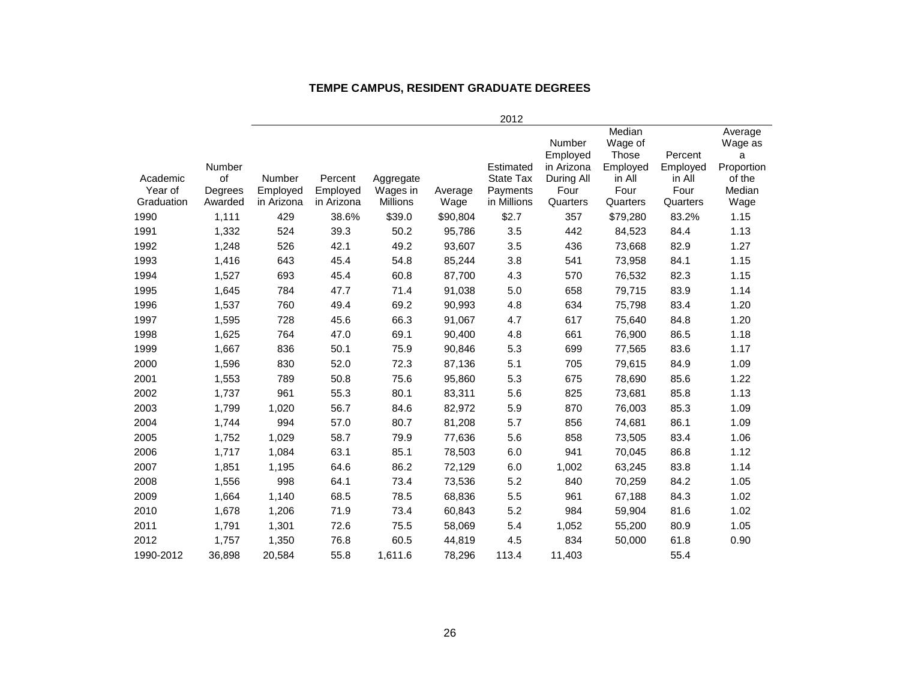#### **TEMPE CAMPUS, RESIDENT GRADUATE DEGREES**

|                     |                         |                    |                     |                       |          | 2012                               |                                                        |                                                                 |                                       |                                                           |
|---------------------|-------------------------|--------------------|---------------------|-----------------------|----------|------------------------------------|--------------------------------------------------------|-----------------------------------------------------------------|---------------------------------------|-----------------------------------------------------------|
| Academic<br>Year of | Number<br>of<br>Degrees | Number<br>Employed | Percent<br>Employed | Aggregate<br>Wages in | Average  | Estimated<br>State Tax<br>Payments | Number<br>Employed<br>in Arizona<br>During All<br>Four | Median<br>Wage of<br><b>Those</b><br>Employed<br>in All<br>Four | Percent<br>Employed<br>in All<br>Four | Average<br>Wage as<br>a<br>Proportion<br>of the<br>Median |
| Graduation          | Awarded                 | in Arizona         | in Arizona          | <b>Millions</b>       | Wage     | in Millions                        | Quarters                                               | Quarters                                                        | Quarters                              | Wage                                                      |
| 1990                | 1,111                   | 429                | 38.6%               | \$39.0                | \$90,804 | \$2.7                              | 357                                                    | \$79,280                                                        | 83.2%                                 | 1.15                                                      |
| 1991                | 1,332                   | 524                | 39.3                | 50.2                  | 95,786   | 3.5                                | 442                                                    | 84,523                                                          | 84.4                                  | 1.13                                                      |
| 1992                | 1,248                   | 526                | 42.1                | 49.2                  | 93,607   | 3.5                                | 436                                                    | 73,668                                                          | 82.9                                  | 1.27                                                      |
| 1993                | 1,416                   | 643                | 45.4                | 54.8                  | 85,244   | 3.8                                | 541                                                    | 73,958                                                          | 84.1                                  | 1.15                                                      |
| 1994                | 1,527                   | 693                | 45.4                | 60.8                  | 87,700   | 4.3                                | 570                                                    | 76,532                                                          | 82.3                                  | 1.15                                                      |
| 1995                | 1,645                   | 784                | 47.7                | 71.4                  | 91,038   | 5.0                                | 658                                                    | 79,715                                                          | 83.9                                  | 1.14                                                      |
| 1996                | 1,537                   | 760                | 49.4                | 69.2                  | 90,993   | 4.8                                | 634                                                    | 75,798                                                          | 83.4                                  | 1.20                                                      |
| 1997                | 1,595                   | 728                | 45.6                | 66.3                  | 91,067   | 4.7                                | 617                                                    | 75,640                                                          | 84.8                                  | 1.20                                                      |
| 1998                | 1,625                   | 764                | 47.0                | 69.1                  | 90,400   | 4.8                                | 661                                                    | 76,900                                                          | 86.5                                  | 1.18                                                      |
| 1999                | 1,667                   | 836                | 50.1                | 75.9                  | 90,846   | 5.3                                | 699                                                    | 77,565                                                          | 83.6                                  | 1.17                                                      |
| 2000                | 1,596                   | 830                | 52.0                | 72.3                  | 87,136   | 5.1                                | 705                                                    | 79,615                                                          | 84.9                                  | 1.09                                                      |
| 2001                | 1,553                   | 789                | 50.8                | 75.6                  | 95,860   | 5.3                                | 675                                                    | 78,690                                                          | 85.6                                  | 1.22                                                      |
| 2002                | 1,737                   | 961                | 55.3                | 80.1                  | 83,311   | 5.6                                | 825                                                    | 73,681                                                          | 85.8                                  | 1.13                                                      |
| 2003                | 1,799                   | 1,020              | 56.7                | 84.6                  | 82,972   | 5.9                                | 870                                                    | 76,003                                                          | 85.3                                  | 1.09                                                      |
| 2004                | 1,744                   | 994                | 57.0                | 80.7                  | 81,208   | 5.7                                | 856                                                    | 74,681                                                          | 86.1                                  | 1.09                                                      |
| 2005                | 1,752                   | 1,029              | 58.7                | 79.9                  | 77,636   | 5.6                                | 858                                                    | 73,505                                                          | 83.4                                  | 1.06                                                      |
| 2006                | 1,717                   | 1,084              | 63.1                | 85.1                  | 78,503   | 6.0                                | 941                                                    | 70,045                                                          | 86.8                                  | 1.12                                                      |
| 2007                | 1,851                   | 1,195              | 64.6                | 86.2                  | 72,129   | 6.0                                | 1,002                                                  | 63,245                                                          | 83.8                                  | 1.14                                                      |
| 2008                | 1,556                   | 998                | 64.1                | 73.4                  | 73,536   | 5.2                                | 840                                                    | 70,259                                                          | 84.2                                  | 1.05                                                      |
| 2009                | 1,664                   | 1,140              | 68.5                | 78.5                  | 68,836   | 5.5                                | 961                                                    | 67,188                                                          | 84.3                                  | 1.02                                                      |
| 2010                | 1,678                   | 1,206              | 71.9                | 73.4                  | 60,843   | 5.2                                | 984                                                    | 59,904                                                          | 81.6                                  | 1.02                                                      |
| 2011                | 1,791                   | 1,301              | 72.6                | 75.5                  | 58,069   | 5.4                                | 1,052                                                  | 55,200                                                          | 80.9                                  | 1.05                                                      |
| 2012                | 1,757                   | 1,350              | 76.8                | 60.5                  | 44,819   | 4.5                                | 834                                                    | 50,000                                                          | 61.8                                  | 0.90                                                      |
| 1990-2012           | 36.898                  | 20.584             | 55.8                | 1,611.6               | 78.296   | 113.4                              | 11.403                                                 |                                                                 | 55.4                                  |                                                           |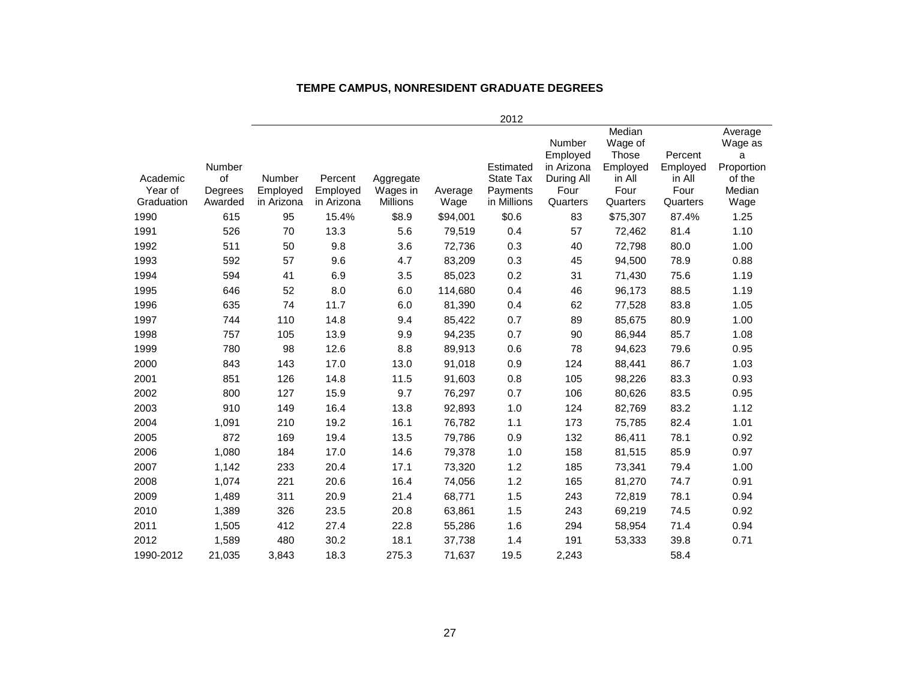#### **TEMPE CAMPUS, NONRESIDENT GRADUATE DEGREES**

|                                   |                                    |                                  |                                   |                                          |                 | 2012                                              |                                                                    |                                                                             |                                                   |                                                                   |
|-----------------------------------|------------------------------------|----------------------------------|-----------------------------------|------------------------------------------|-----------------|---------------------------------------------------|--------------------------------------------------------------------|-----------------------------------------------------------------------------|---------------------------------------------------|-------------------------------------------------------------------|
| Academic<br>Year of<br>Graduation | Number<br>of<br>Degrees<br>Awarded | Number<br>Employed<br>in Arizona | Percent<br>Employed<br>in Arizona | Aggregate<br>Wages in<br><b>Millions</b> | Average<br>Wage | Estimated<br>State Tax<br>Payments<br>in Millions | Number<br>Employed<br>in Arizona<br>During All<br>Four<br>Quarters | Median<br>Wage of<br><b>Those</b><br>Employed<br>in All<br>Four<br>Quarters | Percent<br>Employed<br>in All<br>Four<br>Quarters | Average<br>Wage as<br>a<br>Proportion<br>of the<br>Median<br>Wage |
| 1990                              | 615                                | 95                               | 15.4%                             | \$8.9                                    | \$94,001        | \$0.6                                             | 83                                                                 | \$75,307                                                                    | 87.4%                                             | 1.25                                                              |
| 1991                              | 526                                | 70                               | 13.3                              | 5.6                                      | 79,519          | 0.4                                               | 57                                                                 | 72,462                                                                      | 81.4                                              | 1.10                                                              |
| 1992                              | 511                                | 50                               | 9.8                               | 3.6                                      | 72,736          | 0.3                                               | 40                                                                 | 72,798                                                                      | 80.0                                              | 1.00                                                              |
| 1993                              | 592                                | 57                               | 9.6                               | 4.7                                      | 83,209          | 0.3                                               | 45                                                                 | 94,500                                                                      | 78.9                                              | 0.88                                                              |
| 1994                              | 594                                | 41                               | 6.9                               | 3.5                                      | 85,023          | 0.2                                               | 31                                                                 | 71,430                                                                      | 75.6                                              | 1.19                                                              |
| 1995                              | 646                                | 52                               | 8.0                               | 6.0                                      | 114,680         | 0.4                                               | 46                                                                 | 96,173                                                                      | 88.5                                              | 1.19                                                              |
| 1996                              | 635                                | 74                               | 11.7                              | 6.0                                      | 81,390          | 0.4                                               | 62                                                                 | 77,528                                                                      | 83.8                                              | 1.05                                                              |
| 1997                              | 744                                | 110                              | 14.8                              | 9.4                                      | 85,422          | 0.7                                               | 89                                                                 | 85,675                                                                      | 80.9                                              | 1.00                                                              |
| 1998                              | 757                                | 105                              | 13.9                              | 9.9                                      | 94,235          | 0.7                                               | 90                                                                 | 86,944                                                                      | 85.7                                              | 1.08                                                              |
| 1999                              | 780                                | 98                               | 12.6                              | 8.8                                      | 89,913          | 0.6                                               | 78                                                                 | 94,623                                                                      | 79.6                                              | 0.95                                                              |
| 2000                              | 843                                | 143                              | 17.0                              | 13.0                                     | 91,018          | 0.9                                               | 124                                                                | 88,441                                                                      | 86.7                                              | 1.03                                                              |
| 2001                              | 851                                | 126                              | 14.8                              | 11.5                                     | 91,603          | 0.8                                               | 105                                                                | 98,226                                                                      | 83.3                                              | 0.93                                                              |
| 2002                              | 800                                | 127                              | 15.9                              | 9.7                                      | 76,297          | 0.7                                               | 106                                                                | 80,626                                                                      | 83.5                                              | 0.95                                                              |
| 2003                              | 910                                | 149                              | 16.4                              | 13.8                                     | 92,893          | 1.0                                               | 124                                                                | 82,769                                                                      | 83.2                                              | 1.12                                                              |
| 2004                              | 1,091                              | 210                              | 19.2                              | 16.1                                     | 76,782          | 1.1                                               | 173                                                                | 75,785                                                                      | 82.4                                              | 1.01                                                              |
| 2005                              | 872                                | 169                              | 19.4                              | 13.5                                     | 79,786          | 0.9                                               | 132                                                                | 86,411                                                                      | 78.1                                              | 0.92                                                              |
| 2006                              | 1,080                              | 184                              | 17.0                              | 14.6                                     | 79,378          | 1.0                                               | 158                                                                | 81,515                                                                      | 85.9                                              | 0.97                                                              |
| 2007                              | 1,142                              | 233                              | 20.4                              | 17.1                                     | 73,320          | 1.2                                               | 185                                                                | 73,341                                                                      | 79.4                                              | 1.00                                                              |
| 2008                              | 1,074                              | 221                              | 20.6                              | 16.4                                     | 74,056          | 1.2                                               | 165                                                                | 81,270                                                                      | 74.7                                              | 0.91                                                              |
| 2009                              | 1,489                              | 311                              | 20.9                              | 21.4                                     | 68,771          | 1.5                                               | 243                                                                | 72,819                                                                      | 78.1                                              | 0.94                                                              |
| 2010                              | 1,389                              | 326                              | 23.5                              | 20.8                                     | 63,861          | 1.5                                               | 243                                                                | 69,219                                                                      | 74.5                                              | 0.92                                                              |
| 2011                              | 1,505                              | 412                              | 27.4                              | 22.8                                     | 55,286          | 1.6                                               | 294                                                                | 58,954                                                                      | 71.4                                              | 0.94                                                              |
| 2012                              | 1,589                              | 480                              | 30.2                              | 18.1                                     | 37,738          | 1.4                                               | 191                                                                | 53,333                                                                      | 39.8                                              | 0.71                                                              |
| 1990-2012                         | 21,035                             | 3,843                            | 18.3                              | 275.3                                    | 71,637          | 19.5                                              | 2,243                                                              |                                                                             | 58.4                                              |                                                                   |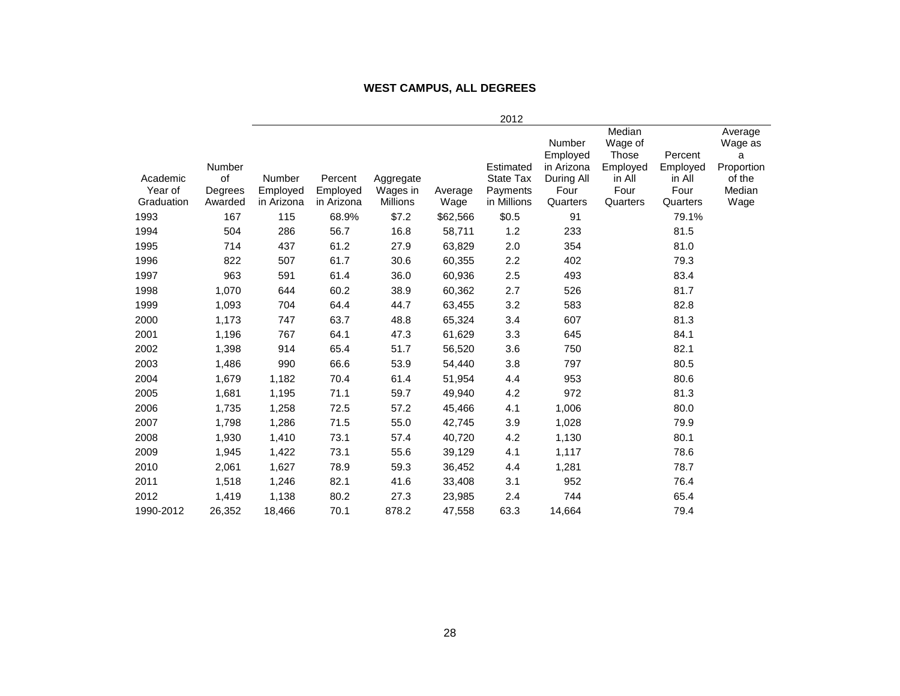#### **WEST CAMPUS, ALL DEGREES**

|                       |         |                        |            |           |          | 2012                 |                                  |                                        |                     |                                       |
|-----------------------|---------|------------------------|------------|-----------|----------|----------------------|----------------------------------|----------------------------------------|---------------------|---------------------------------------|
|                       | Number  |                        |            |           |          | Estimated            | Number<br>Employed<br>in Arizona | Median<br>Wage of<br>Those<br>Employed | Percent<br>Employed | Average<br>Wage as<br>а<br>Proportion |
| Academic              | of      | <b>Number</b>          | Percent    | Aggregate |          | State Tax            | During All                       | in All                                 | in All              | of the                                |
| Year of<br>Graduation | Degrees | Employed<br>in Arizona | Employed   | Wages in  | Average  | Payments             | Four                             | Four                                   | Four                | Median                                |
|                       | Awarded |                        | in Arizona | Millions  | Wage     | in Millions<br>\$0.5 | Quarters                         | Quarters                               | Quarters            | Wage                                  |
| 1993                  | 167     | 115                    | 68.9%      | \$7.2     | \$62,566 |                      | 91                               |                                        | 79.1%               |                                       |
| 1994                  | 504     | 286                    | 56.7       | 16.8      | 58,711   | 1.2                  | 233                              |                                        | 81.5                |                                       |
| 1995                  | 714     | 437                    | 61.2       | 27.9      | 63,829   | 2.0                  | 354                              |                                        | 81.0                |                                       |
| 1996                  | 822     | 507                    | 61.7       | 30.6      | 60,355   | 2.2                  | 402                              |                                        | 79.3                |                                       |
| 1997                  | 963     | 591                    | 61.4       | 36.0      | 60,936   | 2.5                  | 493                              |                                        | 83.4                |                                       |
| 1998                  | 1,070   | 644                    | 60.2       | 38.9      | 60,362   | 2.7                  | 526                              |                                        | 81.7                |                                       |
| 1999                  | 1,093   | 704                    | 64.4       | 44.7      | 63,455   | 3.2                  | 583                              |                                        | 82.8                |                                       |
| 2000                  | 1,173   | 747                    | 63.7       | 48.8      | 65,324   | 3.4                  | 607                              |                                        | 81.3                |                                       |
| 2001                  | 1,196   | 767                    | 64.1       | 47.3      | 61,629   | 3.3                  | 645                              |                                        | 84.1                |                                       |
| 2002                  | 1,398   | 914                    | 65.4       | 51.7      | 56,520   | 3.6                  | 750                              |                                        | 82.1                |                                       |
| 2003                  | 1,486   | 990                    | 66.6       | 53.9      | 54,440   | 3.8                  | 797                              |                                        | 80.5                |                                       |
| 2004                  | 1,679   | 1,182                  | 70.4       | 61.4      | 51,954   | 4.4                  | 953                              |                                        | 80.6                |                                       |
| 2005                  | 1,681   | 1,195                  | 71.1       | 59.7      | 49,940   | 4.2                  | 972                              |                                        | 81.3                |                                       |
| 2006                  | 1,735   | 1,258                  | 72.5       | 57.2      | 45,466   | 4.1                  | 1,006                            |                                        | 80.0                |                                       |
| 2007                  | 1,798   | 1,286                  | 71.5       | 55.0      | 42,745   | 3.9                  | 1,028                            |                                        | 79.9                |                                       |
| 2008                  | 1,930   | 1,410                  | 73.1       | 57.4      | 40,720   | 4.2                  | 1,130                            |                                        | 80.1                |                                       |
| 2009                  | 1,945   | 1,422                  | 73.1       | 55.6      | 39,129   | 4.1                  | 1,117                            |                                        | 78.6                |                                       |
| 2010                  | 2,061   | 1,627                  | 78.9       | 59.3      | 36,452   | 4.4                  | 1,281                            |                                        | 78.7                |                                       |
| 2011                  | 1,518   | 1,246                  | 82.1       | 41.6      | 33,408   | 3.1                  | 952                              |                                        | 76.4                |                                       |
| 2012                  | 1,419   | 1,138                  | 80.2       | 27.3      | 23,985   | 2.4                  | 744                              |                                        | 65.4                |                                       |
| 1990-2012             | 26,352  | 18,466                 | 70.1       | 878.2     | 47,558   | 63.3                 | 14,664                           |                                        | 79.4                |                                       |
|                       |         |                        |            |           |          |                      |                                  |                                        |                     |                                       |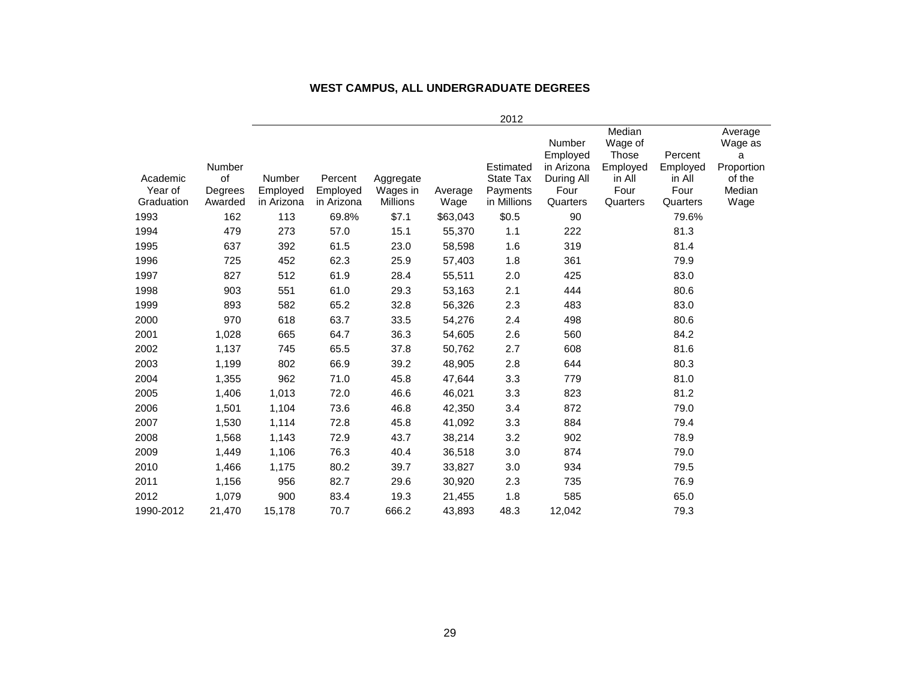|        |                                         |                                                    |                                                         |                                                              |                                                           | Number                                                        | Median<br>Wage of<br>Those                              | Percent          | Average<br>Wage as<br>a                   |
|--------|-----------------------------------------|----------------------------------------------------|---------------------------------------------------------|--------------------------------------------------------------|-----------------------------------------------------------|---------------------------------------------------------------|---------------------------------------------------------|------------------|-------------------------------------------|
| Number |                                         |                                                    |                                                         |                                                              | Estimated                                                 | in Arizona                                                    | Employed                                                | Employed         | Proportion                                |
| of     | Number                                  | Percent                                            | Aggregate                                               |                                                              | <b>State Tax</b>                                          | During All                                                    | in All                                                  | in All           | of the                                    |
|        |                                         |                                                    |                                                         |                                                              |                                                           |                                                               |                                                         |                  | Median                                    |
|        |                                         |                                                    |                                                         |                                                              |                                                           |                                                               |                                                         |                  | Wage                                      |
|        |                                         |                                                    |                                                         |                                                              |                                                           |                                                               |                                                         |                  |                                           |
|        |                                         |                                                    |                                                         |                                                              |                                                           |                                                               |                                                         |                  |                                           |
|        |                                         |                                                    |                                                         |                                                              |                                                           |                                                               |                                                         |                  |                                           |
| 725    |                                         |                                                    |                                                         |                                                              |                                                           |                                                               |                                                         | 79.9             |                                           |
| 827    | 512                                     | 61.9                                               | 28.4                                                    | 55,511                                                       | 2.0                                                       | 425                                                           |                                                         | 83.0             |                                           |
| 903    | 551                                     | 61.0                                               | 29.3                                                    | 53,163                                                       | 2.1                                                       | 444                                                           |                                                         | 80.6             |                                           |
| 893    | 582                                     | 65.2                                               | 32.8                                                    | 56,326                                                       | 2.3                                                       | 483                                                           |                                                         | 83.0             |                                           |
| 970    | 618                                     | 63.7                                               | 33.5                                                    | 54,276                                                       | 2.4                                                       | 498                                                           |                                                         | 80.6             |                                           |
| 1,028  | 665                                     | 64.7                                               | 36.3                                                    | 54,605                                                       | 2.6                                                       | 560                                                           |                                                         | 84.2             |                                           |
| 1,137  | 745                                     | 65.5                                               | 37.8                                                    | 50,762                                                       | 2.7                                                       | 608                                                           |                                                         | 81.6             |                                           |
| 1,199  | 802                                     | 66.9                                               | 39.2                                                    | 48,905                                                       | 2.8                                                       | 644                                                           |                                                         | 80.3             |                                           |
| 1,355  | 962                                     | 71.0                                               | 45.8                                                    | 47,644                                                       | 3.3                                                       | 779                                                           |                                                         | 81.0             |                                           |
| 1,406  | 1,013                                   | 72.0                                               | 46.6                                                    | 46,021                                                       | 3.3                                                       | 823                                                           |                                                         | 81.2             |                                           |
| 1,501  | 1,104                                   | 73.6                                               | 46.8                                                    | 42,350                                                       | 3.4                                                       | 872                                                           |                                                         | 79.0             |                                           |
| 1,530  | 1,114                                   | 72.8                                               | 45.8                                                    | 41,092                                                       | 3.3                                                       | 884                                                           |                                                         | 79.4             |                                           |
| 1,568  | 1,143                                   | 72.9                                               | 43.7                                                    | 38,214                                                       | 3.2                                                       | 902                                                           |                                                         | 78.9             |                                           |
| 1,449  | 1,106                                   | 76.3                                               | 40.4                                                    | 36,518                                                       | 3.0                                                       | 874                                                           |                                                         | 79.0             |                                           |
| 1,466  | 1,175                                   | 80.2                                               | 39.7                                                    | 33,827                                                       | 3.0                                                       | 934                                                           |                                                         | 79.5             |                                           |
| 1,156  | 956                                     | 82.7                                               | 29.6                                                    | 30,920                                                       | 2.3                                                       | 735                                                           |                                                         | 76.9             |                                           |
| 1,079  | 900                                     | 83.4                                               | 19.3                                                    | 21,455                                                       | 1.8                                                       | 585                                                           |                                                         | 65.0             |                                           |
| 21,470 | 15,178                                  | 70.7                                               | 666.2                                                   | 43,893                                                       | 48.3                                                      | 12,042                                                        |                                                         | 79.3             |                                           |
|        | Degrees<br>Awarded<br>162<br>479<br>637 | Employed<br>in Arizona<br>113<br>273<br>392<br>452 | Employed<br>in Arizona<br>69.8%<br>57.0<br>61.5<br>62.3 | Wages in<br><b>Millions</b><br>\$7.1<br>15.1<br>23.0<br>25.9 | Average<br>Wage<br>\$63,043<br>55,370<br>58,598<br>57,403 | 2012<br>Payments<br>in Millions<br>\$0.5<br>1.1<br>1.6<br>1.8 | Employed<br>Four<br>Quarters<br>90<br>222<br>319<br>361 | Four<br>Quarters | Four<br>Quarters<br>79.6%<br>81.3<br>81.4 |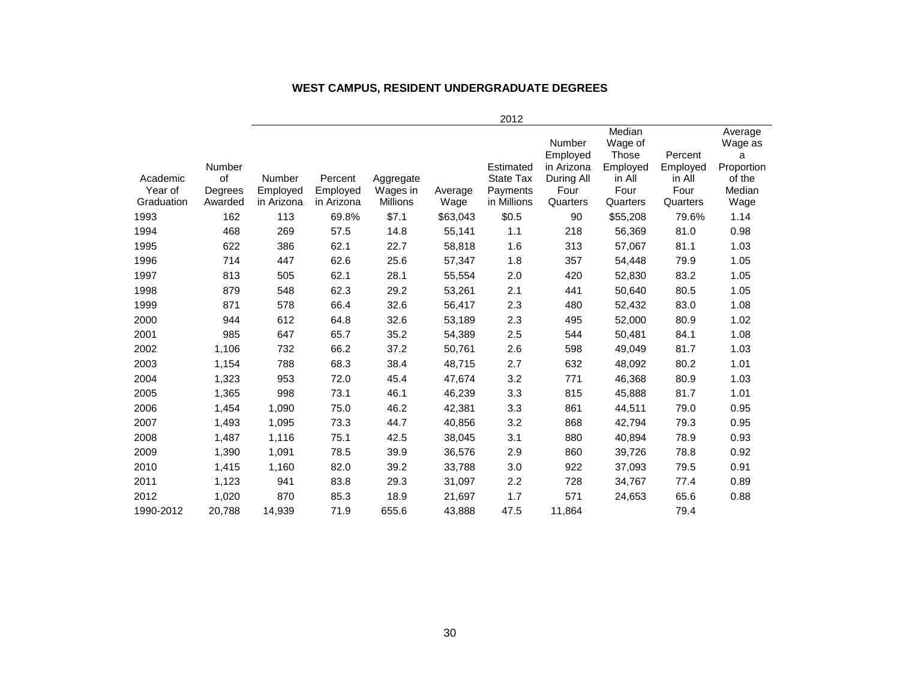#### **WEST CAMPUS, RESIDENT UNDERGRADUATE DEGREES**

|            |           |            |            |                 |          | 2012        |                           |                            |          |                         |
|------------|-----------|------------|------------|-----------------|----------|-------------|---------------------------|----------------------------|----------|-------------------------|
|            |           |            |            |                 |          |             | <b>Number</b><br>Employed | Median<br>Wage of<br>Those | Percent  | Average<br>Wage as<br>а |
|            | Number    |            |            |                 |          | Estimated   | in Arizona                | Employed                   | Employed | Proportion              |
| Academic   | <b>of</b> | Number     | Percent    | Aggregate       |          | State Tax   | During All                | in All                     | in All   | of the                  |
| Year of    | Degrees   | Employed   | Employed   | Wages in        | Average  | Payments    | Four                      | Four                       | Four     | Median                  |
| Graduation | Awarded   | in Arizona | in Arizona | <b>Millions</b> | Wage     | in Millions | Quarters                  | Quarters                   | Quarters | Wage                    |
| 1993       | 162       | 113        | 69.8%      | \$7.1           | \$63,043 | \$0.5       | 90                        | \$55,208                   | 79.6%    | 1.14                    |
| 1994       | 468       | 269        | 57.5       | 14.8            | 55,141   | 1.1         | 218                       | 56,369                     | 81.0     | 0.98                    |
| 1995       | 622       | 386        | 62.1       | 22.7            | 58,818   | 1.6         | 313                       | 57,067                     | 81.1     | 1.03                    |
| 1996       | 714       | 447        | 62.6       | 25.6            | 57,347   | 1.8         | 357                       | 54,448                     | 79.9     | 1.05                    |
| 1997       | 813       | 505        | 62.1       | 28.1            | 55,554   | 2.0         | 420                       | 52,830                     | 83.2     | 1.05                    |
| 1998       | 879       | 548        | 62.3       | 29.2            | 53,261   | 2.1         | 441                       | 50,640                     | 80.5     | 1.05                    |
| 1999       | 871       | 578        | 66.4       | 32.6            | 56,417   | 2.3         | 480                       | 52,432                     | 83.0     | 1.08                    |
| 2000       | 944       | 612        | 64.8       | 32.6            | 53,189   | 2.3         | 495                       | 52,000                     | 80.9     | 1.02                    |
| 2001       | 985       | 647        | 65.7       | 35.2            | 54,389   | 2.5         | 544                       | 50,481                     | 84.1     | 1.08                    |
| 2002       | 1,106     | 732        | 66.2       | 37.2            | 50,761   | 2.6         | 598                       | 49,049                     | 81.7     | 1.03                    |
| 2003       | 1,154     | 788        | 68.3       | 38.4            | 48,715   | 2.7         | 632                       | 48,092                     | 80.2     | 1.01                    |
| 2004       | 1,323     | 953        | 72.0       | 45.4            | 47,674   | 3.2         | 771                       | 46,368                     | 80.9     | 1.03                    |
| 2005       | 1,365     | 998        | 73.1       | 46.1            | 46,239   | 3.3         | 815                       | 45,888                     | 81.7     | 1.01                    |
| 2006       | 1,454     | 1,090      | 75.0       | 46.2            | 42,381   | 3.3         | 861                       | 44,511                     | 79.0     | 0.95                    |
| 2007       | 1,493     | 1,095      | 73.3       | 44.7            | 40,856   | 3.2         | 868                       | 42,794                     | 79.3     | 0.95                    |
| 2008       | 1,487     | 1,116      | 75.1       | 42.5            | 38,045   | 3.1         | 880                       | 40,894                     | 78.9     | 0.93                    |
| 2009       | 1,390     | 1,091      | 78.5       | 39.9            | 36,576   | 2.9         | 860                       | 39,726                     | 78.8     | 0.92                    |
| 2010       | 1,415     | 1,160      | 82.0       | 39.2            | 33,788   | 3.0         | 922                       | 37,093                     | 79.5     | 0.91                    |
| 2011       | 1,123     | 941        | 83.8       | 29.3            | 31,097   | 2.2         | 728                       | 34,767                     | 77.4     | 0.89                    |
| 2012       | 1,020     | 870        | 85.3       | 18.9            | 21,697   | 1.7         | 571                       | 24,653                     | 65.6     | 0.88                    |
| 1990-2012  | 20,788    | 14,939     | 71.9       | 655.6           | 43,888   | 47.5        | 11,864                    |                            | 79.4     |                         |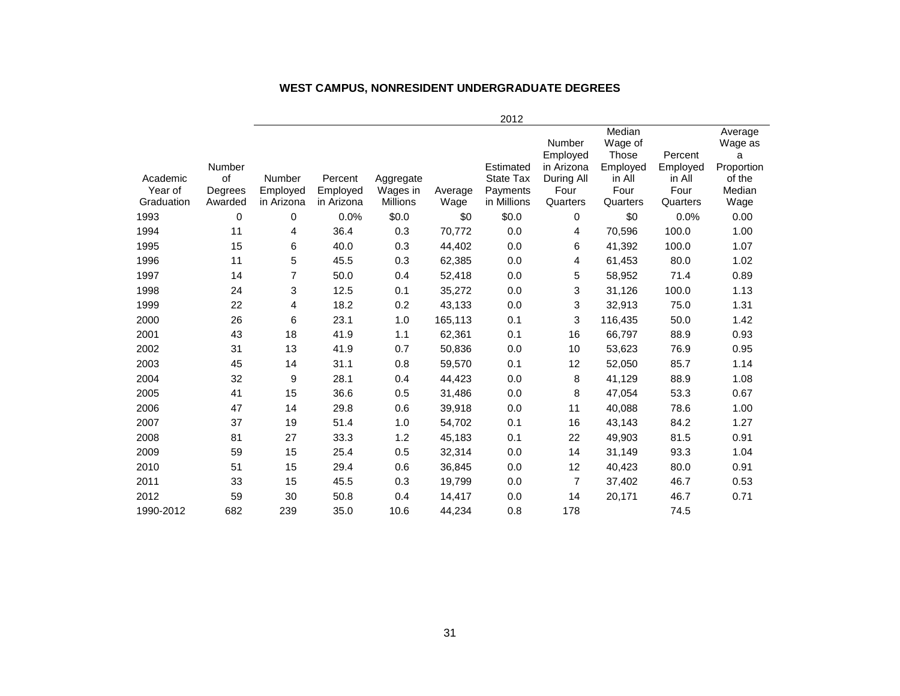#### **WEST CAMPUS, NONRESIDENT UNDERGRADUATE DEGREES**

|                     |                         |                           |                     |                       |         | 2012                                      |                                                        |                                                          |                                       |                                                           |
|---------------------|-------------------------|---------------------------|---------------------|-----------------------|---------|-------------------------------------------|--------------------------------------------------------|----------------------------------------------------------|---------------------------------------|-----------------------------------------------------------|
| Academic<br>Year of | Number<br>of<br>Degrees | <b>Number</b><br>Employed | Percent<br>Employed | Aggregate<br>Wages in | Average | Estimated<br><b>State Tax</b><br>Payments | Number<br>Employed<br>in Arizona<br>During All<br>Four | Median<br>Wage of<br>Those<br>Employed<br>in All<br>Four | Percent<br>Employed<br>in All<br>Four | Average<br>Wage as<br>a<br>Proportion<br>of the<br>Median |
| Graduation          | Awarded                 | in Arizona                | in Arizona          | <b>Millions</b>       | Wage    | in Millions                               | Quarters                                               | Quarters                                                 | Quarters                              | Wage                                                      |
| 1993                | 0                       | 0                         | 0.0%                | \$0.0                 | \$0     | \$0.0                                     | 0                                                      | \$0                                                      | 0.0%                                  | 0.00                                                      |
| 1994                | 11                      | 4                         | 36.4                | 0.3                   | 70,772  | 0.0                                       | 4                                                      | 70,596                                                   | 100.0                                 | 1.00                                                      |
| 1995                | 15                      | 6                         | 40.0                | 0.3                   | 44,402  | 0.0                                       | 6                                                      | 41,392                                                   | 100.0                                 | 1.07                                                      |
| 1996                | 11                      | 5                         | 45.5                | 0.3                   | 62,385  | 0.0                                       | 4                                                      | 61,453                                                   | 80.0                                  | 1.02                                                      |
| 1997                | 14                      | 7                         | 50.0                | 0.4                   | 52,418  | 0.0                                       | 5                                                      | 58,952                                                   | 71.4                                  | 0.89                                                      |
| 1998                | 24                      | 3                         | 12.5                | 0.1                   | 35,272  | 0.0                                       | 3                                                      | 31,126                                                   | 100.0                                 | 1.13                                                      |
| 1999                | 22                      | 4                         | 18.2                | 0.2                   | 43,133  | 0.0                                       | 3                                                      | 32,913                                                   | 75.0                                  | 1.31                                                      |
| 2000                | 26                      | 6                         | 23.1                | 1.0                   | 165,113 | 0.1                                       | 3                                                      | 116,435                                                  | 50.0                                  | 1.42                                                      |
| 2001                | 43                      | 18                        | 41.9                | 1.1                   | 62,361  | 0.1                                       | 16                                                     | 66,797                                                   | 88.9                                  | 0.93                                                      |
| 2002                | 31                      | 13                        | 41.9                | 0.7                   | 50,836  | 0.0                                       | 10                                                     | 53,623                                                   | 76.9                                  | 0.95                                                      |
| 2003                | 45                      | 14                        | 31.1                | 0.8                   | 59,570  | 0.1                                       | 12                                                     | 52,050                                                   | 85.7                                  | 1.14                                                      |
| 2004                | 32                      | 9                         | 28.1                | 0.4                   | 44,423  | 0.0                                       | 8                                                      | 41,129                                                   | 88.9                                  | 1.08                                                      |
| 2005                | 41                      | 15                        | 36.6                | 0.5                   | 31,486  | 0.0                                       | 8                                                      | 47,054                                                   | 53.3                                  | 0.67                                                      |
| 2006                | 47                      | 14                        | 29.8                | 0.6                   | 39,918  | 0.0                                       | 11                                                     | 40,088                                                   | 78.6                                  | 1.00                                                      |
| 2007                | 37                      | 19                        | 51.4                | 1.0                   | 54,702  | 0.1                                       | 16                                                     | 43,143                                                   | 84.2                                  | 1.27                                                      |
| 2008                | 81                      | 27                        | 33.3                | 1.2                   | 45,183  | 0.1                                       | 22                                                     | 49,903                                                   | 81.5                                  | 0.91                                                      |
| 2009                | 59                      | 15                        | 25.4                | 0.5                   | 32,314  | 0.0                                       | 14                                                     | 31,149                                                   | 93.3                                  | 1.04                                                      |
| 2010                | 51                      | 15                        | 29.4                | 0.6                   | 36,845  | 0.0                                       | 12                                                     | 40,423                                                   | 80.0                                  | 0.91                                                      |
| 2011                | 33                      | 15                        | 45.5                | 0.3                   | 19,799  | 0.0                                       | 7                                                      | 37,402                                                   | 46.7                                  | 0.53                                                      |
| 2012                | 59                      | 30                        | 50.8                | 0.4                   | 14,417  | 0.0                                       | 14                                                     | 20,171                                                   | 46.7                                  | 0.71                                                      |
| 1990-2012           | 682                     | 239                       | 35.0                | 10.6                  | 44,234  | 0.8                                       | 178                                                    |                                                          | 74.5                                  |                                                           |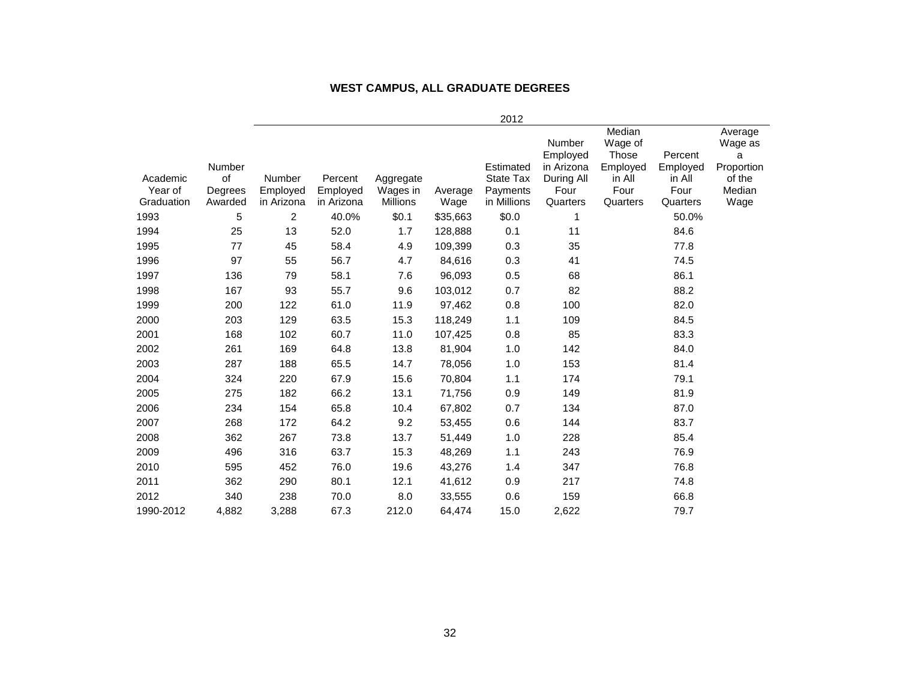#### **WEST CAMPUS, ALL GRADUATE DEGREES**

|                     |                         |                    |                     |                       |          | 2012                                      |                                                        |                                                          |                                       |                                                           |
|---------------------|-------------------------|--------------------|---------------------|-----------------------|----------|-------------------------------------------|--------------------------------------------------------|----------------------------------------------------------|---------------------------------------|-----------------------------------------------------------|
| Academic<br>Year of | Number<br>of<br>Degrees | Number<br>Employed | Percent<br>Employed | Aggregate<br>Wages in | Average  | Estimated<br><b>State Tax</b><br>Payments | Number<br>Employed<br>in Arizona<br>During All<br>Four | Median<br>Wage of<br>Those<br>Employed<br>in All<br>Four | Percent<br>Employed<br>in All<br>Four | Average<br>Wage as<br>a<br>Proportion<br>of the<br>Median |
| Graduation          | Awarded                 | in Arizona         | in Arizona          | Millions              | Wage     | in Millions                               | Quarters                                               | Quarters                                                 | Quarters                              | Wage                                                      |
| 1993                | 5                       | $\overline{c}$     | 40.0%               | \$0.1                 | \$35,663 | \$0.0                                     | 1                                                      |                                                          | 50.0%                                 |                                                           |
| 1994                | 25                      | 13                 | 52.0                | 1.7                   | 128,888  | 0.1                                       | 11                                                     |                                                          | 84.6                                  |                                                           |
| 1995                | 77                      | 45                 | 58.4                | 4.9                   | 109,399  | 0.3                                       | 35                                                     |                                                          | 77.8                                  |                                                           |
| 1996                | 97                      | 55                 | 56.7                | 4.7                   | 84,616   | 0.3                                       | 41                                                     |                                                          | 74.5                                  |                                                           |
| 1997                | 136                     | 79                 | 58.1                | 7.6                   | 96,093   | 0.5                                       | 68                                                     |                                                          | 86.1                                  |                                                           |
| 1998                | 167                     | 93                 | 55.7                | 9.6                   | 103,012  | 0.7                                       | 82                                                     |                                                          | 88.2                                  |                                                           |
| 1999                | 200                     | 122                | 61.0                | 11.9                  | 97,462   | 0.8                                       | 100                                                    |                                                          | 82.0                                  |                                                           |
| 2000                | 203                     | 129                | 63.5                | 15.3                  | 118,249  | 1.1                                       | 109                                                    |                                                          | 84.5                                  |                                                           |
| 2001                | 168                     | 102                | 60.7                | 11.0                  | 107,425  | 0.8                                       | 85                                                     |                                                          | 83.3                                  |                                                           |
| 2002                | 261                     | 169                | 64.8                | 13.8                  | 81,904   | 1.0                                       | 142                                                    |                                                          | 84.0                                  |                                                           |
| 2003                | 287                     | 188                | 65.5                | 14.7                  | 78,056   | 1.0                                       | 153                                                    |                                                          | 81.4                                  |                                                           |
| 2004                | 324                     | 220                | 67.9                | 15.6                  | 70,804   | 1.1                                       | 174                                                    |                                                          | 79.1                                  |                                                           |
| 2005                | 275                     | 182                | 66.2                | 13.1                  | 71,756   | 0.9                                       | 149                                                    |                                                          | 81.9                                  |                                                           |
| 2006                | 234                     | 154                | 65.8                | 10.4                  | 67,802   | 0.7                                       | 134                                                    |                                                          | 87.0                                  |                                                           |
| 2007                | 268                     | 172                | 64.2                | 9.2                   | 53,455   | 0.6                                       | 144                                                    |                                                          | 83.7                                  |                                                           |
| 2008                | 362                     | 267                | 73.8                | 13.7                  | 51,449   | 1.0                                       | 228                                                    |                                                          | 85.4                                  |                                                           |
| 2009                | 496                     | 316                | 63.7                | 15.3                  | 48,269   | 1.1                                       | 243                                                    |                                                          | 76.9                                  |                                                           |
| 2010                | 595                     | 452                | 76.0                | 19.6                  | 43,276   | 1.4                                       | 347                                                    |                                                          | 76.8                                  |                                                           |
| 2011                | 362                     | 290                | 80.1                | 12.1                  | 41,612   | 0.9                                       | 217                                                    |                                                          | 74.8                                  |                                                           |
| 2012                | 340                     | 238                | 70.0                | 8.0                   | 33,555   | 0.6                                       | 159                                                    |                                                          | 66.8                                  |                                                           |
| 1990-2012           | 4,882                   | 3,288              | 67.3                | 212.0                 | 64,474   | 15.0                                      | 2,622                                                  |                                                          | 79.7                                  |                                                           |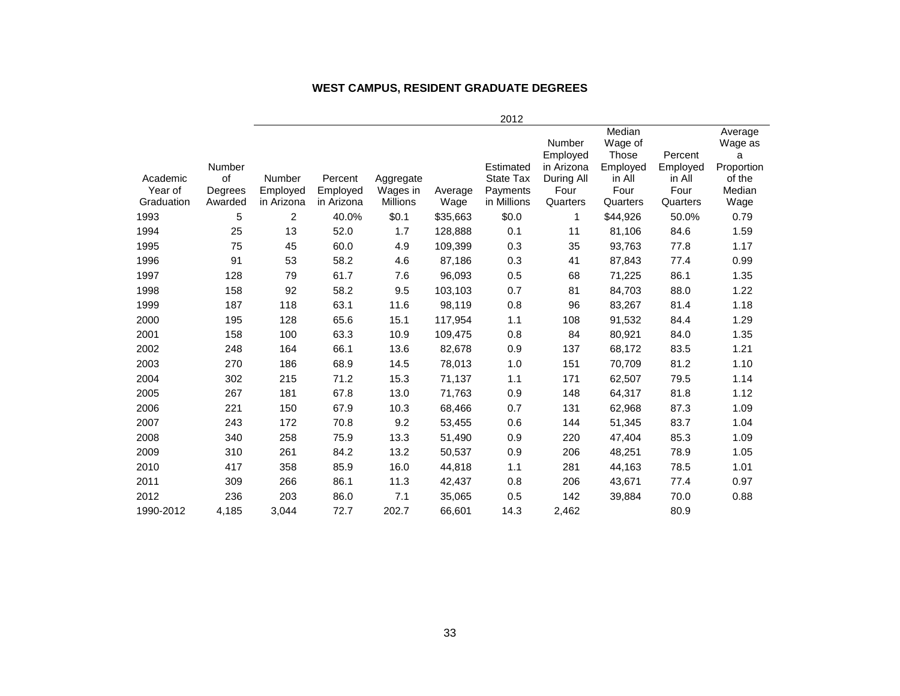### **WEST CAMPUS, RESIDENT GRADUATE DEGREES**

|            |         |            |            |           |          | 2012             |                                  |                                        |                     |                                       |
|------------|---------|------------|------------|-----------|----------|------------------|----------------------------------|----------------------------------------|---------------------|---------------------------------------|
|            | Number  |            |            |           |          | Estimated        | Number<br>Employed<br>in Arizona | Median<br>Wage of<br>Those<br>Employed | Percent<br>Employed | Average<br>Wage as<br>a<br>Proportion |
| Academic   | of      | Number     | Percent    | Aggregate |          | <b>State Tax</b> | During All                       | in All                                 | in All              | of the                                |
| Year of    | Degrees | Employed   | Employed   | Wages in  | Average  | Payments         | Four                             | Four                                   | Four                | Median                                |
| Graduation | Awarded | in Arizona | in Arizona | Millions  | Wage     | in Millions      | Quarters                         | Quarters                               | Quarters            | Wage                                  |
| 1993       | 5       | 2          | 40.0%      | \$0.1     | \$35,663 | \$0.0            | 1                                | \$44,926                               | 50.0%               | 0.79                                  |
| 1994       | 25      | 13         | 52.0       | 1.7       | 128,888  | 0.1              | 11                               | 81,106                                 | 84.6                | 1.59                                  |
| 1995       | 75      | 45         | 60.0       | 4.9       | 109,399  | 0.3              | 35                               | 93,763                                 | 77.8                | 1.17                                  |
| 1996       | 91      | 53         | 58.2       | 4.6       | 87,186   | 0.3              | 41                               | 87,843                                 | 77.4                | 0.99                                  |
| 1997       | 128     | 79         | 61.7       | 7.6       | 96,093   | 0.5              | 68                               | 71,225                                 | 86.1                | 1.35                                  |
| 1998       | 158     | 92         | 58.2       | 9.5       | 103,103  | 0.7              | 81                               | 84,703                                 | 88.0                | 1.22                                  |
| 1999       | 187     | 118        | 63.1       | 11.6      | 98,119   | 0.8              | 96                               | 83,267                                 | 81.4                | 1.18                                  |
| 2000       | 195     | 128        | 65.6       | 15.1      | 117,954  | 1.1              | 108                              | 91,532                                 | 84.4                | 1.29                                  |
| 2001       | 158     | 100        | 63.3       | 10.9      | 109,475  | 0.8              | 84                               | 80,921                                 | 84.0                | 1.35                                  |
| 2002       | 248     | 164        | 66.1       | 13.6      | 82,678   | 0.9              | 137                              | 68,172                                 | 83.5                | 1.21                                  |
| 2003       | 270     | 186        | 68.9       | 14.5      | 78,013   | 1.0              | 151                              | 70,709                                 | 81.2                | 1.10                                  |
| 2004       | 302     | 215        | 71.2       | 15.3      | 71,137   | 1.1              | 171                              | 62,507                                 | 79.5                | 1.14                                  |
| 2005       | 267     | 181        | 67.8       | 13.0      | 71,763   | 0.9              | 148                              | 64,317                                 | 81.8                | 1.12                                  |
| 2006       | 221     | 150        | 67.9       | 10.3      | 68,466   | 0.7              | 131                              | 62,968                                 | 87.3                | 1.09                                  |
| 2007       | 243     | 172        | 70.8       | 9.2       | 53,455   | 0.6              | 144                              | 51,345                                 | 83.7                | 1.04                                  |
| 2008       | 340     | 258        | 75.9       | 13.3      | 51,490   | 0.9              | 220                              | 47,404                                 | 85.3                | 1.09                                  |
| 2009       | 310     | 261        | 84.2       | 13.2      | 50,537   | 0.9              | 206                              | 48,251                                 | 78.9                | 1.05                                  |
| 2010       | 417     | 358        | 85.9       | 16.0      | 44,818   | 1.1              | 281                              | 44,163                                 | 78.5                | 1.01                                  |
| 2011       | 309     | 266        | 86.1       | 11.3      | 42,437   | 0.8              | 206                              | 43,671                                 | 77.4                | 0.97                                  |
| 2012       | 236     | 203        | 86.0       | 7.1       | 35,065   | 0.5              | 142                              | 39,884                                 | 70.0                | 0.88                                  |
| 1990-2012  | 4,185   | 3,044      | 72.7       | 202.7     | 66,601   | 14.3             | 2,462                            |                                        | 80.9                |                                       |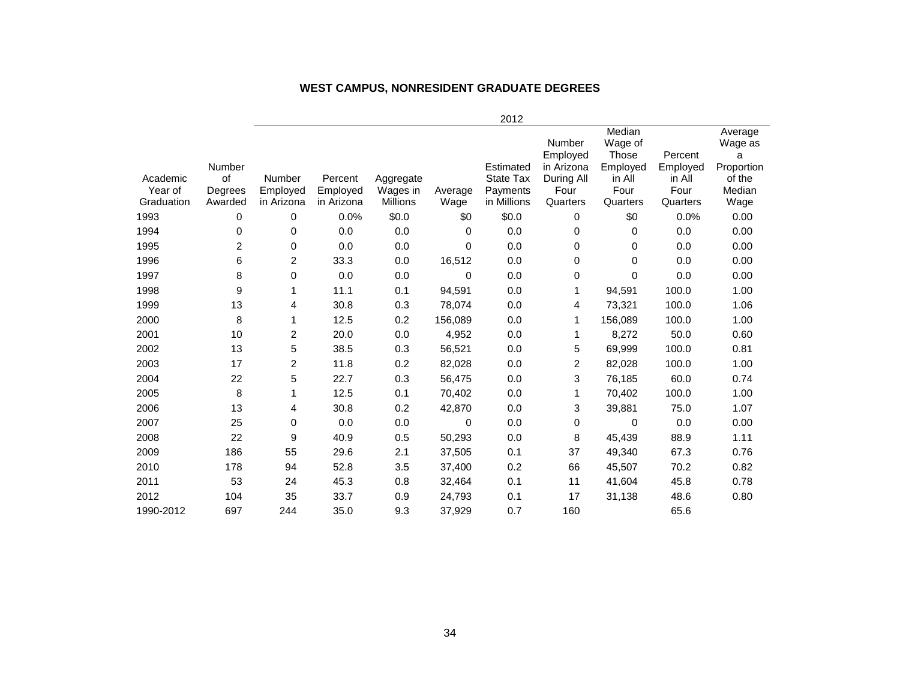|                     |                         |                         |                     |                       |          | 2012                                      |                                                        |                                                          |                                       |                                                           |
|---------------------|-------------------------|-------------------------|---------------------|-----------------------|----------|-------------------------------------------|--------------------------------------------------------|----------------------------------------------------------|---------------------------------------|-----------------------------------------------------------|
| Academic<br>Year of | Number<br>of<br>Degrees | Number<br>Employed      | Percent<br>Employed | Aggregate<br>Wages in | Average  | Estimated<br><b>State Tax</b><br>Payments | Number<br>Employed<br>in Arizona<br>During All<br>Four | Median<br>Wage of<br>Those<br>Employed<br>in All<br>Four | Percent<br>Employed<br>in All<br>Four | Average<br>Wage as<br>a<br>Proportion<br>of the<br>Median |
| Graduation          | Awarded                 | in Arizona              | in Arizona          | <b>Millions</b>       | Wage     | in Millions                               | Quarters                                               | Quarters                                                 | Quarters                              | Wage                                                      |
| 1993                | 0                       | 0                       | 0.0%                | \$0.0                 | \$0      | \$0.0                                     | 0                                                      | \$0                                                      | 0.0%                                  | 0.00                                                      |
| 1994                | 0                       | 0                       | 0.0                 | 0.0                   | $\Omega$ | 0.0                                       | 0                                                      | 0                                                        | 0.0                                   | 0.00                                                      |
| 1995                | $\overline{c}$          | 0                       | 0.0                 | 0.0                   | $\Omega$ | 0.0                                       | 0                                                      | 0                                                        | 0.0                                   | 0.00                                                      |
| 1996                | 6                       | 2                       | 33.3                | 0.0                   | 16,512   | 0.0                                       | 0                                                      | 0                                                        | 0.0                                   | 0.00                                                      |
| 1997                | 8                       | 0                       | 0.0                 | 0.0                   | 0        | 0.0                                       | 0                                                      | 0                                                        | 0.0                                   | 0.00                                                      |
| 1998                | 9                       | 1                       | 11.1                | 0.1                   | 94,591   | 0.0                                       | 1                                                      | 94,591                                                   | 100.0                                 | 1.00                                                      |
| 1999                | 13                      | 4                       | 30.8                | 0.3                   | 78,074   | 0.0                                       | 4                                                      | 73,321                                                   | 100.0                                 | 1.06                                                      |
| 2000                | 8                       | 1                       | 12.5                | 0.2                   | 156,089  | 0.0                                       | 1                                                      | 156,089                                                  | 100.0                                 | 1.00                                                      |
| 2001                | 10                      | $\overline{\mathbf{c}}$ | 20.0                | 0.0                   | 4,952    | 0.0                                       | 1                                                      | 8,272                                                    | 50.0                                  | 0.60                                                      |
| 2002                | 13                      | 5                       | 38.5                | 0.3                   | 56,521   | 0.0                                       | 5                                                      | 69,999                                                   | 100.0                                 | 0.81                                                      |
| 2003                | 17                      | $\overline{c}$          | 11.8                | 0.2                   | 82,028   | 0.0                                       | $\overline{c}$                                         | 82,028                                                   | 100.0                                 | 1.00                                                      |
| 2004                | 22                      | 5                       | 22.7                | 0.3                   | 56,475   | 0.0                                       | 3                                                      | 76,185                                                   | 60.0                                  | 0.74                                                      |
| 2005                | 8                       | 1                       | 12.5                | 0.1                   | 70,402   | 0.0                                       | 1                                                      | 70,402                                                   | 100.0                                 | 1.00                                                      |
| 2006                | 13                      | 4                       | 30.8                | 0.2                   | 42,870   | 0.0                                       | 3                                                      | 39,881                                                   | 75.0                                  | 1.07                                                      |
| 2007                | 25                      | 0                       | 0.0                 | 0.0                   | $\Omega$ | 0.0                                       | 0                                                      | 0                                                        | 0.0                                   | 0.00                                                      |
| 2008                | 22                      | 9                       | 40.9                | 0.5                   | 50,293   | 0.0                                       | 8                                                      | 45,439                                                   | 88.9                                  | 1.11                                                      |
| 2009                | 186                     | 55                      | 29.6                | 2.1                   | 37,505   | 0.1                                       | 37                                                     | 49,340                                                   | 67.3                                  | 0.76                                                      |
| 2010                | 178                     | 94                      | 52.8                | 3.5                   | 37,400   | 0.2                                       | 66                                                     | 45,507                                                   | 70.2                                  | 0.82                                                      |
| 2011                | 53                      | 24                      | 45.3                | 0.8                   | 32,464   | 0.1                                       | 11                                                     | 41,604                                                   | 45.8                                  | 0.78                                                      |
| 2012                | 104                     | 35                      | 33.7                | 0.9                   | 24,793   | 0.1                                       | 17                                                     | 31,138                                                   | 48.6                                  | 0.80                                                      |
| 1990-2012           | 697                     | 244                     | 35.0                | 9.3                   | 37,929   | 0.7                                       | 160                                                    |                                                          | 65.6                                  |                                                           |

#### **WEST CAMPUS, NONRESIDENT GRADUATE DEGREES**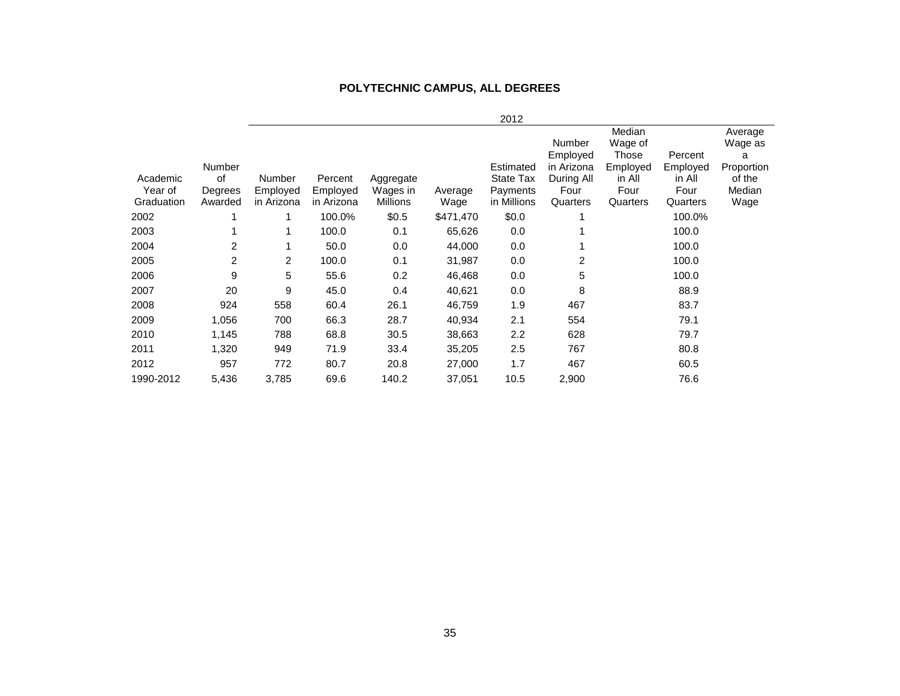#### **POLYTECHNIC CAMPUS, ALL DEGREES**

|                                   |                                           |                                  |                                   |                                          |                 | 2012                                              |                                                                    |                                                                      |                                                   |                                                                   |
|-----------------------------------|-------------------------------------------|----------------------------------|-----------------------------------|------------------------------------------|-----------------|---------------------------------------------------|--------------------------------------------------------------------|----------------------------------------------------------------------|---------------------------------------------------|-------------------------------------------------------------------|
| Academic<br>Year of<br>Graduation | <b>Number</b><br>οf<br>Degrees<br>Awarded | Number<br>Employed<br>in Arizona | Percent<br>Employed<br>in Arizona | Aggregate<br>Wages in<br><b>Millions</b> | Average<br>Wage | Estimated<br>State Tax<br>Payments<br>in Millions | Number<br>Employed<br>in Arizona<br>During All<br>Four<br>Quarters | Median<br>Wage of<br>Those<br>Employed<br>in All<br>Four<br>Quarters | Percent<br>Employed<br>in All<br>Four<br>Quarters | Average<br>Wage as<br>a<br>Proportion<br>of the<br>Median<br>Wage |
| 2002                              |                                           |                                  | 100.0%                            | \$0.5                                    | \$471,470       | \$0.0                                             |                                                                    |                                                                      | 100.0%                                            |                                                                   |
| 2003                              |                                           |                                  | 100.0                             | 0.1                                      | 65,626          | 0.0                                               |                                                                    |                                                                      | 100.0                                             |                                                                   |
| 2004                              | 2                                         |                                  | 50.0                              | 0.0                                      | 44,000          | 0.0                                               |                                                                    |                                                                      | 100.0                                             |                                                                   |
| 2005                              | 2                                         | 2                                | 100.0                             | 0.1                                      | 31,987          | 0.0                                               | 2                                                                  |                                                                      | 100.0                                             |                                                                   |
| 2006                              | 9                                         | 5                                | 55.6                              | 0.2                                      | 46,468          | 0.0                                               | 5                                                                  |                                                                      | 100.0                                             |                                                                   |
| 2007                              | 20                                        | 9                                | 45.0                              | 0.4                                      | 40,621          | 0.0                                               | 8                                                                  |                                                                      | 88.9                                              |                                                                   |
| 2008                              | 924                                       | 558                              | 60.4                              | 26.1                                     | 46,759          | 1.9                                               | 467                                                                |                                                                      | 83.7                                              |                                                                   |
| 2009                              | 1,056                                     | 700                              | 66.3                              | 28.7                                     | 40,934          | 2.1                                               | 554                                                                |                                                                      | 79.1                                              |                                                                   |
| 2010                              | 1,145                                     | 788                              | 68.8                              | 30.5                                     | 38,663          | 2.2                                               | 628                                                                |                                                                      | 79.7                                              |                                                                   |
| 2011                              | 1,320                                     | 949                              | 71.9                              | 33.4                                     | 35,205          | 2.5                                               | 767                                                                |                                                                      | 80.8                                              |                                                                   |
| 2012                              | 957                                       | 772                              | 80.7                              | 20.8                                     | 27,000          | 1.7                                               | 467                                                                |                                                                      | 60.5                                              |                                                                   |
| 1990-2012                         | 5,436                                     | 3,785                            | 69.6                              | 140.2                                    | 37,051          | 10.5                                              | 2,900                                                              |                                                                      | 76.6                                              |                                                                   |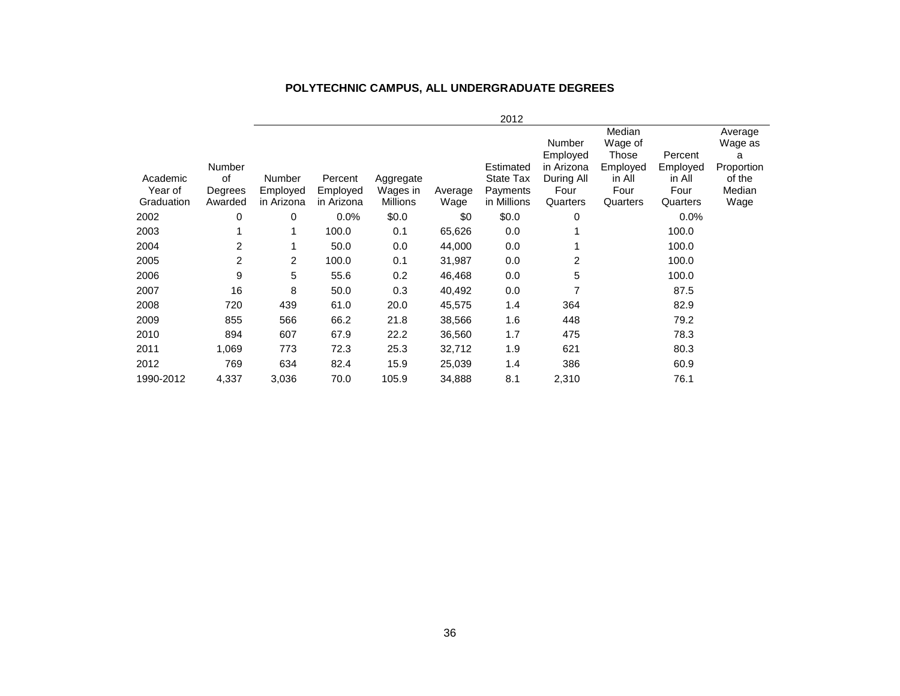### **POLYTECHNIC CAMPUS, ALL UNDERGRADUATE DEGREES**

|            |                |            |            |           |         | 2012        |                        |                   |                     |                 |
|------------|----------------|------------|------------|-----------|---------|-------------|------------------------|-------------------|---------------------|-----------------|
|            |                |            |            |           |         |             |                        | Median            |                     | Average         |
|            |                |            |            |           |         |             | <b>Number</b>          | Wage of           |                     | Wage as         |
|            | Number         |            |            |           |         | Estimated   | Employed<br>in Arizona | Those<br>Employed | Percent<br>Employed | а<br>Proportion |
| Academic   | 0f             | Number     | Percent    | Aggregate |         | State Tax   | During All             | in All            | in All              | of the          |
| Year of    | Degrees        | Employed   | Employed   | Wages in  | Average | Payments    | Four                   | Four              | Four                | Median          |
| Graduation | Awarded        | in Arizona | in Arizona | Millions  | Wage    | in Millions | Quarters               | Quarters          | Quarters            | Wage            |
| 2002       | 0              | 0          | $0.0\%$    | \$0.0     | \$0     | \$0.0       | 0                      |                   | 0.0%                |                 |
| 2003       |                |            | 100.0      | 0.1       | 65,626  | 0.0         |                        |                   | 100.0               |                 |
| 2004       | $\overline{2}$ |            | 50.0       | 0.0       | 44,000  | 0.0         |                        |                   | 100.0               |                 |
| 2005       | 2              | 2          | 100.0      | 0.1       | 31,987  | 0.0         | 2                      |                   | 100.0               |                 |
| 2006       | 9              | 5          | 55.6       | 0.2       | 46,468  | 0.0         | 5                      |                   | 100.0               |                 |
| 2007       | 16             | 8          | 50.0       | 0.3       | 40,492  | 0.0         |                        |                   | 87.5                |                 |
| 2008       | 720            | 439        | 61.0       | 20.0      | 45,575  | 1.4         | 364                    |                   | 82.9                |                 |
| 2009       | 855            | 566        | 66.2       | 21.8      | 38,566  | 1.6         | 448                    |                   | 79.2                |                 |
| 2010       | 894            | 607        | 67.9       | 22.2      | 36,560  | 1.7         | 475                    |                   | 78.3                |                 |
| 2011       | 1,069          | 773        | 72.3       | 25.3      | 32,712  | 1.9         | 621                    |                   | 80.3                |                 |
| 2012       | 769            | 634        | 82.4       | 15.9      | 25,039  | 1.4         | 386                    |                   | 60.9                |                 |
| 1990-2012  | 4,337          | 3,036      | 70.0       | 105.9     | 34,888  | 8.1         | 2,310                  |                   | 76.1                |                 |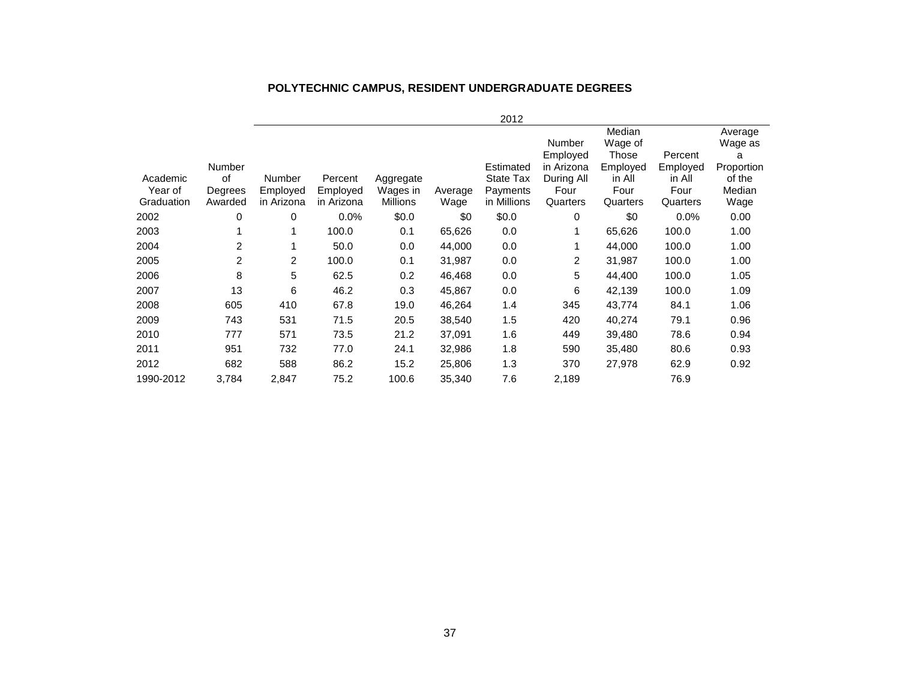#### **POLYTECHNIC CAMPUS, RESIDENT UNDERGRADUATE DEGREES**

|            |                |                |            |                 |         | 2012        |                |          |          |            |
|------------|----------------|----------------|------------|-----------------|---------|-------------|----------------|----------|----------|------------|
|            |                |                |            |                 |         |             |                | Median   |          | Average    |
|            |                |                |            |                 |         |             | Number         | Wage of  |          | Wage as    |
|            |                |                |            |                 |         |             | Employed       | Those    | Percent  | а          |
|            | <b>Number</b>  |                |            |                 |         | Estimated   | in Arizona     | Employed | Employed | Proportion |
| Academic   | 0f             | <b>Number</b>  | Percent    | Aggregate       |         | State Tax   | During All     | in All   | in All   | of the     |
| Year of    | Degrees        | Employed       | Employed   | Wages in        | Average | Payments    | Four           | Four     | Four     | Median     |
| Graduation | Awarded        | in Arizona     | in Arizona | <b>Millions</b> | Wage    | in Millions | Quarters       | Quarters | Quarters | Wage       |
| 2002       | 0              | 0              | 0.0%       | \$0.0           | \$0     | \$0.0       | 0              | \$0      | 0.0%     | 0.00       |
| 2003       |                | 1              | 100.0      | 0.1             | 65,626  | 0.0         |                | 65,626   | 100.0    | 1.00       |
| 2004       | $\overline{c}$ |                | 50.0       | 0.0             | 44,000  | 0.0         |                | 44,000   | 100.0    | 1.00       |
| 2005       | $\overline{2}$ | $\overline{2}$ | 100.0      | 0.1             | 31,987  | 0.0         | $\overline{2}$ | 31,987   | 100.0    | 1.00       |
| 2006       | 8              | 5              | 62.5       | 0.2             | 46,468  | 0.0         | 5              | 44,400   | 100.0    | 1.05       |
| 2007       | 13             | 6              | 46.2       | 0.3             | 45,867  | 0.0         | 6              | 42,139   | 100.0    | 1.09       |
| 2008       | 605            | 410            | 67.8       | 19.0            | 46,264  | 1.4         | 345            | 43,774   | 84.1     | 1.06       |
| 2009       | 743            | 531            | 71.5       | 20.5            | 38,540  | 1.5         | 420            | 40,274   | 79.1     | 0.96       |
| 2010       | 777            | 571            | 73.5       | 21.2            | 37,091  | 1.6         | 449            | 39,480   | 78.6     | 0.94       |
| 2011       | 951            | 732            | 77.0       | 24.1            | 32,986  | 1.8         | 590            | 35,480   | 80.6     | 0.93       |
| 2012       | 682            | 588            | 86.2       | 15.2            | 25,806  | 1.3         | 370            | 27,978   | 62.9     | 0.92       |
| 1990-2012  | 3,784          | 2,847          | 75.2       | 100.6           | 35,340  | 7.6         | 2,189          |          | 76.9     |            |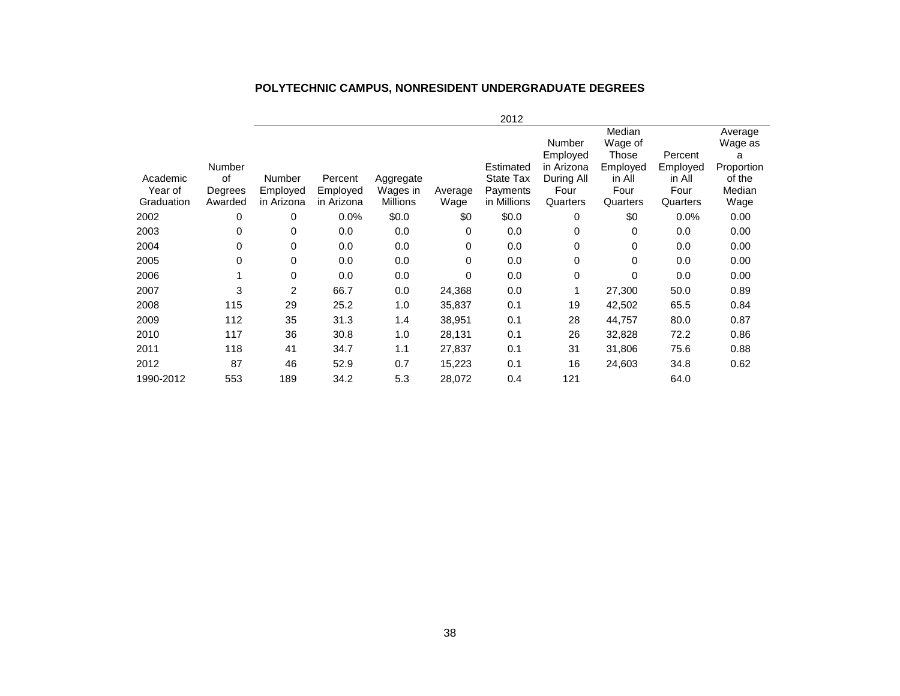#### 2012 Academic Year of **Graduation** Number of Degrees Awarded Number Employed in Arizona Percent Employed in Arizona Aggregate Wages in **Millions** Average Wage Estimated State Tax Payments in Millions Number Employed in Arizona During All Four **Quarters Median** Wage of **Those** Employed in All Four **Quarters** Percent Employed in All Four **Quarters** Average Wage as a Proportion of the Median Wage 2002 0 0 0.0% \$0.0 \$0 \$0.0 0 \$0 0.0% 0.00 2003 0 0 0.0 0.0 0 0.0 0 0 0.0 0.00 2004 0 0 0.0 0.0 0 0.0 0 0 0.0 0.00 2005 0 0 0.0 0.0 0 0.0 0 0 0.0 0.00 2006 1 0 0.0 0.0 0 0.0 0 0 0.0 0.00 2007 3 2 66.7 0.0 24,368 0.0 1 27,300 50.0 0.89 2008 115 29 25.2 1.0 35,837 0.1 19 42,502 65.5 0.84 2009 112 35 31.3 1.4 38,951 0.1 28 44,757 80.0 0.87 2010 117 36 30.8 1.0 28,131 0.1 26 32,828 72.2 0.86 2011 118 41 34.7 1.1 27,837 0.1 31 31,806 75.6 0.88 2012 87 46 52.9 0.7 15,223 0.1 16 24,603 34.8 0.62

1990-2012 553 189 34.2 5.3 28,072 0.4 121 64.0

#### **POLYTECHNIC CAMPUS, NONRESIDENT UNDERGRADUATE DEGREES**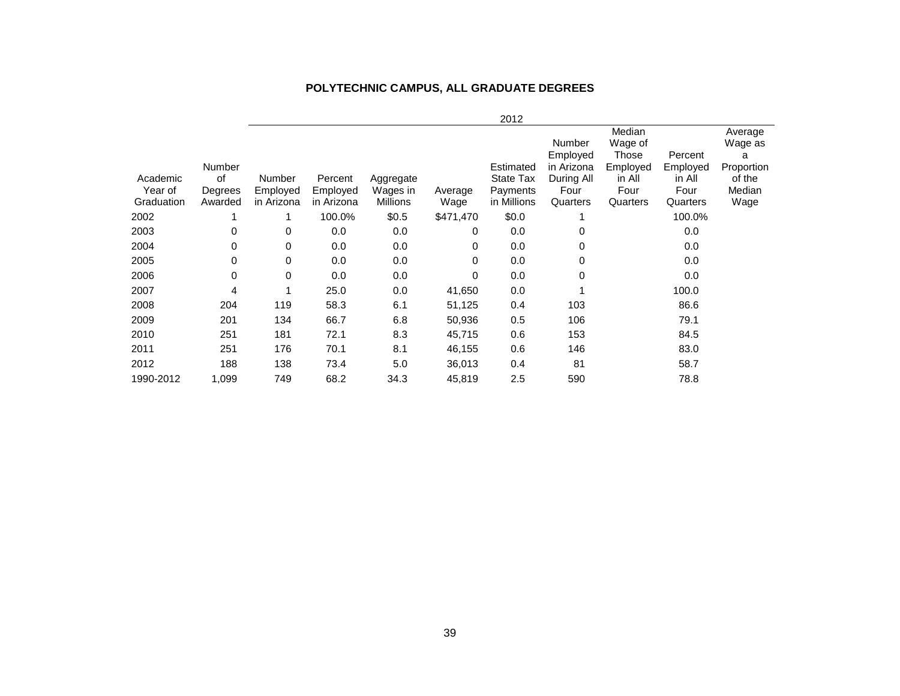### **POLYTECHNIC CAMPUS, ALL GRADUATE DEGREES**

|                       |                    |                        |                        |                      |                 | 2012                    |                                  |                                        |                     |                                       |
|-----------------------|--------------------|------------------------|------------------------|----------------------|-----------------|-------------------------|----------------------------------|----------------------------------------|---------------------|---------------------------------------|
|                       | <b>Number</b>      |                        |                        |                      |                 | Estimated               | Number<br>Employed<br>in Arizona | Median<br>Wage of<br>Those<br>Employed | Percent<br>Employed | Average<br>Wage as<br>a<br>Proportion |
| Academic              | οf                 | Number                 | Percent                | Aggregate            |                 | State Tax               | During All                       | in All                                 | in All              | of the                                |
| Year of<br>Graduation | Degrees<br>Awarded | Employed<br>in Arizona | Employed<br>in Arizona | Wages in<br>Millions | Average<br>Wage | Payments<br>in Millions | Four<br>Quarters                 | Four<br>Quarters                       | Four<br>Quarters    | Median<br>Wage                        |
| 2002                  |                    |                        | 100.0%                 | \$0.5                | \$471,470       | \$0.0                   |                                  |                                        | 100.0%              |                                       |
| 2003                  | 0                  | 0                      | 0.0                    | 0.0                  | 0               | 0.0                     | 0                                |                                        | 0.0                 |                                       |
| 2004                  | 0                  | 0                      | 0.0                    | 0.0                  | 0               | 0.0                     | 0                                |                                        | 0.0                 |                                       |
| 2005                  | 0                  | 0                      | 0.0                    | 0.0                  | 0               | 0.0                     | 0                                |                                        | 0.0                 |                                       |
| 2006                  | 0                  | 0                      | 0.0                    | 0.0                  | 0               | 0.0                     | 0                                |                                        | 0.0                 |                                       |
| 2007                  | 4                  |                        | 25.0                   | 0.0                  | 41,650          | 0.0                     |                                  |                                        | 100.0               |                                       |
| 2008                  | 204                | 119                    | 58.3                   | 6.1                  | 51,125          | 0.4                     | 103                              |                                        | 86.6                |                                       |
| 2009                  | 201                | 134                    | 66.7                   | 6.8                  | 50,936          | 0.5                     | 106                              |                                        | 79.1                |                                       |
| 2010                  | 251                | 181                    | 72.1                   | 8.3                  | 45,715          | 0.6                     | 153                              |                                        | 84.5                |                                       |
| 2011                  | 251                | 176                    | 70.1                   | 8.1                  | 46,155          | 0.6                     | 146                              |                                        | 83.0                |                                       |
| 2012                  | 188                | 138                    | 73.4                   | 5.0                  | 36,013          | 0.4                     | 81                               |                                        | 58.7                |                                       |
| 1990-2012             | 1,099              | 749                    | 68.2                   | 34.3                 | 45,819          | 2.5                     | 590                              |                                        | 78.8                |                                       |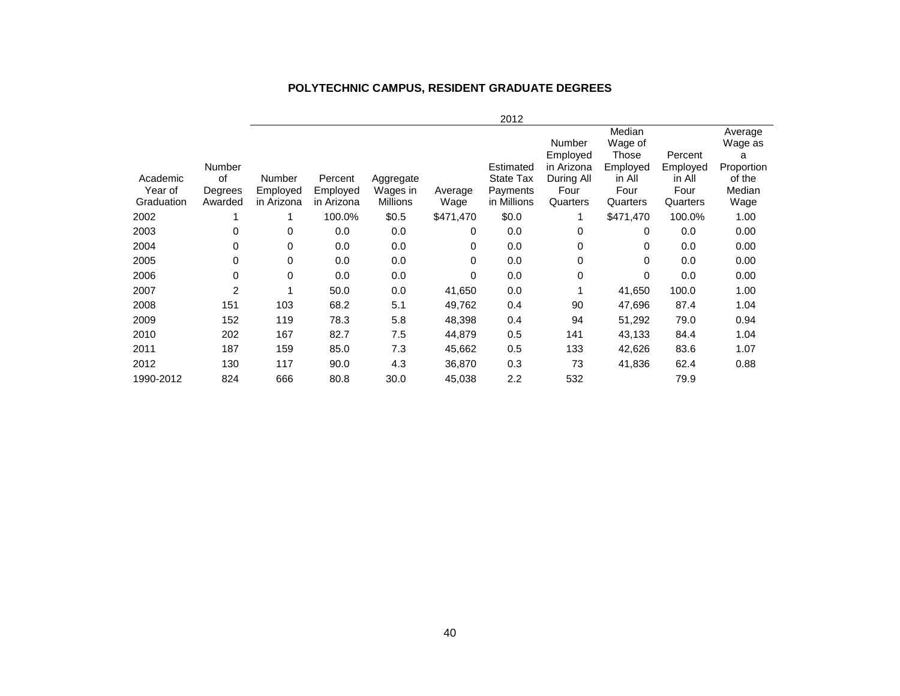### **POLYTECHNIC CAMPUS, RESIDENT GRADUATE DEGREES**

|            |                |            |            |                 |           | 2012             |               |              |          |            |
|------------|----------------|------------|------------|-----------------|-----------|------------------|---------------|--------------|----------|------------|
|            |                |            |            |                 |           |                  |               | Median       |          | Average    |
|            |                |            |            |                 |           |                  | <b>Number</b> | Wage of      |          | Wage as    |
|            |                |            |            |                 |           |                  | Employed      | <b>Those</b> | Percent  | a          |
|            | Number         |            |            |                 |           | Estimated        | in Arizona    | Employed     | Employed | Proportion |
| Academic   | 0f             | Number     | Percent    | Aggregate       |           | <b>State Tax</b> | During All    | in All       | in All   | of the     |
| Year of    | Degrees        | Employed   | Employed   | Wages in        | Average   | Payments         | Four          | Four         | Four     | Median     |
| Graduation | Awarded        | in Arizona | in Arizona | <b>Millions</b> | Wage      | in Millions      | Quarters      | Quarters     | Quarters | Wage       |
| 2002       |                | 1          | 100.0%     | \$0.5           | \$471,470 | \$0.0            |               | \$471,470    | 100.0%   | 1.00       |
| 2003       | 0              | 0          | 0.0        | 0.0             | 0         | 0.0              | 0             | 0            | 0.0      | 0.00       |
| 2004       | 0              | 0          | 0.0        | 0.0             | 0         | 0.0              | 0             | 0            | 0.0      | 0.00       |
| 2005       | 0              | 0          | 0.0        | 0.0             | 0         | 0.0              | 0             | 0            | 0.0      | 0.00       |
| 2006       | 0              | 0          | 0.0        | 0.0             | 0         | 0.0              | 0             | 0            | 0.0      | 0.00       |
| 2007       | $\overline{2}$ | 1          | 50.0       | 0.0             | 41,650    | 0.0              |               | 41,650       | 100.0    | 1.00       |
| 2008       | 151            | 103        | 68.2       | 5.1             | 49,762    | 0.4              | 90            | 47,696       | 87.4     | 1.04       |
| 2009       | 152            | 119        | 78.3       | 5.8             | 48,398    | 0.4              | 94            | 51,292       | 79.0     | 0.94       |
| 2010       | 202            | 167        | 82.7       | 7.5             | 44,879    | 0.5              | 141           | 43,133       | 84.4     | 1.04       |
| 2011       | 187            | 159        | 85.0       | 7.3             | 45,662    | 0.5              | 133           | 42,626       | 83.6     | 1.07       |
| 2012       | 130            | 117        | 90.0       | 4.3             | 36,870    | 0.3              | 73            | 41,836       | 62.4     | 0.88       |
| 1990-2012  | 824            | 666        | 80.8       | 30.0            | 45,038    | $2.2\,$          | 532           |              | 79.9     |            |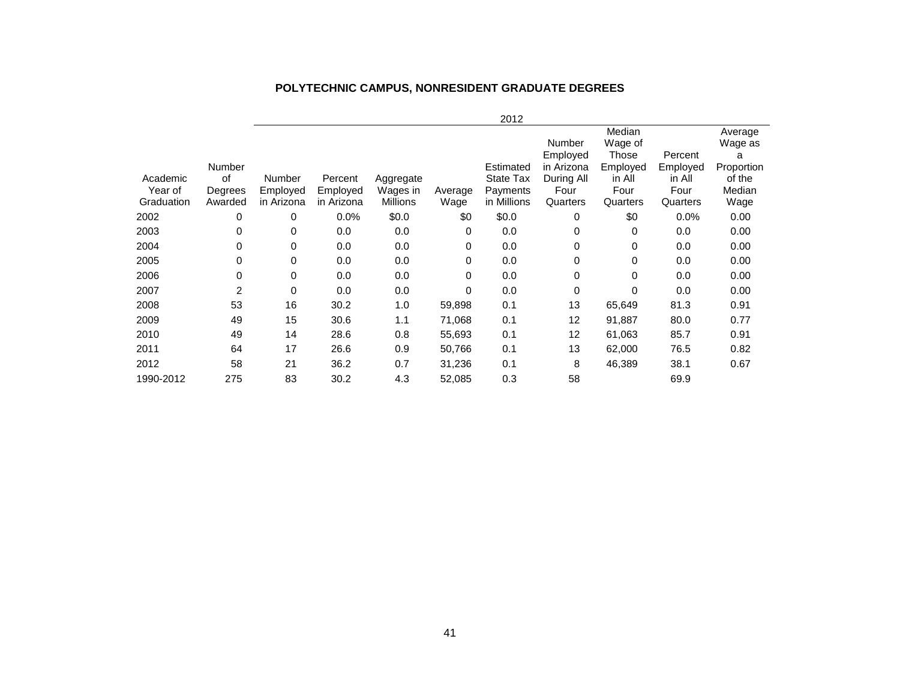#### **POLYTECHNIC CAMPUS, NONRESIDENT GRADUATE DEGREES**

|            |         |            |            |                 |         | 2012        |            |          |          |            |
|------------|---------|------------|------------|-----------------|---------|-------------|------------|----------|----------|------------|
|            |         |            |            |                 |         |             |            | Median   |          | Average    |
|            |         |            |            |                 |         |             | Number     | Wage of  |          | Wage as    |
|            |         |            |            |                 |         |             | Employed   | Those    | Percent  | а          |
|            | Number  |            |            |                 |         | Estimated   | in Arizona | Employed | Employed | Proportion |
| Academic   | οf      | Number     | Percent    | Aggregate       |         | State Tax   | During All | in All   | in All   | of the     |
| Year of    | Degrees | Employed   | Employed   | Wages in        | Average | Payments    | Four       | Four     | Four     | Median     |
| Graduation | Awarded | in Arizona | in Arizona | <b>Millions</b> | Wage    | in Millions | Quarters   | Quarters | Quarters | Wage       |
| 2002       | 0       | 0          | 0.0%       | \$0.0           | \$0     | \$0.0       | 0          | \$0      | 0.0%     | 0.00       |
| 2003       | 0       | 0          | 0.0        | 0.0             | 0       | 0.0         | 0          | 0        | 0.0      | 0.00       |
| 2004       | 0       | 0          | 0.0        | 0.0             | 0       | 0.0         | 0          | 0        | 0.0      | 0.00       |
| 2005       | 0       | 0          | 0.0        | 0.0             | 0       | 0.0         | 0          | 0        | 0.0      | 0.00       |
| 2006       | 0       | 0          | 0.0        | 0.0             | 0       | 0.0         | 0          | 0        | 0.0      | 0.00       |
| 2007       | 2       | 0          | 0.0        | 0.0             | 0       | 0.0         | 0          | 0        | 0.0      | 0.00       |
| 2008       | 53      | 16         | 30.2       | 1.0             | 59,898  | 0.1         | 13         | 65,649   | 81.3     | 0.91       |
| 2009       | 49      | 15         | 30.6       | 1.1             | 71,068  | 0.1         | 12         | 91,887   | 80.0     | 0.77       |
| 2010       | 49      | 14         | 28.6       | 0.8             | 55,693  | 0.1         | 12         | 61,063   | 85.7     | 0.91       |
| 2011       | 64      | 17         | 26.6       | 0.9             | 50,766  | 0.1         | 13         | 62,000   | 76.5     | 0.82       |
| 2012       | 58      | 21         | 36.2       | 0.7             | 31,236  | 0.1         | 8          | 46,389   | 38.1     | 0.67       |
| 1990-2012  | 275     | 83         | 30.2       | 4.3             | 52,085  | 0.3         | 58         |          | 69.9     |            |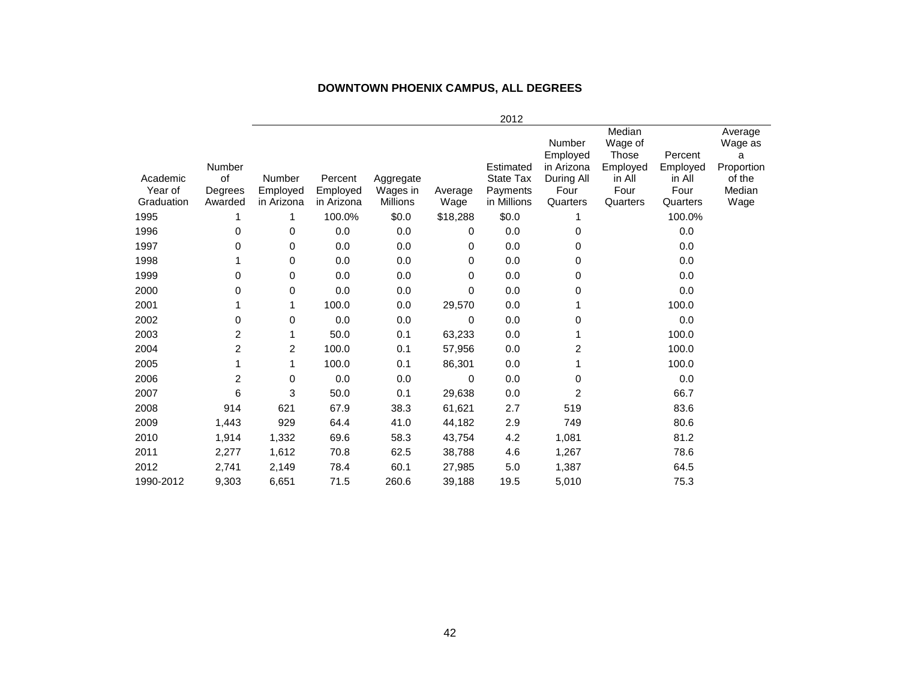#### **DOWNTOWN PHOENIX CAMPUS, ALL DEGREES**

|                     |                                    |                    |                                   |                       |          | 2012                                      |                                                        |                                                          |                                       |                                                           |
|---------------------|------------------------------------|--------------------|-----------------------------------|-----------------------|----------|-------------------------------------------|--------------------------------------------------------|----------------------------------------------------------|---------------------------------------|-----------------------------------------------------------|
| Academic<br>Year of | Number<br>of<br>Degrees<br>Awarded | Number<br>Employed | Percent<br>Employed<br>in Arizona | Aggregate<br>Wages in | Average  | Estimated<br><b>State Tax</b><br>Payments | Number<br>Employed<br>in Arizona<br>During All<br>Four | Median<br>Wage of<br>Those<br>Employed<br>in All<br>Four | Percent<br>Employed<br>in All<br>Four | Average<br>Wage as<br>а<br>Proportion<br>of the<br>Median |
| Graduation          |                                    | in Arizona         |                                   | Millions              | Wage     | in Millions                               | Quarters                                               | Quarters                                                 | Quarters                              | Wage                                                      |
| 1995                | 1                                  | 1                  | 100.0%                            | \$0.0                 | \$18,288 | \$0.0                                     | 1                                                      |                                                          | 100.0%                                |                                                           |
| 1996                | 0                                  | 0                  | 0.0                               | 0.0                   | $\Omega$ | 0.0                                       | 0                                                      |                                                          | 0.0                                   |                                                           |
| 1997                | 0                                  | 0                  | 0.0                               | 0.0                   | $\Omega$ | 0.0                                       | 0                                                      |                                                          | 0.0                                   |                                                           |
| 1998                | 1                                  | 0                  | 0.0                               | 0.0                   | 0        | 0.0                                       | 0                                                      |                                                          | 0.0                                   |                                                           |
| 1999                | 0                                  | 0                  | 0.0                               | 0.0                   | 0        | 0.0                                       | 0                                                      |                                                          | 0.0                                   |                                                           |
| 2000                | 0                                  | 0                  | 0.0                               | 0.0                   | $\Omega$ | 0.0                                       | 0                                                      |                                                          | 0.0                                   |                                                           |
| 2001                | 1                                  | 1                  | 100.0                             | 0.0                   | 29,570   | 0.0                                       |                                                        |                                                          | 100.0                                 |                                                           |
| 2002                | 0                                  | 0                  | 0.0                               | 0.0                   | $\Omega$ | 0.0                                       | 0                                                      |                                                          | 0.0                                   |                                                           |
| 2003                | $\overline{c}$                     |                    | 50.0                              | 0.1                   | 63,233   | 0.0                                       |                                                        |                                                          | 100.0                                 |                                                           |
| 2004                | $\overline{c}$                     | 2                  | 100.0                             | 0.1                   | 57,956   | 0.0                                       | 2                                                      |                                                          | 100.0                                 |                                                           |
| 2005                | 1                                  | 1                  | 100.0                             | 0.1                   | 86,301   | 0.0                                       |                                                        |                                                          | 100.0                                 |                                                           |
| 2006                | $\overline{2}$                     | 0                  | 0.0                               | 0.0                   | 0        | 0.0                                       | 0                                                      |                                                          | 0.0                                   |                                                           |
| 2007                | 6                                  | 3                  | 50.0                              | 0.1                   | 29,638   | 0.0                                       | 2                                                      |                                                          | 66.7                                  |                                                           |
| 2008                | 914                                | 621                | 67.9                              | 38.3                  | 61,621   | 2.7                                       | 519                                                    |                                                          | 83.6                                  |                                                           |
| 2009                | 1,443                              | 929                | 64.4                              | 41.0                  | 44,182   | 2.9                                       | 749                                                    |                                                          | 80.6                                  |                                                           |
| 2010                | 1,914                              | 1,332              | 69.6                              | 58.3                  | 43,754   | 4.2                                       | 1,081                                                  |                                                          | 81.2                                  |                                                           |
| 2011                | 2,277                              | 1,612              | 70.8                              | 62.5                  | 38,788   | 4.6                                       | 1,267                                                  |                                                          | 78.6                                  |                                                           |
| 2012                | 2,741                              | 2,149              | 78.4                              | 60.1                  | 27,985   | 5.0                                       | 1,387                                                  |                                                          | 64.5                                  |                                                           |
| 1990-2012           | 9,303                              | 6,651              | 71.5                              | 260.6                 | 39,188   | 19.5                                      | 5,010                                                  |                                                          | 75.3                                  |                                                           |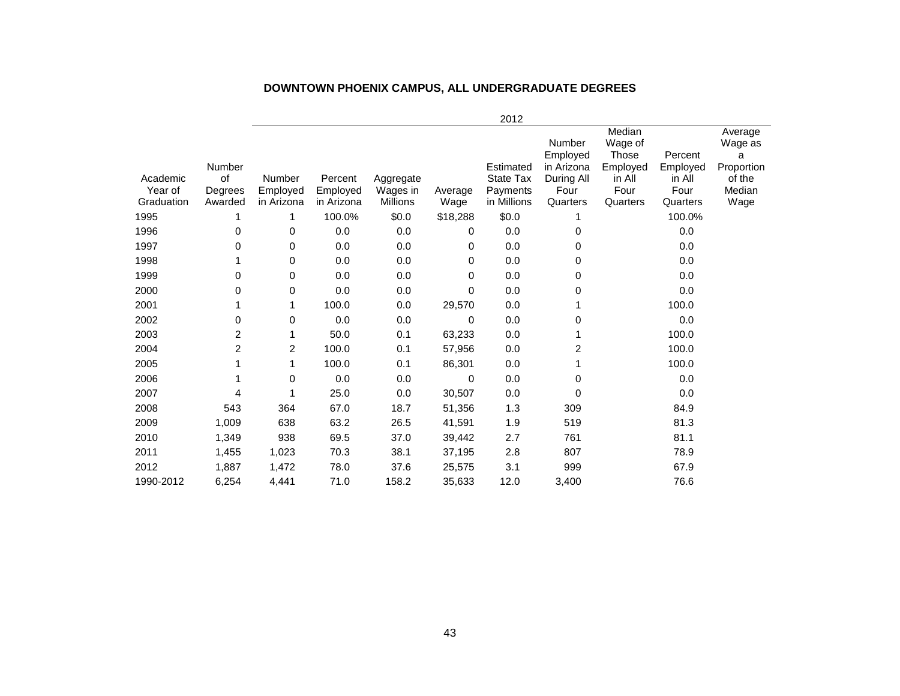|                                   |                                    |                                  |                                   |                                   |                 | 2012                                                     |                                                                    |                                                                      |                                                   |                                                                   |
|-----------------------------------|------------------------------------|----------------------------------|-----------------------------------|-----------------------------------|-----------------|----------------------------------------------------------|--------------------------------------------------------------------|----------------------------------------------------------------------|---------------------------------------------------|-------------------------------------------------------------------|
| Academic<br>Year of<br>Graduation | Number<br>of<br>Degrees<br>Awarded | Number<br>Employed<br>in Arizona | Percent<br>Employed<br>in Arizona | Aggregate<br>Wages in<br>Millions | Average<br>Wage | Estimated<br><b>State Tax</b><br>Payments<br>in Millions | Number<br>Employed<br>in Arizona<br>During All<br>Four<br>Quarters | Median<br>Wage of<br>Those<br>Employed<br>in All<br>Four<br>Quarters | Percent<br>Employed<br>in All<br>Four<br>Quarters | Average<br>Wage as<br>a<br>Proportion<br>of the<br>Median<br>Wage |
| 1995                              |                                    | 1                                | 100.0%                            | \$0.0\$                           | \$18,288        | \$0.0                                                    |                                                                    |                                                                      | 100.0%                                            |                                                                   |
| 1996                              | 0                                  | 0                                | 0.0                               | 0.0                               | 0               | 0.0                                                      | 0                                                                  |                                                                      | 0.0                                               |                                                                   |
| 1997                              | 0                                  | 0                                | 0.0                               | 0.0                               | 0               | 0.0                                                      | 0                                                                  |                                                                      | 0.0                                               |                                                                   |
| 1998                              | 1                                  | 0                                | 0.0                               | 0.0                               | 0               | 0.0                                                      | 0                                                                  |                                                                      | 0.0                                               |                                                                   |
| 1999                              | 0                                  | 0                                | 0.0                               | 0.0                               | 0               | 0.0                                                      | 0                                                                  |                                                                      | 0.0                                               |                                                                   |
| 2000                              | 0                                  | 0                                | 0.0                               | 0.0                               | 0               | 0.0                                                      | 0                                                                  |                                                                      | 0.0                                               |                                                                   |
| 2001                              | 1                                  | 1                                | 100.0                             | 0.0                               | 29,570          | 0.0                                                      |                                                                    |                                                                      | 100.0                                             |                                                                   |
| 2002                              | 0                                  | 0                                | 0.0                               | 0.0                               | 0               | 0.0                                                      | 0                                                                  |                                                                      | 0.0                                               |                                                                   |
| 2003                              | $\overline{c}$                     | 1                                | 50.0                              | 0.1                               | 63,233          | 0.0                                                      |                                                                    |                                                                      | 100.0                                             |                                                                   |
| 2004                              | $\overline{c}$                     | 2                                | 100.0                             | 0.1                               | 57,956          | 0.0                                                      | 2                                                                  |                                                                      | 100.0                                             |                                                                   |
| 2005                              |                                    | 1                                | 100.0                             | 0.1                               | 86,301          | 0.0                                                      |                                                                    |                                                                      | 100.0                                             |                                                                   |
| 2006                              |                                    | $\mathbf 0$                      | 0.0                               | 0.0                               | 0               | 0.0                                                      | 0                                                                  |                                                                      | 0.0                                               |                                                                   |
| 2007                              | 4                                  | 1                                | 25.0                              | 0.0                               | 30,507          | 0.0                                                      | 0                                                                  |                                                                      | 0.0                                               |                                                                   |
| 2008                              | 543                                | 364                              | 67.0                              | 18.7                              | 51,356          | 1.3                                                      | 309                                                                |                                                                      | 84.9                                              |                                                                   |
| 2009                              | 1,009                              | 638                              | 63.2                              | 26.5                              | 41,591          | 1.9                                                      | 519                                                                |                                                                      | 81.3                                              |                                                                   |
| 2010                              | 1,349                              | 938                              | 69.5                              | 37.0                              | 39,442          | 2.7                                                      | 761                                                                |                                                                      | 81.1                                              |                                                                   |
| 2011                              | 1,455                              | 1,023                            | 70.3                              | 38.1                              | 37,195          | 2.8                                                      | 807                                                                |                                                                      | 78.9                                              |                                                                   |
| 2012                              | 1,887                              | 1,472                            | 78.0                              | 37.6                              | 25,575          | 3.1                                                      | 999                                                                |                                                                      | 67.9                                              |                                                                   |
| 1990-2012                         | 6,254                              | 4.441                            | 71.0                              | 158.2                             | 35,633          | 12.0                                                     | 3,400                                                              |                                                                      | 76.6                                              |                                                                   |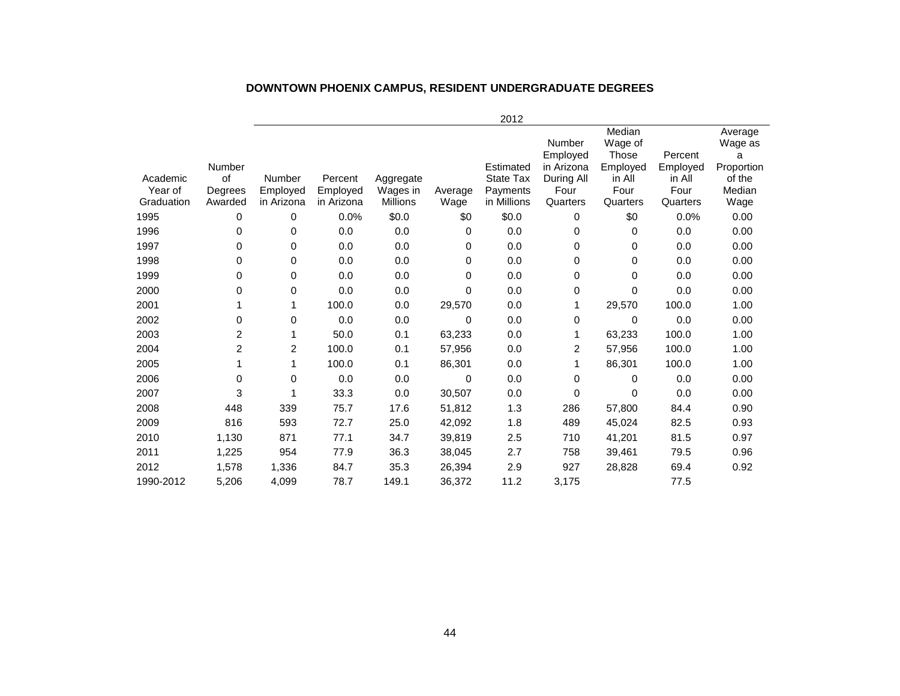|            |                |               |            |           |         | 2012             |                                  |                                               |                     |                                       |
|------------|----------------|---------------|------------|-----------|---------|------------------|----------------------------------|-----------------------------------------------|---------------------|---------------------------------------|
|            | Number         |               |            |           |         | Estimated        | Number<br>Employed<br>in Arizona | Median<br>Wage of<br><b>Those</b><br>Employed | Percent<br>Employed | Average<br>Wage as<br>a<br>Proportion |
| Academic   | of             | <b>Number</b> | Percent    | Aggregate |         | <b>State Tax</b> | During All                       | in All                                        | in All              | of the                                |
| Year of    | Degrees        | Employed      | Employed   | Wages in  | Average | Payments         | Four                             | Four                                          | Four                | Median                                |
| Graduation | Awarded        | in Arizona    | in Arizona | Millions  | Wage    | in Millions      | Quarters                         | Quarters                                      | Quarters            | Wage                                  |
| 1995       | 0              | 0             | 0.0%       | \$0.0     | \$0     | \$0.0            | $\Omega$                         | \$0                                           | 0.0%                | 0.00                                  |
| 1996       | 0              | 0             | 0.0        | 0.0       | 0       | 0.0              | 0                                | 0                                             | 0.0                 | 0.00                                  |
| 1997       | 0              | 0             | 0.0        | 0.0       | 0       | 0.0              | 0                                | 0                                             | 0.0                 | 0.00                                  |
| 1998       | 0              | $\pmb{0}$     | 0.0        | 0.0       | 0       | 0.0              | 0                                | $\mathbf 0$                                   | 0.0                 | 0.00                                  |
| 1999       | 0              | 0             | 0.0        | 0.0       | 0       | 0.0              | 0                                | 0                                             | 0.0                 | 0.00                                  |
| 2000       | 0              | 0             | 0.0        | 0.0       | 0       | 0.0              | 0                                | 0                                             | 0.0                 | 0.00                                  |
| 2001       | 1              | 1             | 100.0      | 0.0       | 29,570  | 0.0              | 1                                | 29,570                                        | 100.0               | 1.00                                  |
| 2002       | 0              | 0             | 0.0        | 0.0       | 0       | 0.0              | 0                                | 0                                             | 0.0                 | 0.00                                  |
| 2003       | 2              | 1             | 50.0       | 0.1       | 63,233  | 0.0              | 1                                | 63,233                                        | 100.0               | 1.00                                  |
| 2004       | $\overline{c}$ | 2             | 100.0      | 0.1       | 57,956  | 0.0              | 2                                | 57,956                                        | 100.0               | 1.00                                  |
| 2005       | 1              | 1             | 100.0      | 0.1       | 86,301  | 0.0              | 1                                | 86,301                                        | 100.0               | 1.00                                  |
| 2006       | 0              | 0             | 0.0        | 0.0       | 0       | 0.0              | $\Omega$                         | 0                                             | 0.0                 | 0.00                                  |
| 2007       | 3              | 1             | 33.3       | 0.0       | 30,507  | 0.0              | 0                                | 0                                             | 0.0                 | 0.00                                  |
| 2008       | 448            | 339           | 75.7       | 17.6      | 51,812  | 1.3              | 286                              | 57,800                                        | 84.4                | 0.90                                  |
| 2009       | 816            | 593           | 72.7       | 25.0      | 42,092  | 1.8              | 489                              | 45,024                                        | 82.5                | 0.93                                  |
| 2010       | 1,130          | 871           | 77.1       | 34.7      | 39,819  | 2.5              | 710                              | 41,201                                        | 81.5                | 0.97                                  |
| 2011       | 1,225          | 954           | 77.9       | 36.3      | 38,045  | 2.7              | 758                              | 39,461                                        | 79.5                | 0.96                                  |
| 2012       | 1,578          | 1,336         | 84.7       | 35.3      | 26,394  | 2.9              | 927                              | 28,828                                        | 69.4                | 0.92                                  |
| 1990-2012  | 5,206          | 4.099         | 78.7       | 149.1     | 36,372  | 11.2             | 3,175                            |                                               | 77.5                |                                       |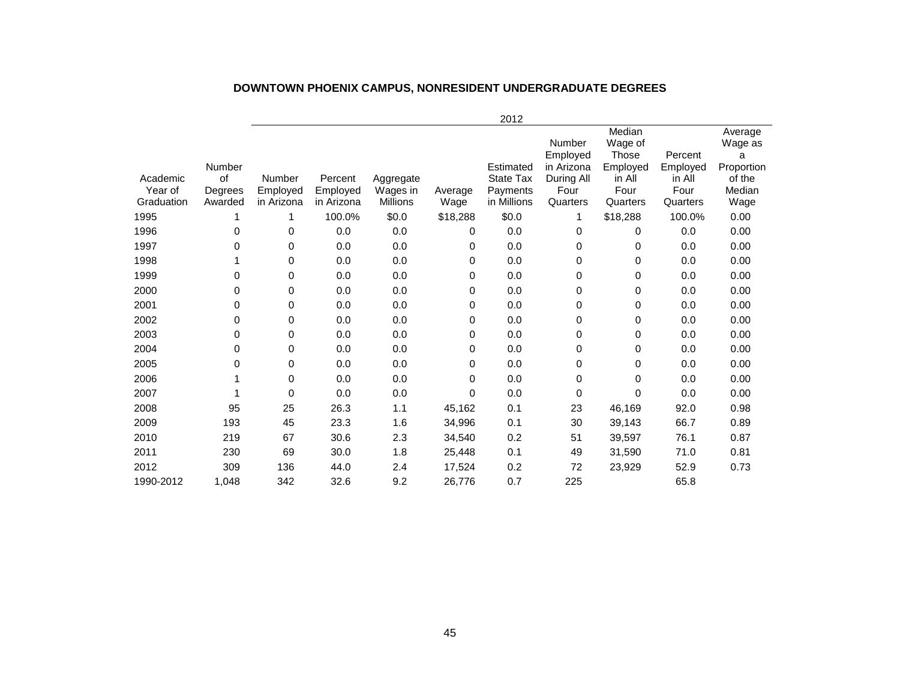|                       |                    |                        |                        |                             |                 | 2012                    |                                  |                                        |                     |                                       |
|-----------------------|--------------------|------------------------|------------------------|-----------------------------|-----------------|-------------------------|----------------------------------|----------------------------------------|---------------------|---------------------------------------|
|                       | Number             |                        |                        |                             |                 | Estimated               | Number<br>Employed<br>in Arizona | Median<br>Wage of<br>Those<br>Employed | Percent<br>Employed | Average<br>Wage as<br>a<br>Proportion |
| Academic              | <b>of</b>          | Number                 | Percent                | Aggregate                   |                 | State Tax               | During All                       | in All                                 | in All              | of the                                |
| Year of<br>Graduation | Degrees<br>Awarded | Employed<br>in Arizona | Employed<br>in Arizona | Wages in<br><b>Millions</b> | Average<br>Wage | Payments<br>in Millions | Four<br>Quarters                 | Four<br>Quarters                       | Four<br>Quarters    | Median<br>Wage                        |
| 1995                  |                    | 1                      | 100.0%                 | \$0.0                       | \$18,288        | \$0.0                   |                                  | \$18,288                               | 100.0%              | 0.00                                  |
| 1996                  | 0                  | 0                      | 0.0                    | 0.0                         | 0               | 0.0                     | 0                                | 0                                      | 0.0                 | 0.00                                  |
| 1997                  | 0                  | 0                      | 0.0                    | 0.0                         | 0               | 0.0                     | 0                                | 0                                      | 0.0                 | 0.00                                  |
| 1998                  |                    | 0                      | 0.0                    | 0.0                         | 0               | 0.0                     | 0                                | $\Omega$                               | 0.0                 | 0.00                                  |
| 1999                  | 0                  | 0                      | 0.0                    | 0.0                         | 0               | 0.0                     | 0                                | 0                                      | 0.0                 | 0.00                                  |
| 2000                  | 0                  | 0                      | 0.0                    | 0.0                         | 0               | 0.0                     | 0                                | $\Omega$                               | 0.0                 | 0.00                                  |
| 2001                  | 0                  | 0                      | 0.0                    | 0.0                         | 0               | 0.0                     | 0                                | 0                                      | 0.0                 | 0.00                                  |
| 2002                  | 0                  | 0                      | 0.0                    | 0.0                         | 0               | 0.0                     | 0                                | $\Omega$                               | 0.0                 | 0.00                                  |
| 2003                  | 0                  | 0                      | 0.0                    | 0.0                         | 0               | 0.0                     | 0                                | $\Omega$                               | 0.0                 | 0.00                                  |
| 2004                  | 0                  | 0                      | 0.0                    | 0.0                         | 0               | 0.0                     | 0                                | $\Omega$                               | 0.0                 | 0.00                                  |
| 2005                  | 0                  | 0                      | 0.0                    | 0.0                         | $\mathbf 0$     | 0.0                     | 0                                | 0                                      | 0.0                 | 0.00                                  |
| 2006                  |                    | 0                      | 0.0                    | 0.0                         | $\mathbf 0$     | 0.0                     | 0                                | $\Omega$                               | 0.0                 | 0.00                                  |
| 2007                  |                    | 0                      | 0.0                    | 0.0                         | 0               | 0.0                     | 0                                | 0                                      | 0.0                 | 0.00                                  |
| 2008                  | 95                 | 25                     | 26.3                   | 1.1                         | 45,162          | 0.1                     | 23                               | 46,169                                 | 92.0                | 0.98                                  |
| 2009                  | 193                | 45                     | 23.3                   | 1.6                         | 34,996          | 0.1                     | 30                               | 39,143                                 | 66.7                | 0.89                                  |
| 2010                  | 219                | 67                     | 30.6                   | 2.3                         | 34,540          | 0.2                     | 51                               | 39,597                                 | 76.1                | 0.87                                  |
| 2011                  | 230                | 69                     | 30.0                   | 1.8                         | 25,448          | 0.1                     | 49                               | 31,590                                 | 71.0                | 0.81                                  |
| 2012                  | 309                | 136                    | 44.0                   | 2.4                         | 17,524          | 0.2                     | 72                               | 23,929                                 | 52.9                | 0.73                                  |
| 1990-2012             | 1,048              | 342                    | 32.6                   | 9.2                         | 26.776          | 0.7                     | 225                              |                                        | 65.8                |                                       |

# **DOWNTOWN PHOENIX CAMPUS, NONRESIDENT UNDERGRADUATE DEGREES**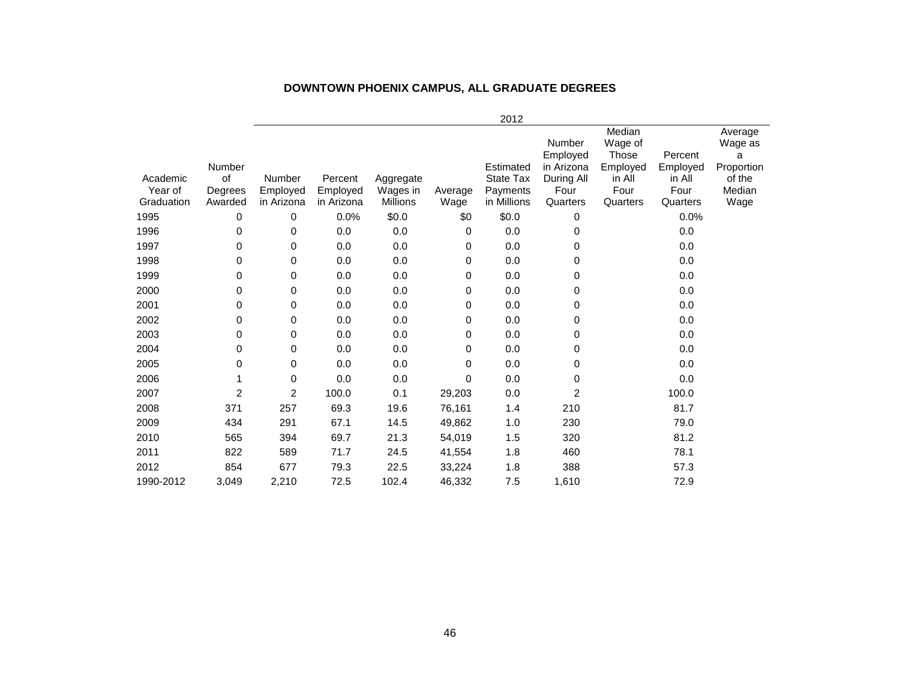#### **DOWNTOWN PHOENIX CAMPUS, ALL GRADUATE DEGREES**

|                                   |                                    |                                         |                                   |                                          |                 | 2012                                              |                                                                    |                                                                      |                                                   |                                                                   |
|-----------------------------------|------------------------------------|-----------------------------------------|-----------------------------------|------------------------------------------|-----------------|---------------------------------------------------|--------------------------------------------------------------------|----------------------------------------------------------------------|---------------------------------------------------|-------------------------------------------------------------------|
| Academic<br>Year of<br>Graduation | Number<br>of<br>Degrees<br>Awarded | <b>Number</b><br>Employed<br>in Arizona | Percent<br>Employed<br>in Arizona | Aggregate<br>Wages in<br><b>Millions</b> | Average<br>Wage | Estimated<br>State Tax<br>Payments<br>in Millions | Number<br>Employed<br>in Arizona<br>During All<br>Four<br>Quarters | Median<br>Wage of<br>Those<br>Employed<br>in All<br>Four<br>Quarters | Percent<br>Employed<br>in All<br>Four<br>Quarters | Average<br>Wage as<br>а<br>Proportion<br>of the<br>Median<br>Wage |
| 1995                              | 0                                  | 0                                       | 0.0%                              | \$0.0                                    | \$0             | \$0.0                                             | 0                                                                  |                                                                      | 0.0%                                              |                                                                   |
| 1996                              | 0                                  | 0                                       | 0.0                               | 0.0                                      | 0               | 0.0                                               | 0                                                                  |                                                                      | 0.0                                               |                                                                   |
| 1997                              | 0                                  | 0                                       | 0.0                               | 0.0                                      | 0               | 0.0                                               | 0                                                                  |                                                                      | 0.0                                               |                                                                   |
| 1998                              | 0                                  | 0                                       | 0.0                               | 0.0                                      | 0               | 0.0                                               | 0                                                                  |                                                                      | 0.0                                               |                                                                   |
| 1999                              | 0                                  | 0                                       | 0.0                               | 0.0                                      | 0               | 0.0                                               | 0                                                                  |                                                                      | 0.0                                               |                                                                   |
| 2000                              | 0                                  | 0                                       | 0.0                               | 0.0                                      | 0               | 0.0                                               | 0                                                                  |                                                                      | 0.0                                               |                                                                   |
| 2001                              | 0                                  | 0                                       | 0.0                               | 0.0                                      | 0               | 0.0                                               | 0                                                                  |                                                                      | 0.0                                               |                                                                   |
| 2002                              | 0                                  | 0                                       | 0.0                               | 0.0                                      | 0               | 0.0                                               | 0                                                                  |                                                                      | 0.0                                               |                                                                   |
| 2003                              | 0                                  | $\pmb{0}$                               | 0.0                               | 0.0                                      | 0               | 0.0                                               | 0                                                                  |                                                                      | 0.0                                               |                                                                   |
| 2004                              | 0                                  | 0                                       | 0.0                               | 0.0                                      | 0               | 0.0                                               | 0                                                                  |                                                                      | 0.0                                               |                                                                   |
| 2005                              | 0                                  | 0                                       | 0.0                               | 0.0                                      | 0               | 0.0                                               | 0                                                                  |                                                                      | 0.0                                               |                                                                   |
| 2006                              | 1                                  | 0                                       | 0.0                               | 0.0                                      | 0               | 0.0                                               | 0                                                                  |                                                                      | 0.0                                               |                                                                   |
| 2007                              | $\overline{c}$                     | 2                                       | 100.0                             | 0.1                                      | 29,203          | 0.0                                               | 2                                                                  |                                                                      | 100.0                                             |                                                                   |
| 2008                              | 371                                | 257                                     | 69.3                              | 19.6                                     | 76,161          | 1.4                                               | 210                                                                |                                                                      | 81.7                                              |                                                                   |
| 2009                              | 434                                | 291                                     | 67.1                              | 14.5                                     | 49,862          | 1.0                                               | 230                                                                |                                                                      | 79.0                                              |                                                                   |
| 2010                              | 565                                | 394                                     | 69.7                              | 21.3                                     | 54,019          | 1.5                                               | 320                                                                |                                                                      | 81.2                                              |                                                                   |
| 2011                              | 822                                | 589                                     | 71.7                              | 24.5                                     | 41,554          | 1.8                                               | 460                                                                |                                                                      | 78.1                                              |                                                                   |
| 2012                              | 854                                | 677                                     | 79.3                              | 22.5                                     | 33,224          | 1.8                                               | 388                                                                |                                                                      | 57.3                                              |                                                                   |
| 1990-2012                         | 3,049                              | 2,210                                   | 72.5                              | 102.4                                    | 46,332          | 7.5                                               | 1,610                                                              |                                                                      | 72.9                                              |                                                                   |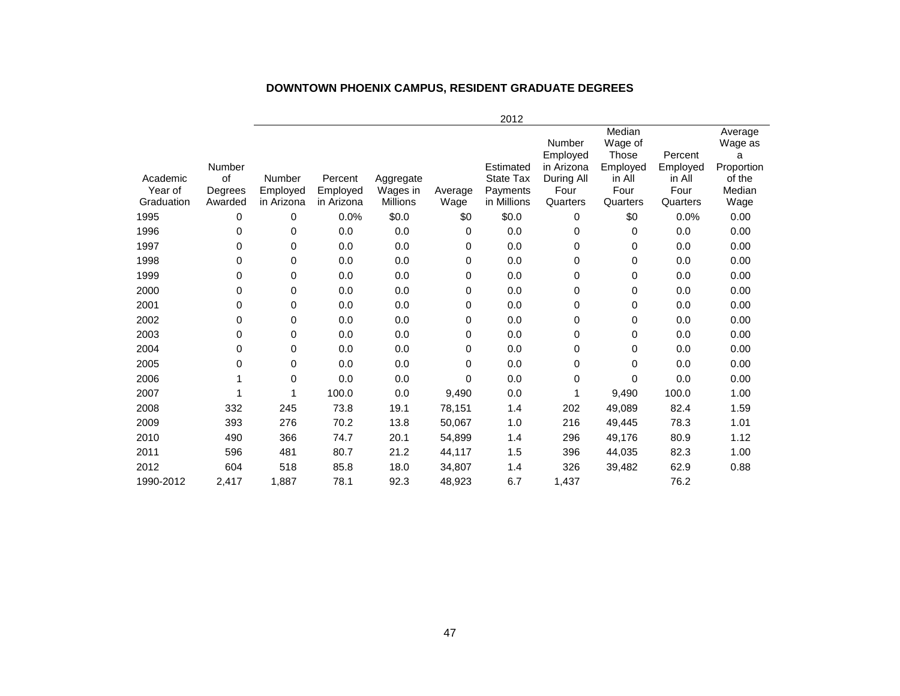# **DOWNTOWN PHOENIX CAMPUS, RESIDENT GRADUATE DEGREES**

|                     |               |                    |                     |                       |         | 2012                  |                                  |                                        |                     |                                       |
|---------------------|---------------|--------------------|---------------------|-----------------------|---------|-----------------------|----------------------------------|----------------------------------------|---------------------|---------------------------------------|
|                     | Number        |                    |                     |                       |         | Estimated             | Number<br>Employed<br>in Arizona | Median<br>Wage of<br>Those<br>Employed | Percent<br>Employed | Average<br>Wage as<br>a<br>Proportion |
| Academic<br>Year of | of<br>Degrees | Number<br>Employed | Percent<br>Employed | Aggregate<br>Wages in | Average | State Tax<br>Payments | During All<br>Four               | in All<br>Four                         | in All<br>Four      | of the<br>Median                      |
| Graduation          | Awarded       | in Arizona         | in Arizona          | Millions              | Wage    | in Millions           | Quarters                         | Quarters                               | Quarters            | Wage                                  |
| 1995                | 0             | 0                  | 0.0%                | \$0.0                 | \$0     | \$0.0                 | $\Omega$                         | \$0                                    | 0.0%                | 0.00                                  |
| 1996                | 0             | 0                  | 0.0                 | 0.0                   | 0       | 0.0                   | $\Omega$                         | 0                                      | 0.0                 | 0.00                                  |
| 1997                | 0             | 0                  | 0.0                 | 0.0                   | 0       | 0.0                   | 0                                | 0                                      | 0.0                 | 0.00                                  |
| 1998                | 0             | 0                  | 0.0                 | 0.0                   | 0       | 0.0                   | 0                                | 0                                      | 0.0                 | 0.00                                  |
| 1999                | 0             | 0                  | 0.0                 | 0.0                   | 0       | 0.0                   | 0                                | 0                                      | 0.0                 | 0.00                                  |
| 2000                | 0             | 0                  | 0.0                 | 0.0                   | 0       | 0.0                   | 0                                | 0                                      | 0.0                 | 0.00                                  |
| 2001                | 0             | 0                  | 0.0                 | 0.0                   | 0       | 0.0                   | 0                                | 0                                      | 0.0                 | 0.00                                  |
| 2002                | 0             | 0                  | 0.0                 | 0.0                   | 0       | 0.0                   | 0                                | 0                                      | 0.0                 | 0.00                                  |
| 2003                | 0             | 0                  | 0.0                 | 0.0                   | 0       | 0.0                   | 0                                | 0                                      | 0.0                 | 0.00                                  |
| 2004                | 0             | 0                  | 0.0                 | 0.0                   | 0       | 0.0                   | 0                                | 0                                      | 0.0                 | 0.00                                  |
| 2005                | 0             | 0                  | 0.0                 | 0.0                   | 0       | 0.0                   | $\Omega$                         | $\mathbf 0$                            | 0.0                 | 0.00                                  |
| 2006                |               | 0                  | 0.0                 | 0.0                   | 0       | 0.0                   | $\Omega$                         | $\mathbf 0$                            | 0.0                 | 0.00                                  |
| 2007                |               | 1                  | 100.0               | 0.0                   | 9,490   | 0.0                   |                                  | 9,490                                  | 100.0               | 1.00                                  |
| 2008                | 332           | 245                | 73.8                | 19.1                  | 78,151  | 1.4                   | 202                              | 49,089                                 | 82.4                | 1.59                                  |
| 2009                | 393           | 276                | 70.2                | 13.8                  | 50,067  | 1.0                   | 216                              | 49,445                                 | 78.3                | 1.01                                  |
| 2010                | 490           | 366                | 74.7                | 20.1                  | 54,899  | 1.4                   | 296                              | 49,176                                 | 80.9                | 1.12                                  |
| 2011                | 596           | 481                | 80.7                | 21.2                  | 44,117  | 1.5                   | 396                              | 44,035                                 | 82.3                | 1.00                                  |
| 2012                | 604           | 518                | 85.8                | 18.0                  | 34,807  | 1.4                   | 326                              | 39,482                                 | 62.9                | 0.88                                  |
| 1990-2012           | 2,417         | 1,887              | 78.1                | 92.3                  | 48,923  | 6.7                   | 1,437                            |                                        | 76.2                |                                       |